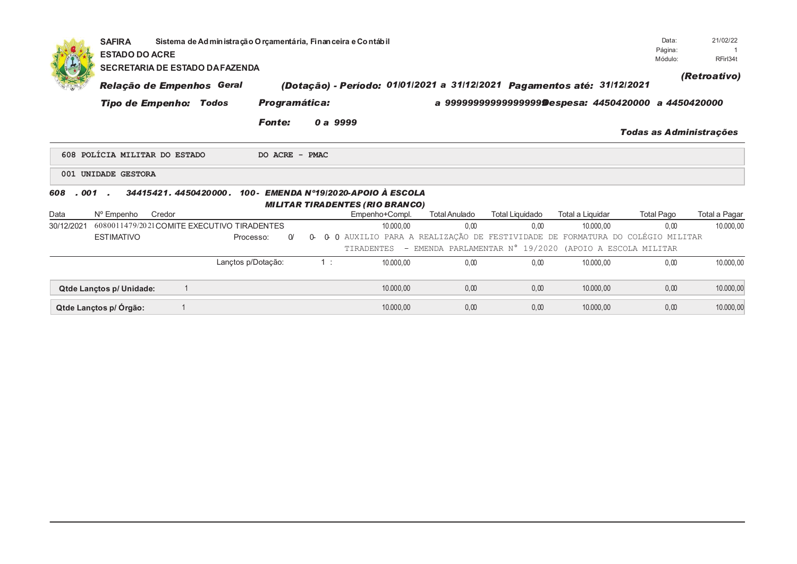|              | <b>SAFIRA</b>            | Data:<br>Sistema de Administração O rçamentária, Financeira e Contábil<br>Página:<br><b>ESTADO DO ACRE</b><br>Módulo:<br><b>SECRETARIA DE ESTADO DA FAZENDA</b> |                    |                |    |                                                                              |                                                         |                        |                  |                                                       |               |  |  |
|--------------|--------------------------|-----------------------------------------------------------------------------------------------------------------------------------------------------------------|--------------------|----------------|----|------------------------------------------------------------------------------|---------------------------------------------------------|------------------------|------------------|-------------------------------------------------------|---------------|--|--|
|              |                          | Relação de Empenhos Geral                                                                                                                                       |                    |                |    | (Dotação) - Período: 01/01/2021 a 31/12/2021 Pagamentos até: 31/12/2021      |                                                         |                        |                  |                                                       | (Retroativo)  |  |  |
|              |                          | <b>Tipo de Empenho: Todos</b>                                                                                                                                   |                    | Programática:  |    |                                                                              |                                                         |                        |                  | a 9999999999999999999Despesa: 4450420000 a 4450420000 |               |  |  |
|              |                          |                                                                                                                                                                 |                    | <b>Fonte:</b>  |    | 0 a 9999                                                                     |                                                         |                        |                  | Todas as Administrações                               |               |  |  |
|              |                          | 608 POLÍCIA MILITAR DO ESTADO                                                                                                                                   |                    | DO ACRE - PMAC |    |                                                                              |                                                         |                        |                  |                                                       |               |  |  |
|              | 001 UNIDADE GESTORA      |                                                                                                                                                                 |                    |                |    |                                                                              |                                                         |                        |                  |                                                       |               |  |  |
| . 001<br>608 |                          | 34415421, 4450420000,                                                                                                                                           |                    |                |    | 100 - EMENDA Nº19/2020-APOIO À ESCOLA                                        |                                                         |                        |                  |                                                       |               |  |  |
|              |                          |                                                                                                                                                                 |                    |                |    | <b>MILITAR TIRADENTES (RIO BRANCO)</b>                                       |                                                         |                        |                  |                                                       |               |  |  |
| Data         | N° Empenho               | Credor                                                                                                                                                          |                    |                |    | Empenho+Compl.                                                               | <b>Total Anulado</b>                                    | <b>Total Liquidado</b> | Total a Liquidar | <b>Total Pago</b>                                     | Total a Pagar |  |  |
| 30/12/2021   |                          | 6080011479/2021COMITE EXECUTIVO TIRADENTES                                                                                                                      |                    |                |    | 10.000,00                                                                    | 0.00                                                    | 0,00                   | 10.000,00        | 0.00                                                  | 10.000,00     |  |  |
|              | <b>ESTIMATIVO</b>        |                                                                                                                                                                 | Processo:          | $\alpha$       | 0- | 0 0 AUXILIO PARA A REALIZAÇÃO DE FESTIVIDADE DE FORMATURA DO COLÉGIO MILITAR |                                                         |                        |                  |                                                       |               |  |  |
|              |                          |                                                                                                                                                                 |                    |                |    | TIRADENTES                                                                   | - EMENDA PARLAMENTAR N° 19/2020 (APOIO A ESCOLA MILITAR |                        |                  |                                                       |               |  |  |
|              |                          |                                                                                                                                                                 | Lançtos p/Dotação: |                | 1: | 10.000.00                                                                    | 0.00                                                    | 0,00                   | 10.000,00        | 0,00                                                  | 10.000,00     |  |  |
|              | Qtde Lançtos p/ Unidade: |                                                                                                                                                                 |                    |                |    | 10.000,00                                                                    | 0,00                                                    | 0,00                   | 10.000,00        | 0,00                                                  | 10.000,00     |  |  |
|              | Qtde Lançtos p/ Órgão:   |                                                                                                                                                                 |                    |                |    | 10.000.00                                                                    | 0,00                                                    | 0,00                   | 10.000,00        | 0,00                                                  | 10.000,00     |  |  |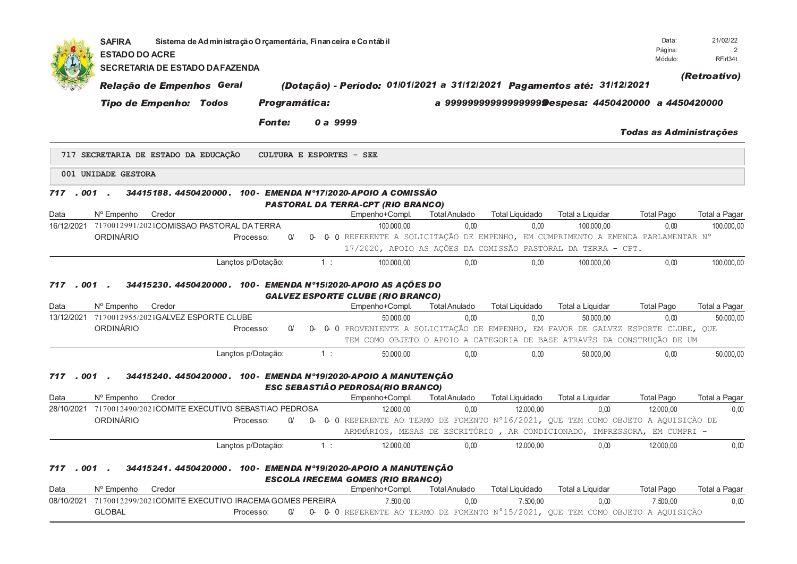|            | <b>SAFIRA</b><br><b>ESTADO DO ACRE</b> |                                      | Sistema de Administração Orçamentária, Financeira e Contábil                                                    |               |          |                                                                                     |                              |                                |                                                                          | Data:<br>Página:<br>Módulo: | 21/02/22<br>2<br>RFirl34t  |
|------------|----------------------------------------|--------------------------------------|-----------------------------------------------------------------------------------------------------------------|---------------|----------|-------------------------------------------------------------------------------------|------------------------------|--------------------------------|--------------------------------------------------------------------------|-----------------------------|----------------------------|
|            |                                        |                                      | <b>SECRETARIA DE ESTADO DA FAZENDA</b>                                                                          |               |          |                                                                                     |                              |                                |                                                                          |                             | (Retroativo)               |
|            |                                        | Relação de Empenhos Geral            |                                                                                                                 |               |          | (Dotação) - Período: 01/01/2021 a 31/12/2021 Pagamentos até: 31/12/2021             |                              |                                |                                                                          |                             |                            |
|            |                                        | <b>Tipo de Empenho: Todos</b>        |                                                                                                                 | Programática: |          |                                                                                     |                              |                                | a 9999999999999999999Despesa: 4450420000 a 4450420000                    |                             |                            |
|            |                                        |                                      |                                                                                                                 |               |          |                                                                                     |                              |                                |                                                                          |                             |                            |
|            |                                        |                                      | <b>Fonte:</b>                                                                                                   |               | 0 a 9999 |                                                                                     |                              |                                |                                                                          | Todas as Administrações     |                            |
|            |                                        | 717 SECRETARIA DE ESTADO DA EDUCAÇÃO |                                                                                                                 |               |          | <b>CULTURA E ESPORTES - SEE</b>                                                     |                              |                                |                                                                          |                             |                            |
|            | 001 UNIDADE GESTORA                    |                                      |                                                                                                                 |               |          |                                                                                     |                              |                                |                                                                          |                             |                            |
| 717        | $.001$ .                               |                                      | 34415188.4450420000. 100- EMENDA N°17/2020-APOIO A COMISSÃO                                                     |               |          |                                                                                     |                              |                                |                                                                          |                             |                            |
|            |                                        |                                      |                                                                                                                 |               |          | <b>PASTORAL DA TERRA-CPT (RIO BRANCO)</b>                                           |                              |                                |                                                                          |                             |                            |
| Data       | N° Empenho                             | Credor                               |                                                                                                                 |               |          | Empenho+Compl.                                                                      | <b>Total Anulado</b>         | <b>Total Liquidado</b>         | Total a Liquidar                                                         | <b>Total Pago</b>           | Total a Pagar              |
|            |                                        |                                      | 16/12/2021 7170012991/2021COMISSAO PASTORAL DA TERRA                                                            |               |          | 100.000.00                                                                          | 0.00                         | 0.00                           | 100.000.00                                                               | 0.00                        | 100.000.00                 |
|            | <b>ORDINÁRIO</b>                       |                                      | Processo:                                                                                                       | $\Omega$      | 0-       | 0 O REFERENTE A SOLICITAÇÃO DE EMPENHO, EM CUMPRIMENTO A EMENDA PARLAMENTAR Nº      |                              |                                |                                                                          |                             |                            |
|            |                                        |                                      |                                                                                                                 |               |          | 17/2020, APOIO AS ACÕES DA COMISSÃO PASTORAL DA TERRA - CPT.                        |                              |                                |                                                                          |                             |                            |
|            |                                        |                                      | Lançtos p/Dotação:                                                                                              |               | 1:       | 100.000.00                                                                          | 0.00                         | 0.00                           | 100.000.00                                                               | 0.00                        | 100.000,00                 |
| Data       | N° Empenho                             | Credor                               | 34415230. 4450420000. 100- EMENDA Nº15/2020-APOIO AS ACÕES DO<br>13/12/2021 7170012955/2021GALVEZ ESPORTE CLUBE |               |          | <b>GALVEZ ESPORTE CLUBE (RIO BRANCO)</b><br>Empenho+Compl.<br>50,000.00             | <b>Total Anulado</b><br>0.00 | <b>Total Liquidado</b><br>0,00 | Total a Liquidar<br>50.000,00                                            | <b>Total Pago</b><br>0.00   | Total a Pagar<br>50.000,00 |
|            | <b>ORDINÁRIO</b>                       |                                      | Processo:                                                                                                       | $\Omega$      | 0-       | 0 O PROVENIENTE A SOLICITAÇÃO DE EMPENHO, EM FAVOR DE GALVEZ ESPORTE CLUBE, QUE     |                              |                                | TEM COMO OBJETO O APOIO A CATEGORIA DE BASE ATRAVÉS DA CONSTRUCÃO DE UM  |                             |                            |
|            |                                        |                                      | Lançtos p/Dotação:                                                                                              |               | 1:       | 50.000,00                                                                           | 0.00                         | 0.00                           | 50.000.00                                                                | 0.00                        | 50.000,00                  |
| 717.001.   |                                        |                                      | 34415240.4450420000.100-EMENDA N°19/2020-APOIO A MANUTENÇÃO                                                     |               |          | ESC SEBASTIÃO PEDROSA(RIO BRANCO)                                                   |                              |                                |                                                                          |                             |                            |
| Data       | Nº Empenho                             | Credor                               |                                                                                                                 |               |          | Empenho+Compl.                                                                      | <b>Total Anulado</b>         | <b>Total Liquidado</b>         | Total a Liquidar                                                         | <b>Total Pago</b>           | Total a Pagar              |
|            |                                        |                                      | 28/10/2021 7170012490/2021COMITE EXECUTIVO SEBASTIAO PEDROSA                                                    |               |          | 12.000,00                                                                           | 0,00                         | 12.000,00                      | 0.00                                                                     | 12.000.00                   | 0,00                       |
|            | ORDINÁRIO                              |                                      | Processo:                                                                                                       | $\Omega$      |          | 0- 0- 0 REFERENTE AO TERMO DE FOMENTO Nº16/2021, QUE TEM COMO OBJETO A AQUISIÇÃO DE |                              |                                |                                                                          |                             |                            |
|            |                                        |                                      |                                                                                                                 |               |          |                                                                                     |                              |                                | ARMMÁRIOS, MESAS DE ESCRITÓRIO, AR CONDICIONADO, IMPRESSORA, EM CUMPRI - |                             |                            |
|            |                                        |                                      | Lançtos p/Dotação:                                                                                              |               | 1:       | 12.000,00                                                                           | 0.00                         | 12.000,00                      | 0.00                                                                     | 12.000,00                   | 0,00                       |
| 717,001.   |                                        |                                      | 34415241.4450420000. 100- EMENDA N°19/2020-APOIO A MANUTENÇÃO                                                   |               |          |                                                                                     |                              |                                |                                                                          |                             |                            |
| Data       | Nº Empenho                             | Credor                               |                                                                                                                 |               |          | <b>ESCOLA IRECEMA GOMES (RIO BRANCO)</b><br>Empenho+Compl.                          | <b>Total Anulado</b>         | <b>Total Liquidado</b>         | Total a Liquidar                                                         | <b>Total Pago</b>           | Total a Pagar              |
| 08/10/2021 |                                        |                                      | 7170012299/2021COMITE EXECUTIVO IRACEMA GOMES PEREIRA                                                           |               |          | 7.500,00                                                                            | 0,00                         | 7.500,00                       | 0,00                                                                     | 7.500,00                    | 0,00                       |
|            | <b>GLOBAL</b>                          |                                      | Processo:                                                                                                       | $\alpha$      |          | 0- 0- 0 REFERENTE AO TERMO DE FOMENTO N°15/2021, QUE TEM COMO OBJETO A AQUISIÇÃO    |                              |                                |                                                                          |                             |                            |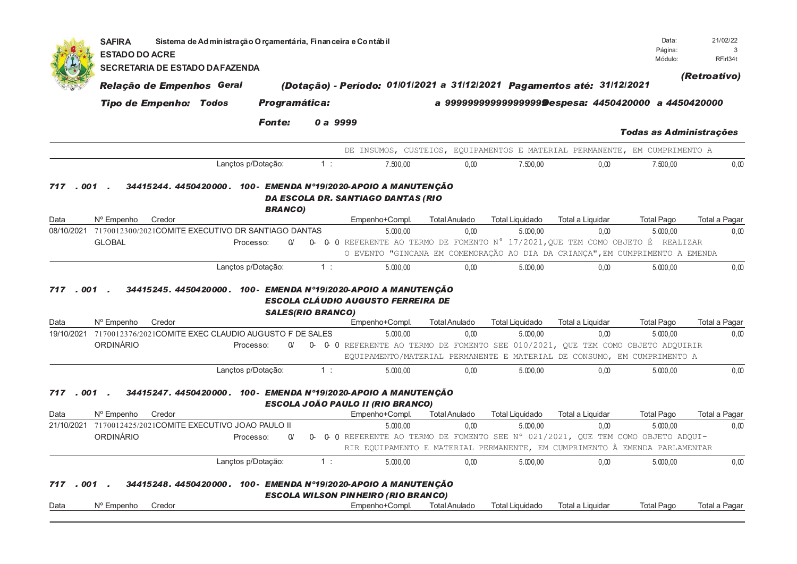|                    | <b>SAFIRA</b><br><b>ESTADO DO ACRE</b> |                                                                  | Sistema de Administração O rçamentária, Finan ceira e Contábil |                          |       |          |                                                                                                                                                              |                      |                                                        |                         | Data:<br>Página:<br>Módulo:    | 21/02/22<br>3<br>RFirl34t |
|--------------------|----------------------------------------|------------------------------------------------------------------|----------------------------------------------------------------|--------------------------|-------|----------|--------------------------------------------------------------------------------------------------------------------------------------------------------------|----------------------|--------------------------------------------------------|-------------------------|--------------------------------|---------------------------|
|                    |                                        | SECRETARIA DE ESTADO DA FAZENDA                                  |                                                                |                          |       |          |                                                                                                                                                              |                      |                                                        |                         |                                |                           |
|                    |                                        | Relação de Empenhos Geral                                        |                                                                |                          |       |          | (Dotação) - Período: 01/01/2021 a 31/12/2021 Pagamentos até: 31/12/2021                                                                                      |                      |                                                        |                         |                                | (Retroativo)              |
|                    |                                        | <b>Tipo de Empenho: Todos</b>                                    |                                                                | <b>Programática:</b>     |       |          |                                                                                                                                                              |                      | a 9999999999999999999 Despesa: 4450420000 a 4450420000 |                         |                                |                           |
|                    |                                        |                                                                  |                                                                | <b>Fonte:</b>            |       | 0 a 9999 |                                                                                                                                                              |                      |                                                        |                         |                                |                           |
|                    |                                        |                                                                  |                                                                |                          |       |          |                                                                                                                                                              |                      |                                                        |                         | <b>Todas as Administrações</b> |                           |
|                    |                                        |                                                                  |                                                                |                          |       |          | DE INSUMOS, CUSTEIOS, EQUIPAMENTOS E MATERIAL PERMANENTE, EM CUMPRIMENTO A                                                                                   |                      |                                                        |                         |                                |                           |
|                    |                                        |                                                                  |                                                                | Lanctos p/Dotação:       |       | $1$ :    | 7.500,00                                                                                                                                                     | 0.00                 | 7.500,00                                               | 0.00                    | 7.500,00                       | 0,00                      |
| 001<br>717<br>Data | Nº Empenho                             | Credor                                                           |                                                                | <b>BRANCO)</b>           |       |          | 34415244. 4450420000. 100- EMENDA N°19/2020-APOIO A MANUTENÇÃO<br>DA ESCOLA DR. SANTIAGO DANTAS (RIO<br>Empenho+Compl.                                       | <b>Total Anulado</b> | <b>Total Liquidado</b>                                 | Total a Liquidar        | <b>Total Pago</b>              | Total a Pagar             |
| 08/10/2021         |                                        | 7170012300/2021COMITE EXECUTIVO DR SANTIAGO DANTAS               |                                                                |                          |       |          | 5.000.00                                                                                                                                                     | 0,00                 | 5.000.00                                               | 0,00                    | 5.000,00                       | 0,00                      |
|                    | <b>GLOBAL</b>                          |                                                                  |                                                                | $\Omega'$<br>Processo:   | 0     |          | 0 0 REFERENTE AO TERMO DE FOMENTO N° 17/2021, QUE TEM COMO OBJETO É REALIZAR<br>O EVENTO "GINCANA EM COMEMORAÇÃO AO DIA DA CRIANÇA", EM CUMPRIMENTO A EMENDA |                      |                                                        |                         |                                |                           |
|                    |                                        |                                                                  |                                                                | Lançtos p/Dotação:       | 1:    |          | 5.000,00                                                                                                                                                     | 0,00                 | 5.000,00                                               | 0,00                    | 5.000,00                       | 0,00                      |
| Data               | N° Empenho                             | Credor                                                           |                                                                | <b>SALES(RIO BRANCO)</b> |       |          | 34415245. 4450420000. 100- EMENDA N°19/2020-APOIO A MANUTENÇÃO<br>ESCOLA CLÁUDIO AUGUSTO FERREIRA DE<br>Empenho+Compl.                                       | <b>Total Anulado</b> | <b>Total Liquidado</b>                                 | <b>Total a Liquidar</b> | <b>Total Pago</b>              | Total a Pagar             |
|                    |                                        | 19/10/2021 7170012376/2021COMITE EXEC CLAUDIO AUGUSTO F DE SALES |                                                                |                          |       |          | 5.000.00                                                                                                                                                     | 0,00                 | 5.000,00                                               | 0,00                    | 5.000,00                       | 0,00                      |
|                    | ORDINÁRIO                              |                                                                  |                                                                | $\Omega$<br>Processo:    | 0-    |          | 0 0 REFERENTE AO TERMO DE FOMENTO SEE 010/2021, QUE TEM COMO OBJETO ADQUIRIR<br>EQUIPAMENTO/MATERIAL PERMANENTE E MATERIAL DE CONSUMO, EM CUMPRIMENTO A      |                      |                                                        |                         |                                |                           |
|                    |                                        |                                                                  |                                                                | Lançtos p/Dotação:       | $1$ : |          | 5.000.00                                                                                                                                                     | 0.00                 | 5.000.00                                               | 0.00                    | 5.000.00                       | 0.00                      |
| 717<br>. 001       |                                        |                                                                  |                                                                |                          |       |          | 34415247. 4450420000. 100- EMENDA Nº19/2020-APOIO A MANUTENÇÃO<br><b>ESCOLA JOÃO PAULO II (RIO BRANCO)</b>                                                   |                      |                                                        |                         |                                |                           |
| Data               | N° Empenho                             | Credor                                                           |                                                                |                          |       |          | Empenho+Compl.                                                                                                                                               | <b>Total Anulado</b> | <b>Total Liquidado</b>                                 | Total a Liquidar        | <b>Total Pago</b>              | Total a Pagar             |
| 21/10/2021         |                                        | 7170012425/2021COMITE EXECUTIVO JOAO PAULO II                    |                                                                |                          |       |          | 5.000.00                                                                                                                                                     | 0.00                 | 5.000.00                                               | 0.00                    | 5.000,00                       | 0.00                      |
|                    | ORDINÁRIO                              |                                                                  |                                                                | Processo:<br>$\Omega$    | 0-    |          | 0 0 REFERENTE AO TERMO DE FOMENTO SEE N° 021/2021, QUE TEM COMO OBJETO ADQUI-<br>RIR EQUIPAMENTO E MATERIAL PERMANENTE, EM CUMPRIMENTO À EMENDA PARLAMENTAR  |                      |                                                        |                         |                                |                           |
|                    |                                        |                                                                  |                                                                | Lançtos p/Dotação:       | $1$ : |          | 5.000,00                                                                                                                                                     | 0.00                 | 5.000,00                                               | 0,00                    | 5.000,00                       | 0,00                      |
| 717<br>001         |                                        |                                                                  |                                                                |                          |       |          | 34415248. 4450420000. 100- EMENDA N°19/2020-APOIO A MANUTENÇÃO<br><b>ESCOLA WILSON PINHEIRO (RIO BRANCO)</b>                                                 |                      |                                                        |                         |                                |                           |
| Data               | N° Empenho                             | Credor                                                           |                                                                |                          |       |          | Empenho+Compl.                                                                                                                                               | <b>Total Anulado</b> | <b>Total Liquidado</b>                                 | Total a Liquidar        | <b>Total Pago</b>              | Total a Pagar             |
|                    |                                        |                                                                  |                                                                |                          |       |          |                                                                                                                                                              |                      |                                                        |                         |                                |                           |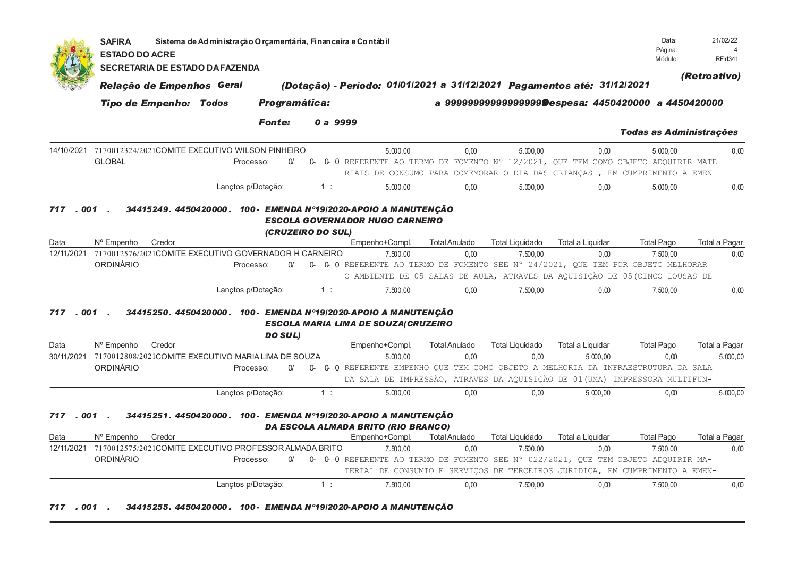|              | <b>SAFIRA</b><br><b>ESTADO DO ACRE</b>                                      | Sistema de Administração Orçamentária, Financeira e Contábil   |                      |                   |                                                                         |                      |                        |                  | Data:<br>Página:                                                                                                                                                            | 21/02/22                       |
|--------------|-----------------------------------------------------------------------------|----------------------------------------------------------------|----------------------|-------------------|-------------------------------------------------------------------------|----------------------|------------------------|------------------|-----------------------------------------------------------------------------------------------------------------------------------------------------------------------------|--------------------------------|
|              | <b>SECRETARIA DE ESTADO DA FAZENDA</b>                                      |                                                                |                      |                   |                                                                         |                      |                        |                  | Módulo:                                                                                                                                                                     | RFirl34t                       |
|              | Relação de Empenhos Geral                                                   |                                                                |                      |                   | (Dotação) - Período: 01/01/2021 a 31/12/2021 Pagamentos até: 31/12/2021 |                      |                        |                  |                                                                                                                                                                             | (Retroativo)                   |
|              | <b>Tipo de Empenho: Todos</b>                                               |                                                                | <b>Programática:</b> |                   |                                                                         |                      |                        |                  | a 9999999999999999999 Despesa: 4450420000 a 4450420000                                                                                                                      |                                |
|              |                                                                             |                                                                | <b>Fonte:</b>        | 0 a 9999          |                                                                         |                      |                        |                  |                                                                                                                                                                             | <b>Todas as Administrações</b> |
|              | 14/10/2021 7170012324/2021COMITE EXECUTIVO WILSON PINHEIRO<br><b>GLOBAL</b> | Processo:                                                      | $\alpha$             | 0                 | 5.000.00                                                                | 0,00                 | 5.000,00               | 0,00             | 5.000,00<br>0 0 REFERENTE AO TERMO DE FOMENTO Nº 12/2021, QUE TEM COMO OBJETO ADQUIRIR MATE<br>RIAIS DE CONSUMO PARA COMEMORAR O DIA DAS CRIANÇAS, EM CUMPRIMENTO A EMEN-   | 0,00                           |
|              |                                                                             | Lanctos p/Dotacão:                                             |                      | 1:                | 5.000.00                                                                | 0.00                 | 5.000.00               | 0.00             | 5.000.00                                                                                                                                                                    | 0.00                           |
| . 001<br>717 |                                                                             | 34415249.4450420000.100-EMENDA N°19/2020-APOIO A MANUTENÇÃO    |                      | (CRUZEIRO DO SUL) | <b>ESCOLA GOVERNADOR HUGO CARNEIRO</b>                                  |                      |                        |                  |                                                                                                                                                                             |                                |
| Data         | N° Empenho<br>Credor                                                        |                                                                |                      |                   | Empenho+Compl.                                                          | <b>Total Anulado</b> | <b>Total Liquidado</b> | Total a Liquidar | <b>Total Pago</b>                                                                                                                                                           | Total a Pagar                  |
| 12/11/2021   | 7170012576/2021COMITE EXECUTIVO GOVERNADOR H CARNEIRO<br>ORDINÁRIO          | Processo:                                                      | $\Omega$             |                   | 7.500,00                                                                | 0,00                 | 7.500,00               | 0,00             | 7.500,00<br>0- 0-0 REFERENTE AO TERMO DE FOMENTO SEE N° 24/2021, QUE TEM POR OBJETO MELHORAR<br>O AMBIENTE DE 05 SALAS DE AULA, ATRAVES DA AQUISIÇÃO DE 05 (CINCO LOUSAS DE | 0,00                           |
|              |                                                                             | Lançtos p/Dotação:                                             |                      | 1:                | 7.500,00                                                                | 0,00                 | 7.500,00               | 0,00             | 7.500,00                                                                                                                                                                    | 0,00                           |
| .001<br>717  |                                                                             | 34415250.4450420000.100-EMENDA N°19/2020-APOIO A MANUTENÇÃO    | <b>DO SUL)</b>       |                   | <b>ESCOLA MARIA LIMA DE SOUZA(CRUZEIRO</b>                              |                      |                        |                  |                                                                                                                                                                             |                                |
| Data         | N° Empenho<br>Credor                                                        |                                                                |                      |                   | Empenho+Compl.                                                          | <b>Total Anulado</b> | <b>Total Liquidado</b> | Total a Liquidar | <b>Total Pago</b>                                                                                                                                                           | Total a Pagar                  |
| 30/11/2021   | 7170012808/2021COMITE EXECUTIVO MARIA LIMA DE SOUZA                         |                                                                |                      |                   | 5.000.00                                                                | 0.00                 | 0.00                   | 5.000.00         | 0.00                                                                                                                                                                        | 5.000,00                       |
|              | ORDINÁRIO                                                                   | Processo:                                                      | $\Omega$             | 0-                |                                                                         |                      |                        |                  | 0 0 REFERENTE EMPENHO QUE TEM COMO OBJETO A MELHORIA DA INFRAESTRUTURA DA SALA<br>DA SALA DE IMPRESSÃO, ATRAVES DA AQUISIÇÃO DE 01 (UMA) IMPRESSORA MULTIFUN-               |                                |
|              |                                                                             | Lançtos p/Dotação:                                             |                      | 1:                | 5.000,00                                                                | 0,00                 | 0,00                   | 5.000,00         | 0,00                                                                                                                                                                        | 5.000,00                       |
| 717<br>Data  | $.001$ .<br>N° Empenho<br>Credor                                            | 34415251.4450420000.100-EMENDA N°19/2020-APOIO A MANUTENÇÃO    |                      |                   | DA ESCOLA ALMADA BRITO (RIO BRANCO)<br>Empenho+Compl.                   | <b>Total Anulado</b> | <b>Total Liquidado</b> | Total a Liquidar | <b>Total Pago</b>                                                                                                                                                           | Total a Pagar                  |
| 12/11/2021   | 7170012575/2021COMITE EXECUTIVO PROFESSOR ALMADA BRITO                      |                                                                |                      |                   | 7.500.00                                                                | 0.00                 | 7.500.00               | 0.00             | 7.500.00                                                                                                                                                                    | 0.00                           |
|              | ORDINÁRIO                                                                   | Processo:                                                      | $\alpha$             |                   |                                                                         |                      |                        |                  | 0- 0- 0 REFERENTE AO TERMO DE FOMENTO SEE N° 022/2021, QUE TEM OBJETO ADQUIRIR MA-                                                                                          |                                |
|              |                                                                             |                                                                |                      |                   |                                                                         |                      |                        |                  | TERIAL DE CONSUMIO E SERVIÇOS DE TERCEIROS JURIDICA, EM CUMPRIMENTO A EMEN-                                                                                                 |                                |
|              |                                                                             | Lançtos p/Dotação:                                             |                      | 1:                | 7.500.00                                                                | 0.00                 | 7.500.00               | 0.00             | 7.500.00                                                                                                                                                                    | 0.00                           |
| .001<br>717  |                                                                             | 34415255. 4450420000. 100- EMENDA Nº19/2020-APOIO A MANUTENCÃO |                      |                   |                                                                         |                      |                        |                  |                                                                                                                                                                             |                                |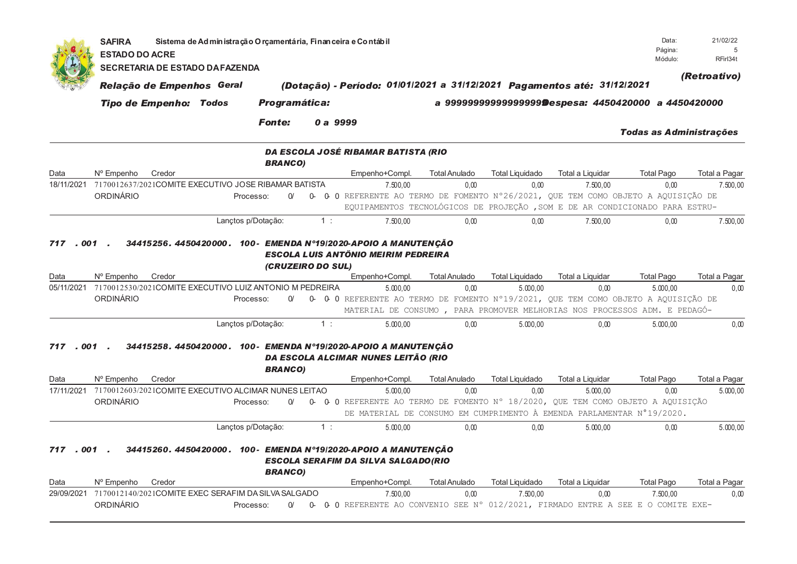|                    | <b>SAFIRA</b><br><b>ESTADO DO ACRE</b> |                               | Sistema de Administração O rçamentária, Financeira e Contábil        |                |          |                                                                                                                                                                    |                              |                                    |                              | Data:<br>Página:<br>Módulo:                           | 21/02/22<br>5<br>RFirl34t |
|--------------------|----------------------------------------|-------------------------------|----------------------------------------------------------------------|----------------|----------|--------------------------------------------------------------------------------------------------------------------------------------------------------------------|------------------------------|------------------------------------|------------------------------|-------------------------------------------------------|---------------------------|
|                    |                                        |                               | <b>SECRETARIA DE ESTADO DA FAZENDA</b>                               |                |          |                                                                                                                                                                    |                              |                                    |                              |                                                       |                           |
|                    |                                        | Relação de Empenhos Geral     |                                                                      |                |          | (Dotação) - Período: 01/01/2021 a 31/12/2021 Pagamentos até: 31/12/2021                                                                                            |                              |                                    |                              |                                                       | (Retroativo)              |
|                    |                                        | <b>Tipo de Empenho: Todos</b> |                                                                      | Programática:  |          |                                                                                                                                                                    |                              |                                    |                              | a 9999999999999999999@espesa: 4450420000 a 4450420000 |                           |
|                    |                                        |                               |                                                                      |                |          |                                                                                                                                                                    |                              |                                    |                              |                                                       |                           |
|                    |                                        |                               |                                                                      | <b>Fonte:</b>  | 0 a 9999 |                                                                                                                                                                    |                              |                                    |                              | <b>Todas as Administrações</b>                        |                           |
|                    |                                        |                               |                                                                      | <b>BRANCO)</b> |          | DA ESCOLA JOSÉ RIBAMAR BATISTA (RIO                                                                                                                                |                              |                                    |                              |                                                       |                           |
| Data               | N° Empenho                             | Credor                        |                                                                      |                |          | Empenho+Compl.                                                                                                                                                     | <b>Total Anulado</b>         | <b>Total Liquidado</b>             | <b>Total a Liquidar</b>      | <b>Total Pago</b>                                     | Total a Pagar             |
| 18/11/2021         |                                        |                               | 7170012637/2021COMITE EXECUTIVO JOSE RIBAMAR BATISTA                 |                |          | 7.500.00                                                                                                                                                           | 0.00                         | 0.00                               | 7.500.00                     | 0.00                                                  | 7.500.00                  |
|                    | ORDINÁRIO                              |                               | Processo:                                                            | $\Omega$       |          | 0- 0-0 REFERENTE AO TERMO DE FOMENTO Nº26/2021, QUE TEM COMO OBJETO A AQUISIÇÃO DE<br>EQUIPAMENTOS TECNOLÓGICOS DE PROJEÇÃO , SOM E DE AR CONDICIONADO PARA ESTRU- |                              |                                    |                              |                                                       |                           |
|                    |                                        |                               | Lançtos p/Dotação:                                                   |                | 1:       | 7.500,00                                                                                                                                                           | 0,00                         | 0,00                               | 7.500,00                     | 0,00                                                  | 7.500,00                  |
| Data<br>05/11/2021 | Nº Empenho<br>ORDINÁRIO                | Credor                        | 7170012530/2021COMITE EXECUTIVO LUIZ ANTONIO M PEDREIRA<br>Processo: | $\Omega$       |          | Empenho+Compl.<br>5.000.00<br>0- 0- 0 REFERENTE AO TERMO DE FOMENTO Nº19/2021, QUE TEM COMO OBJETO A AQUISIÇÃO DE                                                  | <b>Total Anulado</b><br>0.00 | <b>Total Liquidado</b><br>5.000.00 | Total a Liquidar<br>0.00     | <b>Total Pago</b><br>5.000.00                         | Total a Pagar<br>0.00     |
|                    |                                        |                               |                                                                      |                |          | MATERIAL DE CONSUMO, PARA PROMOVER MELHORIAS NOS PROCESSOS ADM. E PEDAGÓ-                                                                                          |                              |                                    |                              |                                                       |                           |
|                    |                                        |                               | Lançtos p/Dotação:                                                   |                | 1:       | 5.000,00                                                                                                                                                           | 0.00                         | 5.000,00                           | 0,00                         | 5.000,00                                              | 0.00                      |
| 717.001            |                                        | Credor                        |                                                                      | <b>BRANCO)</b> |          | 34415258. 4450420000. 100- EMENDA Nº19/2020-APOIO A MANUTENÇÃO<br>DA ESCOLA ALCIMAR NUNES LEITÃO (RIO                                                              |                              | <b>Total Liquidado</b>             |                              |                                                       |                           |
| Data<br>17/11/2021 | Nº Empenho                             |                               | 7170012603/2021COMITE EXECUTIVO ALCIMAR NUNES LEITAO                 |                |          | Empenho+Compl.<br>5.000.00                                                                                                                                         | <b>Total Anulado</b><br>0.00 | 0.00                               | Total a Liquidar<br>5.000.00 | <b>Total Pago</b><br>0.00                             | Total a Pagar<br>5.000.00 |
|                    | <b>ORDINÁRIO</b>                       |                               | Processo:                                                            | $\Omega$       | 0-       | 0 0 REFERENTE AO TERMO DE FOMENTO Nº 18/2020, QUE TEM COMO OBJETO A AQUISIÇÃO<br>DE MATERIAL DE CONSUMO EM CUMPRIMENTO À EMENDA PARLAMENTAR N°19/2020.             |                              |                                    |                              |                                                       |                           |
|                    |                                        |                               | Lançtos p/Dotação:                                                   |                | 1:       | 5.000,00                                                                                                                                                           | 0.00                         | 0,00                               | 5.000,00                     | 0,00                                                  | 5.000,00                  |
| 717.001<br>Data    | Nº Empenho                             | Credor                        |                                                                      | <b>BRANCO)</b> |          | 34415260. 4450420000. 100- EMENDA N°19/2020-APOIO A MANUTENÇÃO<br><b>ESCOLA SERAFIM DA SILVA SALGADO(RIO</b><br>Empenho+Compl.                                     | <b>Total Anulado</b>         | <b>Total Liquidado</b>             | Total a Liquidar             | <b>Total Pago</b>                                     | Total a Pagar             |
| 29/09/2021         |                                        |                               | 7170012140/2021COMITE EXEC SERAFIM DA SILVA SALGADO                  |                |          | 7.500,00                                                                                                                                                           | 0,00                         | 7.500,00                           | 0,00                         | 7.500,00                                              | 0,00                      |
|                    | ORDINÁRIO                              |                               | Processo:                                                            | $\Omega$       |          | 0 0 REFERENTE AO CONVENIO SEE Nº 012/2021, FIRMADO ENTRE A SEE E O COMITE EXE-                                                                                     |                              |                                    |                              |                                                       |                           |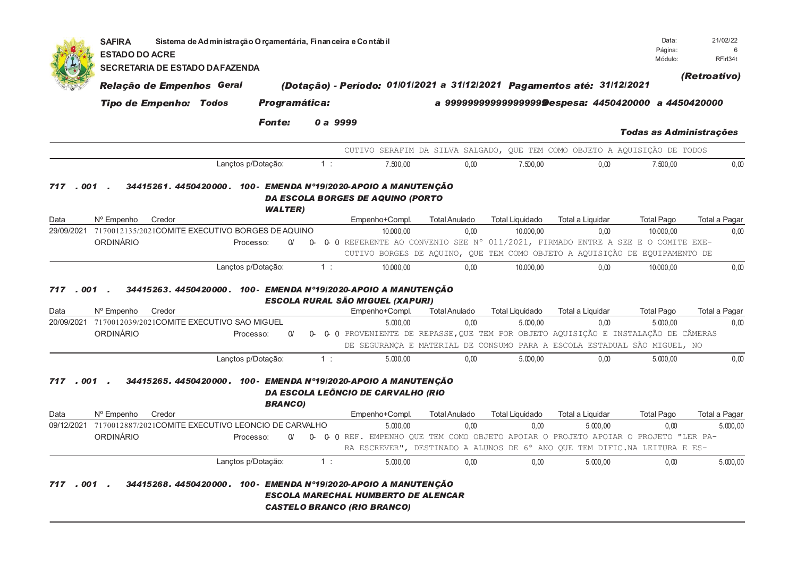| <b>SECRETARIA DE ESTADO DA FAZENDA</b> |                                                                                                  |                                                            |                                                                                                                                                                                                   |                                                                                                                           | Sistema de Administração O rçamentária, Finan ceira e Contábil |                                                                             |                                                                                                                                                                                                                                                                                                                                                           |                                          | Data:<br>Página:<br>Módulo:       | 6<br>RFirl34t                                                                                                                                                                                                                                                                                                                                                                                                                                                                                                                                                                                                                                                                                                                                   |
|----------------------------------------|--------------------------------------------------------------------------------------------------|------------------------------------------------------------|---------------------------------------------------------------------------------------------------------------------------------------------------------------------------------------------------|---------------------------------------------------------------------------------------------------------------------------|----------------------------------------------------------------|-----------------------------------------------------------------------------|-----------------------------------------------------------------------------------------------------------------------------------------------------------------------------------------------------------------------------------------------------------------------------------------------------------------------------------------------------------|------------------------------------------|-----------------------------------|-------------------------------------------------------------------------------------------------------------------------------------------------------------------------------------------------------------------------------------------------------------------------------------------------------------------------------------------------------------------------------------------------------------------------------------------------------------------------------------------------------------------------------------------------------------------------------------------------------------------------------------------------------------------------------------------------------------------------------------------------|
|                                        |                                                                                                  |                                                            |                                                                                                                                                                                                   |                                                                                                                           |                                                                |                                                                             |                                                                                                                                                                                                                                                                                                                                                           |                                          |                                   |                                                                                                                                                                                                                                                                                                                                                                                                                                                                                                                                                                                                                                                                                                                                                 |
|                                        |                                                                                                  |                                                            |                                                                                                                                                                                                   |                                                                                                                           |                                                                |                                                                             |                                                                                                                                                                                                                                                                                                                                                           |                                          |                                   | (Retroativo)                                                                                                                                                                                                                                                                                                                                                                                                                                                                                                                                                                                                                                                                                                                                    |
|                                        |                                                                                                  |                                                            |                                                                                                                                                                                                   |                                                                                                                           |                                                                |                                                                             |                                                                                                                                                                                                                                                                                                                                                           |                                          |                                   |                                                                                                                                                                                                                                                                                                                                                                                                                                                                                                                                                                                                                                                                                                                                                 |
|                                        |                                                                                                  |                                                            |                                                                                                                                                                                                   |                                                                                                                           |                                                                |                                                                             |                                                                                                                                                                                                                                                                                                                                                           |                                          |                                   |                                                                                                                                                                                                                                                                                                                                                                                                                                                                                                                                                                                                                                                                                                                                                 |
|                                        |                                                                                                  |                                                            |                                                                                                                                                                                                   |                                                                                                                           |                                                                |                                                                             |                                                                                                                                                                                                                                                                                                                                                           |                                          | Todas as Administrações           |                                                                                                                                                                                                                                                                                                                                                                                                                                                                                                                                                                                                                                                                                                                                                 |
|                                        |                                                                                                  |                                                            |                                                                                                                                                                                                   |                                                                                                                           |                                                                |                                                                             |                                                                                                                                                                                                                                                                                                                                                           |                                          |                                   |                                                                                                                                                                                                                                                                                                                                                                                                                                                                                                                                                                                                                                                                                                                                                 |
|                                        |                                                                                                  |                                                            |                                                                                                                                                                                                   |                                                                                                                           | 7.500.00                                                       | 0.00                                                                        | 7.500.00                                                                                                                                                                                                                                                                                                                                                  | 0.00                                     | 7.500.00                          | 0.00                                                                                                                                                                                                                                                                                                                                                                                                                                                                                                                                                                                                                                                                                                                                            |
| Credor                                 |                                                                                                  |                                                            |                                                                                                                                                                                                   |                                                                                                                           |                                                                | <b>Total Anulado</b>                                                        | <b>Total Liquidado</b>                                                                                                                                                                                                                                                                                                                                    | Total a Liquidar                         | <b>Total Pago</b>                 | Total a Pagar                                                                                                                                                                                                                                                                                                                                                                                                                                                                                                                                                                                                                                                                                                                                   |
|                                        |                                                                                                  |                                                            |                                                                                                                                                                                                   |                                                                                                                           | 10.000,00                                                      | 0,00                                                                        | 10.000,00                                                                                                                                                                                                                                                                                                                                                 | 0,00                                     | 10.000,00                         | 0,00                                                                                                                                                                                                                                                                                                                                                                                                                                                                                                                                                                                                                                                                                                                                            |
|                                        |                                                                                                  | $\Omega$                                                   | <b>0</b>                                                                                                                                                                                          |                                                                                                                           |                                                                |                                                                             |                                                                                                                                                                                                                                                                                                                                                           |                                          |                                   |                                                                                                                                                                                                                                                                                                                                                                                                                                                                                                                                                                                                                                                                                                                                                 |
|                                        |                                                                                                  |                                                            |                                                                                                                                                                                                   |                                                                                                                           |                                                                |                                                                             |                                                                                                                                                                                                                                                                                                                                                           |                                          |                                   |                                                                                                                                                                                                                                                                                                                                                                                                                                                                                                                                                                                                                                                                                                                                                 |
|                                        |                                                                                                  |                                                            |                                                                                                                                                                                                   |                                                                                                                           |                                                                |                                                                             |                                                                                                                                                                                                                                                                                                                                                           |                                          |                                   |                                                                                                                                                                                                                                                                                                                                                                                                                                                                                                                                                                                                                                                                                                                                                 |
|                                        |                                                                                                  |                                                            |                                                                                                                                                                                                   |                                                                                                                           |                                                                |                                                                             |                                                                                                                                                                                                                                                                                                                                                           |                                          |                                   | Total a Pagar                                                                                                                                                                                                                                                                                                                                                                                                                                                                                                                                                                                                                                                                                                                                   |
|                                        |                                                                                                  |                                                            |                                                                                                                                                                                                   |                                                                                                                           | 5.000.00                                                       | 0.00                                                                        | 5.000.00                                                                                                                                                                                                                                                                                                                                                  | 0.00                                     | 5.000.00                          | 0.00                                                                                                                                                                                                                                                                                                                                                                                                                                                                                                                                                                                                                                                                                                                                            |
|                                        |                                                                                                  | $\Omega$                                                   | 0-                                                                                                                                                                                                |                                                                                                                           |                                                                |                                                                             |                                                                                                                                                                                                                                                                                                                                                           |                                          |                                   |                                                                                                                                                                                                                                                                                                                                                                                                                                                                                                                                                                                                                                                                                                                                                 |
|                                        |                                                                                                  |                                                            |                                                                                                                                                                                                   |                                                                                                                           |                                                                |                                                                             |                                                                                                                                                                                                                                                                                                                                                           |                                          |                                   |                                                                                                                                                                                                                                                                                                                                                                                                                                                                                                                                                                                                                                                                                                                                                 |
|                                        |                                                                                                  |                                                            |                                                                                                                                                                                                   |                                                                                                                           | 5.000.00                                                       | 0.00                                                                        | 5.000.00                                                                                                                                                                                                                                                                                                                                                  | 0.00                                     | 5.000.00                          | 0.00                                                                                                                                                                                                                                                                                                                                                                                                                                                                                                                                                                                                                                                                                                                                            |
| Credor                                 | Lançtos p/Dotação:                                                                               | O/                                                         | 1:                                                                                                                                                                                                |                                                                                                                           | 5.000.00<br>5.000,00                                           | <b>Total Anulado</b><br>0.00<br>0,00                                        | <b>Total Liquidado</b><br>0.00<br>0,00                                                                                                                                                                                                                                                                                                                    | Total a Liquidar<br>5.000.00<br>5.000,00 | <b>Total Pago</b><br>0.00<br>0,00 | Total a Pagar<br>5.000.00<br>5.000,00                                                                                                                                                                                                                                                                                                                                                                                                                                                                                                                                                                                                                                                                                                           |
| .001                                   | N° Empenho<br>ORDINÁRIO<br>. 001<br>Nº Empenho<br>Credor<br>ORDINÁRIO<br>N° Empenho<br>ORDINÁRIO | Relação de Empenhos Geral<br><b>Tipo de Empenho: Todos</b> | <b>Fonte:</b><br>Lanctos p/Dotacão:<br><b>WALTER)</b><br>Processo:<br>Lançtos p/Dotação:<br>20/09/2021 7170012039/2021COMITE EXECUTIVO SAO MIGUEL<br>Processo:<br>Lanctos p/Dotação:<br>Processo: | 7170012135/2021COMITE EXECUTIVO BORGES DE AQUINO<br><b>BRANCO)</b><br>7170012887/2021COMITE EXECUTIVO LEONCIO DE CARVALHO | Programática:<br>1:<br>1:<br>1:                                | 0 a 9999<br>Empenho+Compl.<br>10.000,00<br>Empenho+Compl.<br>Empenho+Compl. | 34415261.4450420000.100-EMENDA N°19/2020-APOIO A MANUTENÇÃO<br><b>DA ESCOLA BORGES DE AQUINO (PORTO</b><br>0.00<br>34415263.4450420000.100-EMENDA N°19/2020-APOIO A MANUTENÇÃO<br><b>ESCOLA RURAL SÃO MIGUEL (XAPURI)</b><br><b>Total Anulado</b><br>34415265. 4450420000. 100- EMENDA Nº19/2020-APOIO A MANUTENÇÃO<br>DA ESCOLA LEÖNCIO DE CARVALHO (RIO | 10.000,00<br><b>Total Liquidado</b>      | 0,00<br>Total a Liquidar          | (Dotação) - Período: 01/01/2021 a 31/12/2021 Pagamentos até: 31/12/2021<br>a 9999999999999999999Despesa: 4450420000 a 4450420000<br>CUTIVO SERAFIM DA SILVA SALGADO, QUE TEM COMO OBJETO A AQUISIÇÃO DE TODOS<br>0 0 REFERENTE AO CONVENIO SEE Nº 011/2021, FIRMADO ENTRE A SEE E O COMITE EXE-<br>CUTIVO BORGES DE AQUINO, QUE TEM COMO OBJETO A AQUISIÇÃO DE EQUIPAMENTO DE<br>10.000,00<br><b>Total Pago</b><br>0 O PROVENIENTE DE REPASSE, QUE TEM POR OBJETO AQUISIÇÃO E INSTALAÇÃO DE CÂMERAS<br>DE SEGURANÇA E MATERIAL DE CONSUMO PARA A ESCOLA ESTADUAL SÃO MIGUEL, NO<br>0 0 REF. EMPENHO QUE TEM COMO OBJETO APOIAR O PROJETO APOIAR O PROJETO "LER PA-<br>RA ESCREVER", DESTINADO A ALUNOS DE 6° ANO QUE TEM DIFIC.NA LEITURA E ES- |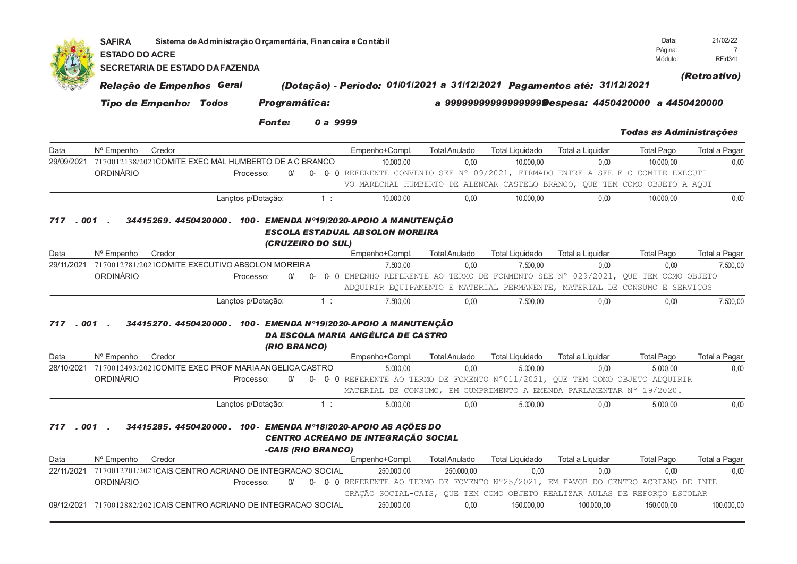|                    | <b>SAFIRA</b><br><b>ESTADO DO ACRE</b><br><b>SECRETARIA DE ESTADO DA FAZENDA</b>     | Sistema de Administração O rçamentária, Finan ceira e Contábil |               |                        |                                                                                                                                                                                             |                              |                                    |                          | Data:<br>Página:<br>Módulo:                           | 21/02/22<br>$\overline{7}$<br>RFirl34t |
|--------------------|--------------------------------------------------------------------------------------|----------------------------------------------------------------|---------------|------------------------|---------------------------------------------------------------------------------------------------------------------------------------------------------------------------------------------|------------------------------|------------------------------------|--------------------------|-------------------------------------------------------|----------------------------------------|
|                    | Relação de Empenhos Geral                                                            |                                                                |               |                        | (Dotação) - Período: 01/01/2021 a 31/12/2021 Pagamentos até: 31/12/2021                                                                                                                     |                              |                                    |                          |                                                       | (Retroativo)                           |
|                    | <b>Tipo de Empenho: Todos</b>                                                        |                                                                | Programática: |                        |                                                                                                                                                                                             |                              |                                    |                          | a 9999999999999999999Despesa: 4450420000 a 4450420000 |                                        |
|                    |                                                                                      |                                                                | <b>Fonte:</b> | 0 a 9999               |                                                                                                                                                                                             |                              |                                    |                          | <b>Todas as Administrações</b>                        |                                        |
| Data               | N° Empenho<br>Credor                                                                 |                                                                |               |                        | Empenho+Compl.                                                                                                                                                                              | <b>Total Anulado</b>         | <b>Total Liquidado</b>             | Total a Liquidar         | <b>Total Pago</b>                                     | Total a Pagar                          |
| 29/09/2021         | 7170012138/2021COMITE EXEC MAL HUMBERTO DE AC BRANCO<br>ORDINÁRIO                    | Processo:                                                      | $\Omega$      |                        | 10.000,00<br>0- 0-0 REFERENTE CONVENIO SEE N° 09/2021, FIRMADO ENTRE A SEE E O COMITE EXECUTI-<br>VO MARECHAL HUMBERTO DE ALENCAR CASTELO BRANCO, QUE TEM COMO OBJETO A AQUI-               | 0.00                         | 10.000,00                          | 0.00                     | 10.000.00                                             | 0,00                                   |
|                    |                                                                                      | Lançtos p/Dotação:                                             |               | 1:                     | 10.000,00                                                                                                                                                                                   | 0.00                         | 10.000,00                          | 0.00                     | 10.000,00                                             | 0,00                                   |
| Data<br>29/11/2021 | N° Empenho<br>Credor<br>7170012781/2021COMITE EXECUTIVO ABSOLON MOREIRA<br>ORDINÁRIO | Processo:                                                      | $\alpha$      | (CRUZEIRO DO SUL)<br>0 | Empenho+Compl.<br>7.500,00<br>0 0 EMPENHO REFERENTE AO TERMO DE FORMENTO SEE N° 029/2021, QUE TEM COMO OBJETO<br>ADQUIRIR EQUIPAMENTO E MATERIAL PERMANENTE, MATERIAL DE CONSUMO E SERVIÇOS | <b>Total Anulado</b><br>0.00 | <b>Total Liquidado</b><br>7.500,00 | Total a Liquidar<br>0.00 | <b>Total Pago</b><br>0.00                             | Total a Pagar<br>7.500,00              |
|                    |                                                                                      | Lançtos p/Dotação:                                             |               | 1:                     | 7.500,00                                                                                                                                                                                    | 0.00                         | 7.500,00                           | 0,00                     | 0,00                                                  | 7.500,00                               |
| 717<br>. 001       |                                                                                      |                                                                | (RIO BRANCO)  |                        | 34415270. 4450420000. 100- EMENDA N°19/2020-APOIO A MANUTENÇÃO<br>DA ESCOLA MARIA ANGÉLICA DE CASTRO                                                                                        |                              |                                    |                          |                                                       |                                        |
| Data               | N° Empenho<br>Credor                                                                 |                                                                |               |                        | Empenho+Compl.                                                                                                                                                                              | <b>Total Anulado</b>         | <b>Total Liquidado</b>             | Total a Liquidar         | <b>Total Pago</b>                                     | Total a Pagar                          |
|                    | 28/10/2021 7170012493/2021COMITE EXEC PROF MARIA ANGELICA CASTRO<br>ORDINÁRIO        | Processo:                                                      | $\Omega$      |                        | 5.000,00<br>0- 0-0 REFERENTE AO TERMO DE FOMENTO N°011/2021, QUE TEM COMO OBJETO ADQUIRIR<br>MATERIAL DE CONSUMO, EM CUMPRIMENTO A EMENDA PARLAMENTAR Nº 19/2020.                           | 0,00                         | 5.000,00                           | 0,00                     | 5.000.00                                              | 0,00                                   |
|                    |                                                                                      | Lançtos p/Dotação:                                             |               | 1:                     | 5.000,00                                                                                                                                                                                    | 0.00                         | 5.000,00                           | 0,00                     | 5.000,00                                              | 0,00                                   |
| 717.001.<br>Data   | Nº Empenho<br>Credor                                                                 |                                                                |               | -CAIS (RIO BRANCO)     | 34415285. 4450420000. 100- EMENDA N°18/2020-APOIO AS AÇÕES DO<br>CENTRO ACREANO DE INTEGRAÇÃO SOCIAL<br>Empenho+Compl.                                                                      | <b>Total Anulado</b>         | <b>Total Liquidado</b>             | Total a Liquidar         | <b>Total Pago</b>                                     | Total a Pagar                          |
|                    | 22/11/2021 7170012701/2021CAIS CENTRO ACRIANO DE INTEGRACAO SOCIAL                   |                                                                |               |                        | 250.000,00                                                                                                                                                                                  | 250.000.00                   | 0.00                               | 0.00                     | 0.00                                                  | 0.00                                   |
|                    | ORDINÁRIO                                                                            | Processo:                                                      | $\alpha$      |                        | 0- 0- 0 REFERENTE AO TERMO DE FOMENTO N°25/2021, EM FAVOR DO CENTRO ACRIANO DE INTE<br>GRAÇÃO SOCIAL-CAIS, QUE TEM COMO OBJETO REALIZAR AULAS DE REFORÇO ESCOLAR                            |                              |                                    |                          |                                                       |                                        |
|                    | 09/12/2021 7170012882/2021CAIS CENTRO ACRIANO DE INTEGRACAO SOCIAL                   |                                                                |               |                        | 250.000,00                                                                                                                                                                                  | 0,00                         | 150.000,00                         | 100.000,00               | 150.000,00                                            | 100.000,00                             |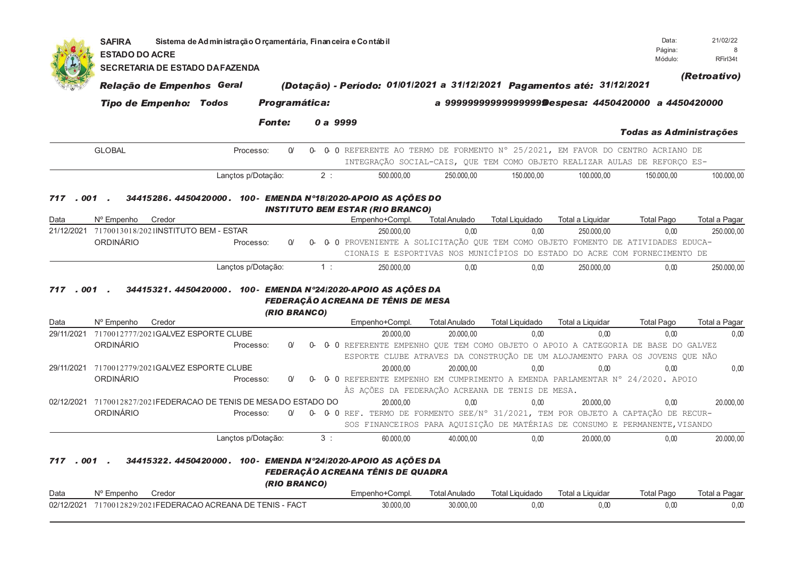|                      | <b>SAFIRA</b><br><b>ESTADO DO ACRE</b>                                               | Sistema de Administração Orçamentária, Financeira e Contábil |               |    |    |                                                                                                                              |                              |                                                                                                             |                                | Data:<br>Página:          | 21/02/22<br>Я.              |
|----------------------|--------------------------------------------------------------------------------------|--------------------------------------------------------------|---------------|----|----|------------------------------------------------------------------------------------------------------------------------------|------------------------------|-------------------------------------------------------------------------------------------------------------|--------------------------------|---------------------------|-----------------------------|
|                      | <b>SECRETARIA DE ESTADO DA FAZENDA</b>                                               |                                                              |               |    |    |                                                                                                                              |                              |                                                                                                             |                                | Módulo:                   | RFirl34t                    |
|                      | Relação de Empenhos Geral                                                            |                                                              |               |    |    | (Dotação) - Período: 01/01/2021 a 31/12/2021 Pagamentos até: 31/12/2021                                                      |                              |                                                                                                             |                                |                           | (Retroativo)                |
|                      | <b>Tipo de Empenho: Todos</b>                                                        |                                                              | Programática: |    |    |                                                                                                                              |                              | a 9999999999999999999 Despesa: 4450420000 a 4450420000                                                      |                                |                           |                             |
|                      |                                                                                      |                                                              | <b>Fonte:</b> |    |    | 0 a 9999                                                                                                                     |                              |                                                                                                             |                                |                           |                             |
|                      |                                                                                      |                                                              |               |    |    |                                                                                                                              |                              |                                                                                                             |                                | Todas as Administrações   |                             |
|                      | <b>GLOBAL</b>                                                                        | Processo:                                                    | $\alpha$      |    |    | 0- 0- 0 REFERENTE AO TERMO DE FORMENTO N° 25/2021, EM FAVOR DO CENTRO ACRIANO DE                                             |                              | INTEGRAÇÃO SOCIAL-CAIS, QUE TEM COMO OBJETO REALIZAR AULAS DE REFORÇO ES-                                   |                                |                           |                             |
|                      |                                                                                      | Lançtos p/Dotação:                                           |               |    | 2: | 500.000,00                                                                                                                   | 250.000,00                   | 150.000,00                                                                                                  | 100.000,00                     | 150.000,00                | 100.000,00                  |
| Data                 | N° Empenho<br>Credor<br>21/12/2021 7170013018/2021INSTITUTO BEM - ESTAR<br>ORDINÁRIO | Processo:                                                    | $\Omega$      | 0- |    | Empenho+Compl.<br>250.000,00<br>0 O PROVENIENTE A SOLICITAÇÃO QUE TEM COMO OBJETO FOMENTO DE ATIVIDADES EDUCA-               | <b>Total Anulado</b><br>0,00 | <b>Total Liquidado</b><br>0,00<br>CIONAIS E ESPORTIVAS NOS MUNICÍPIOS DO ESTADO DO ACRE COM FORNECIMENTO DE | Total a Liquidar<br>250.000,00 | <b>Total Pago</b><br>0,00 | Total a Pagar<br>250.000,00 |
|                      |                                                                                      | Lançtos p/Dotação:                                           |               |    | 1: | 250,000.00                                                                                                                   | 0.00                         | 0.00                                                                                                        | 250.000,00                     | 0.00                      | 250.000,00                  |
| . 001<br>717<br>Data | N° Empenho<br>Credor                                                                 |                                                              | (RIO BRANCO)  |    |    | 34415321. 4450420000. 100- EMENDA N°24/2020-APOIO AS AÇÕES DA<br><b>FEDERAÇÃO ACREANA DE TÊNIS DE MESA</b><br>Empenho+Compl. | <b>Total Anulado</b>         | <b>Total Liquidado</b>                                                                                      | Total a Liquidar               | <b>Total Pago</b>         | Total a Pagar               |
| 29/11/2021           | 7170012777/2021GALVEZ ESPORTE CLUBE                                                  |                                                              |               |    |    | 20.000.00                                                                                                                    | 20.000,00                    | 0,00                                                                                                        | 0,00                           | 0,00                      | 0,00                        |
|                      | ORDINÁRIO                                                                            | Processo:                                                    | $\Omega$      | 0- |    | 0 0 REFERENTE EMPENHO QUE TEM COMO OBJETO O APOIO A CATEGORIA DE BASE DO GALVEZ                                              |                              | ESPORTE CLUBE ATRAVES DA CONSTRUÇÃO DE UM ALOJAMENTO PARA OS JOVENS QUE NÃO                                 |                                |                           |                             |
| 29/11/2021           | 7170012779/2021GALVEZ ESPORTE CLUBE                                                  |                                                              |               |    |    | 20.000.00                                                                                                                    | 20.000,00                    | 0.00                                                                                                        | 0.00                           | 0.00                      | 0,00                        |
|                      | ORDINÁRIO                                                                            | Processo:                                                    | $\Omega$      |    |    | 0 0 REFERENTE EMPENHO EM CUMPRIMENTO A EMENDA PARLAMENTAR N° 24/2020. APOIO                                                  |                              | ÀS ACÕES DA FEDERAÇÃO ACREANA DE TENIS DE MESA.                                                             |                                |                           |                             |
|                      | 02/12/2021 7170012827/2021 FEDERACAO DE TENIS DE MESA DO ESTADO DO                   |                                                              |               |    |    | 20.000,00                                                                                                                    | 0.00                         | 0.00                                                                                                        | 20.000.00                      | 0.00                      | 20.000.00                   |
|                      | <b>ORDINÁRIO</b>                                                                     | Processo:                                                    | $\Omega$      |    |    | 0- 0- 0 REF. TERMO DE FORMENTO SEE/N° 31/2021, TEM POR OBJETO A CAPTAÇÃO DE RECUR-                                           |                              |                                                                                                             |                                |                           |                             |
|                      |                                                                                      |                                                              |               |    |    |                                                                                                                              |                              | SOS FINANCEIROS PARA AQUISIÇÃO DE MATÉRIAS DE CONSUMO E PERMANENTE, VISANDO                                 |                                |                           |                             |
| . 001<br>717         |                                                                                      | Lançtos p/Dotação:                                           |               |    | 3: | 60.000,00<br>34415322.4450420000. 100- EMENDA Nº24/2020-APOIO AS AÇÕES DA                                                    | 40.000,00                    | 0.00                                                                                                        | 20.000,00                      | 0.00                      | 20.000,00                   |
|                      |                                                                                      |                                                              | (RIO BRANCO)  |    |    | <b>FEDERAÇÃO ACREANA TÊNIS DE QUADRA</b>                                                                                     |                              |                                                                                                             |                                |                           |                             |
| Data                 | Nº Empenho<br>Credor                                                                 |                                                              |               |    |    | Empenho+Compl.                                                                                                               | <b>Total Anulado</b>         | <b>Total Liquidado</b>                                                                                      | Total a Liquidar               | <b>Total Pago</b>         | Total a Pagar               |
| 02/12/2021           | 7170012829/2021FEDERACAO ACREANA DE TENIS - FACT                                     |                                                              |               |    |    | 30.000,00                                                                                                                    | 30.000,00                    | 0,00                                                                                                        | 0,00                           | 0,00                      | 0,00                        |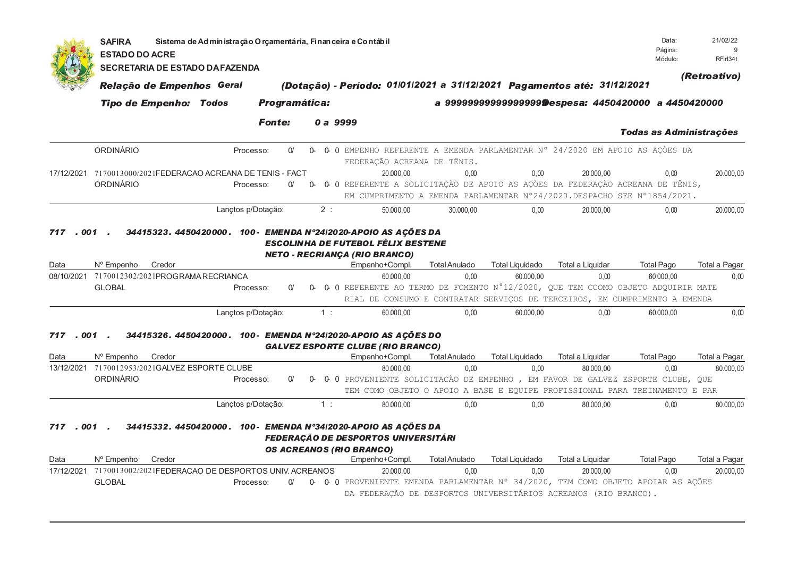|              | <b>SAFIRA</b><br><b>ESTADO DO ACRE</b>                                   | Sistema de Administração O rçamentária, Financeira e Contábil<br><b>SECRETARIA DE ESTADO DA FAZENDA</b> |                    |               |          |    |                                 |                                                                                         |                             |           |                        |                                                                              | Data:<br>Página:<br>Módulo:                                                                                                                                          | 21/02/22<br>q<br>RFirl34t |
|--------------|--------------------------------------------------------------------------|---------------------------------------------------------------------------------------------------------|--------------------|---------------|----------|----|---------------------------------|-----------------------------------------------------------------------------------------|-----------------------------|-----------|------------------------|------------------------------------------------------------------------------|----------------------------------------------------------------------------------------------------------------------------------------------------------------------|---------------------------|
|              |                                                                          | Relação de Empenhos Geral                                                                               |                    |               |          |    |                                 |                                                                                         |                             |           |                        | (Dotação) - Período: 01/01/2021 a 31/12/2021 Pagamentos até: 31/12/2021      |                                                                                                                                                                      | (Retroativo)              |
|              |                                                                          | <b>Tipo de Empenho: Todos</b>                                                                           |                    | Programática: |          |    |                                 |                                                                                         |                             |           |                        |                                                                              | a 9999999999999999999 Despesa: 4450420000 a 4450420000                                                                                                               |                           |
|              |                                                                          |                                                                                                         |                    | <b>Fonte:</b> |          |    | 0 a 9999                        |                                                                                         |                             |           |                        |                                                                              | <b>Todas as Administrações</b>                                                                                                                                       |                           |
|              | <b>ORDINÁRIO</b>                                                         |                                                                                                         | Processo:          |               | $\Omega$ |    |                                 |                                                                                         | FEDERAÇÃO ACREANA DE TÊNIS. |           |                        |                                                                              | 0 0 EMPENHO REFERENTE A EMENDA PARLAMENTAR N° 24/2020 EM APOIO AS AÇÕES DA                                                                                           |                           |
|              | 17/12/2021 7170013000/2021FEDERACAO ACREANA DE TENIS - FACT<br>ORDINÁRIO |                                                                                                         | Processo:          |               | $\Omega$ |    |                                 | 20.000.00                                                                               |                             | 0.00      | 0.00                   | 20.000.00                                                                    | 0.00<br>0- 0- O REFERENTE A SOLICITAÇÃO DE APOIO AS AÇÕES DA FEDERAÇÃO ACREANA DE TÊNIS,<br>EM CUMPRIMENTO A EMENDA PARLAMENTAR N°24/2020. DESPACHO SEE N°1854/2021. | 20.000,00                 |
| . 001<br>717 |                                                                          | 34415323. 4450420000. 100- EMENDA N°24/2020-APOIO AS AÇÕES DA                                           | Lançtos p/Dotação: |               |          | 2: |                                 | 50.000.00<br>ESCOLINHA DE FUTEBOL FÉLIX BESTENE<br><b>NETO - RECRIANÇA (RIO BRANCO)</b> |                             | 30.000.00 | 0.00                   | 20.000.00                                                                    | 0.00                                                                                                                                                                 | 20.000,00                 |
| Data         | Nº Empenho                                                               | Credor                                                                                                  |                    |               |          |    |                                 | Empenho+Compl.                                                                          | <b>Total Anulado</b>        |           | <b>Total Liquidado</b> | Total a Liquidar                                                             | <b>Total Pago</b>                                                                                                                                                    | Total a Pagar             |
| 08/10/2021   | 7170012302/2021PROGRAMARECRIANCA                                         |                                                                                                         |                    |               |          |    |                                 | 60.000,00                                                                               |                             | 0,00      | 60.000,00              | 0,00                                                                         | 60.000,00                                                                                                                                                            | 0,00                      |
|              | <b>GLOBAL</b>                                                            |                                                                                                         | Processo:          |               | $\alpha$ | 0- |                                 |                                                                                         |                             |           |                        |                                                                              | 0 0 REFERENTE AO TERMO DE FOMENTO N°12/2020, QUE TEM CCOMO OBJETO ADQUIRIR MATE<br>RIAL DE CONSUMO E CONTRATAR SERVIÇOS DE TERCEIROS, EM CUMPRIMENTO A EMENDA        |                           |
|              |                                                                          |                                                                                                         | Lançtos p/Dotação: |               |          | 1: |                                 | 60.000,00                                                                               |                             | 0.00      | 60.000.00              | 0.00                                                                         | 60.000.00                                                                                                                                                            | 0.00                      |
| .001<br>717  |                                                                          | 34415326. 4450420000. 100- EMENDA N°24/2020-APOIO AS AÇÕES DO                                           |                    |               |          |    |                                 | <b>GALVEZ ESPORTE CLUBE (RIO BRANCO)</b>                                                |                             |           |                        |                                                                              |                                                                                                                                                                      |                           |
| Data         | Nº Empenho                                                               | Credor                                                                                                  |                    |               |          |    |                                 | Empenho+Compl.                                                                          | <b>Total Anulado</b>        |           | <b>Total Liquidado</b> | Total a Liquidar                                                             | <b>Total Pago</b>                                                                                                                                                    | Total a Pagar             |
| 13/12/2021   | 7170012953/2021GALVEZ ESPORTE CLUBE                                      |                                                                                                         |                    |               |          |    |                                 | 80.000.00                                                                               |                             | 0.00      | 0.00                   | 80.000.00                                                                    | 0.00                                                                                                                                                                 | 80.000.00                 |
|              | ORDINÁRIO                                                                |                                                                                                         | Processo:          |               | $\Omega$ | 0- |                                 |                                                                                         |                             |           |                        |                                                                              | 0 0 PROVENIENTE SOLICITACÃO DE EMPENHO, EM FAVOR DE GALVEZ ESPORTE CLUBE, QUE                                                                                        |                           |
|              |                                                                          |                                                                                                         |                    |               |          |    |                                 |                                                                                         |                             |           |                        |                                                                              | TEM COMO OBJETO O APOIO A BASE E EQUIPE PROFISSIONAL PARA TREINAMENTO E PAR                                                                                          |                           |
|              |                                                                          |                                                                                                         | Lançtos p/Dotação: |               |          | 1: |                                 | 80.000,00                                                                               |                             | 0.00      | 0.00                   | 80.000.00                                                                    | 0.00                                                                                                                                                                 | 80.000,00                 |
| 717<br>Data  | $.001$ .<br>N° Empenho                                                   | 34415332. 4450420000. 100- EMENDA Nº34/2020-APOIO AS AÇÕES DA<br>Credor                                 |                    |               |          |    | <b>OS ACREANOS (RIO BRANCO)</b> | <b>FEDERAÇÃO DE DESPORTOS UNIVERSITÁRI</b><br>Empenho+Compl.                            | <b>Total Anulado</b>        |           | <b>Total Liquidado</b> | Total a Liquidar                                                             | <b>Total Pago</b>                                                                                                                                                    | Total a Pagar             |
| 17/12/2021   | 7170013002/2021FEDERACAO DE DESPORTOS UNIV. ACREANOS<br><b>GLOBAL</b>    |                                                                                                         | Processo:          |               | $\alpha$ |    |                                 | 20.000.00                                                                               |                             | 0.00      | 0.00                   | 20.000.00<br>DA FEDERAÇÃO DE DESPORTOS UNIVERSITÁRIOS ACREANOS (RIO BRANCO). | 0.00<br>0- 0- 0 PROVENIENTE EMENDA PARLAMENTAR N° 34/2020, TEM COMO OBJETO APOIAR AS AÇÕES                                                                           | 20.000.00                 |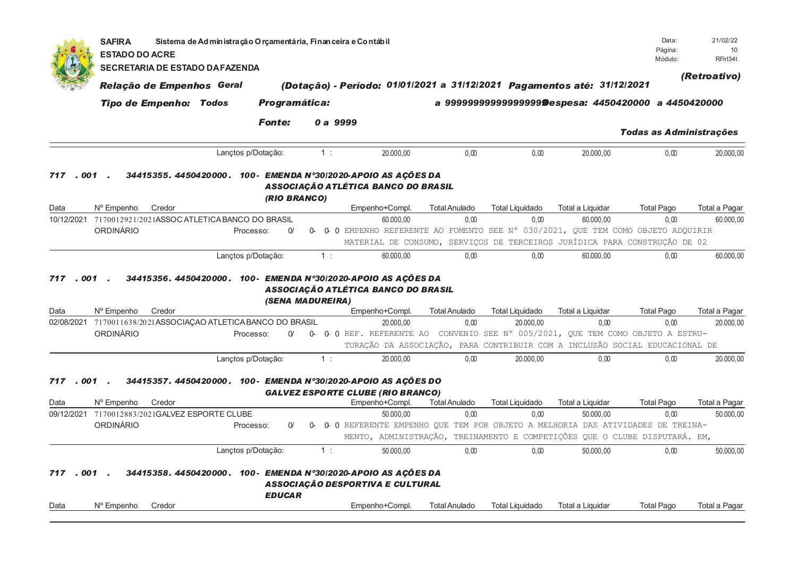|              | <b>SAFIRA</b><br><b>ESTADO DO ACRE</b>             | Sistema de Administração O rçamentária, Finan ceira e Contábil |               |                  |                                                                                                                                                                |                      |                                                        |                  | Data:<br>Página:<br>Módulo:    | 21/02/22<br>10<br>RFirl34t |
|--------------|----------------------------------------------------|----------------------------------------------------------------|---------------|------------------|----------------------------------------------------------------------------------------------------------------------------------------------------------------|----------------------|--------------------------------------------------------|------------------|--------------------------------|----------------------------|
|              | SECRETARIA DE ESTADO DA FAZENDA                    |                                                                |               |                  |                                                                                                                                                                |                      |                                                        |                  |                                | (Retroativo)               |
|              | Relação de Empenhos Geral                          |                                                                |               |                  | (Dotação) - Período: 01/01/2021 a 31/12/2021 Pagamentos até: 31/12/2021                                                                                        |                      |                                                        |                  |                                |                            |
|              | <b>Tipo de Empenho: Todos</b>                      |                                                                | Programática: |                  |                                                                                                                                                                |                      | a 9999999999999999999 Despesa: 4450420000 a 4450420000 |                  |                                |                            |
|              |                                                    |                                                                | <b>Fonte:</b> | 0 a 9999         |                                                                                                                                                                |                      |                                                        |                  | <b>Todas as Administrações</b> |                            |
|              |                                                    | Lançtos p/Dotação:                                             |               | 1:               | 20.000.00                                                                                                                                                      | 0.00                 | 0.00                                                   | 20.000,00        | 0.00                           | 20.000,00                  |
| 001<br>717   |                                                    |                                                                | (RIO BRANCO)  |                  | 34415355. 4450420000. 100- EMENDA Nº30/2020-APOIO AS AÇÕES DA<br>ASSOCIAÇÃO ATLÉTICA BANCO DO BRASIL                                                           |                      |                                                        |                  |                                |                            |
| Data         | N° Empenho<br>Credor                               |                                                                |               |                  | Empenho+Compl.                                                                                                                                                 | <b>Total Anulado</b> | <b>Total Liquidado</b>                                 | Total a Liquidar | <b>Total Pago</b>              | Total a Pagar              |
| 10/12/2021   | 7170012921/2021ASSOC ATLETICA BANCO DO BRASIL      |                                                                |               |                  | 60.000,00                                                                                                                                                      | 0,00                 | 0,00                                                   | 60.000,00        | 0,00                           | 60.000,00                  |
|              | ORDINÁRIO                                          | Processo:                                                      | $\Omega$      | 0-               | 0 0 EMPENHO REFERENTE AO FOMENTO SEE N° 030/2021, QUE TEM COMO OBJETO ADQUIRIR<br>MATERIAL DE CONSUMO, SERVIÇOS DE TERCEIROS JURÍDICA PARA CONSTRUÇÃO DE 02    |                      |                                                        |                  |                                |                            |
|              |                                                    | Lanctos p/Dotação:                                             |               | $1$ :            | 60.000,00                                                                                                                                                      | 0.00                 | 0,00                                                   | 60.000,00        | 0,00                           | 60.000,00                  |
| Data         | Nº Empenho<br>Credor                               |                                                                |               | (SENA MADUREIRA) | ASSOCIAÇÃO ATLÉTICA BANCO DO BRASIL<br>Empenho+Compl.                                                                                                          | <b>Total Anulado</b> | <b>Total Liquidado</b>                                 | Total a Liquidar | <b>Total Pago</b>              | Total a Pagar              |
| 02/08/2021   | 7170011638/2021ASSOCIAÇAO ATLETICA BANCO DO BRASIL |                                                                |               |                  | 20.000,00                                                                                                                                                      | 0,00                 | 20.000,00                                              | 0,00             | 0,00                           | 20.000,00                  |
|              | ORDINÁRIO                                          | Processo:                                                      | $\alpha$      |                  | 0- 0-0 REF. REFERENTE AO CONVENIO SEE N° 005/2021, QUE TEM COMO OBJETO A ESTRU-<br>TURAÇÃO DA ASSOCIAÇÃO, PARA CONTRIBUIR COM A INCLUSÃO SOCIAL EDUCACIONAL DE |                      |                                                        |                  |                                |                            |
|              |                                                    | Lançtos p/Dotação:                                             |               | 1:               | 20.000,00                                                                                                                                                      | 0,00                 | 20.000,00                                              | 0,00             | 0,00                           | 20.000,00                  |
| 717<br>. 001 |                                                    |                                                                |               |                  | 34415357.4450420000. 100- EMENDA N°30/2020-APOIO AS AÇÕES DO<br><b>GALVEZ ESPORTE CLUBE (RIO BRANCO)</b>                                                       |                      |                                                        |                  |                                |                            |
| Data         | Nº Empenho<br>Credor                               |                                                                |               |                  | Empenho+Compl.                                                                                                                                                 | <b>Total Anulado</b> | <b>Total Liquidado</b>                                 | Total a Liquidar | <b>Total Pago</b>              | Total a Pagar              |
|              | 09/12/2021 7170012883/2021GALVEZ ESPORTE CLUBE     |                                                                |               |                  | 50.000,00                                                                                                                                                      | 0,00                 | 0,00                                                   | 50.000,00        | 0,00                           | 50.000,00                  |
|              | ORDINÁRIO                                          | Processo:                                                      | $\Omega$      | 0-               | 0 0 REFERENTE EMPENHO QUE TEM POR OBJETO A MELHORIA DAS ATIVIDADES DE TREINA-                                                                                  |                      |                                                        |                  |                                |                            |
|              |                                                    |                                                                |               |                  | MENTO, ADMINISTRAÇÃO, TREINAMENTO E COMPETIÇÕES QUE O CLUBE DISPUTARÁ. EM,                                                                                     |                      |                                                        |                  |                                |                            |
| . 001<br>717 |                                                    | Lançtos p/Dotação:                                             |               | 1:               | 50.000,00<br>34415358. 4450420000. 100- EMENDA Nº30/2020-APOIO AS AÇÕES DA<br>ASSOCIAÇÃO DESPORTIVA E CULTURAL                                                 | 0,00                 | 0,00                                                   | 50.000,00        | 0,00                           | 50.000,00                  |
| Data         | Nº Empenho<br>Credor                               |                                                                | <b>EDUCAR</b> |                  | Empenho+Compl.                                                                                                                                                 | <b>Total Anulado</b> | <b>Total Liquidado</b>                                 | Total a Liquidar | <b>Total Pago</b>              | Total a Pagar              |
|              |                                                    |                                                                |               |                  |                                                                                                                                                                |                      |                                                        |                  |                                |                            |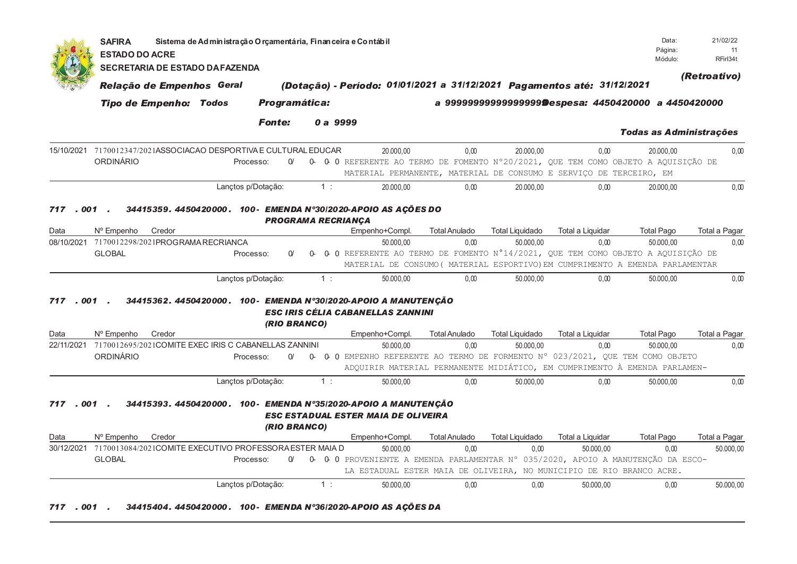|                 | Sistema de Administração Orçamentária, Financeira e Contábil<br><b>SAFIRA</b><br>Página:<br><b>ESTADO DO ACRE</b> |                                                               |                           |                                                                                                 |                                                                               |                        |                                                        |                                |               |  |  |  |  |
|-----------------|-------------------------------------------------------------------------------------------------------------------|---------------------------------------------------------------|---------------------------|-------------------------------------------------------------------------------------------------|-------------------------------------------------------------------------------|------------------------|--------------------------------------------------------|--------------------------------|---------------|--|--|--|--|
|                 | <b>SECRETARIA DE ESTADO DA FAZENDA</b>                                                                            |                                                               |                           |                                                                                                 |                                                                               |                        |                                                        | Módulo:                        | RFirl34t      |  |  |  |  |
|                 | Relação de Empenhos Geral                                                                                         |                                                               |                           | (Dotação) - Período: 01/01/2021 a 31/12/2021 Pagamentos até: 31/12/2021                         |                                                                               |                        |                                                        |                                | (Retroativo)  |  |  |  |  |
|                 | <b>Tipo de Empenho: Todos</b>                                                                                     |                                                               | Programática:             |                                                                                                 |                                                                               |                        | a 9999999999999999999 Despesa: 4450420000 a 4450420000 |                                |               |  |  |  |  |
|                 |                                                                                                                   | <b>Fonte:</b>                                                 |                           | 0 a 9999                                                                                        |                                                                               |                        |                                                        | <b>Todas as Administrações</b> |               |  |  |  |  |
|                 | 15/10/2021 7170012347/2021ASSOCIACAO DESPORTIVA E CULTURAL EDUCAR<br><b>ORDINÁRIO</b>                             | Processo:                                                     | $\Omega$                  | 20.000.00<br>0- 0-0 REFERENTE AO TERMO DE FOMENTO N°20/2021, QUE TEM COMO OBJETO A AQUISIÇÃO DE | 0.00<br>MATERIAL PERMANENTE, MATERIAL DE CONSUMO E SERVIÇO DE TERCEIRO, EM    | 20.000.00              | 0.00                                                   | 20.000.00                      | 0,00          |  |  |  |  |
|                 |                                                                                                                   | Lançtos p/Dotação:                                            | 1:                        | 20.000,00                                                                                       | 0.00                                                                          | 20.000,00              | 0,00                                                   | 20.000,00                      | 0,00          |  |  |  |  |
| 717.001         |                                                                                                                   | 34415359. 4450420000. 100- EMENDA N°30/2020-APOIO AS AÇÕES DO | <b>PROGRAMA RECRIANÇA</b> |                                                                                                 |                                                                               |                        |                                                        |                                |               |  |  |  |  |
| Data            | Credor<br>Nº Empenho                                                                                              |                                                               |                           | Empenho+Compl.                                                                                  | <b>Total Anulado</b>                                                          | <b>Total Liquidado</b> | Total a Liquidar                                       | <b>Total Pago</b>              | Total a Pagar |  |  |  |  |
|                 | 08/10/2021 7170012298/2021PROGRAMARECRIANCA                                                                       |                                                               |                           | 50.000.00                                                                                       | 0.00                                                                          | 50.000.00              | 0,00                                                   | 50.000.00                      | 0.00          |  |  |  |  |
|                 | <b>GLOBAL</b>                                                                                                     | Processo:                                                     | $\alpha$<br>0-            | 0 O REFERENTE AO TERMO DE FOMENTO Nº14/2021, QUE TEM COMO OBJETO A AQUISIÇÃO DE                 | MATERIAL DE CONSUMO ( MATERIAL ESPORTIVO) EM CUMPRIMENTO A EMENDA PARLAMENTAR |                        |                                                        |                                |               |  |  |  |  |
|                 |                                                                                                                   | Lançtos p/Dotação:                                            | 1:                        | 50.000,00                                                                                       | 0.00                                                                          | 50.000,00              | 0,00                                                   | 50.000,00                      | 0,00          |  |  |  |  |
| 717.001         |                                                                                                                   | 34415362.4450420000.100-EMENDA N°30/2020-APOIO A MANUTENCÃO   | (RIO BRANCO)              | ESC IRIS CÉLIA CABANELLAS ZANNINI                                                               |                                                                               |                        |                                                        |                                |               |  |  |  |  |
| Data            | N° Empenho<br>Credor                                                                                              |                                                               |                           | Empenho+Compl.                                                                                  | <b>Total Anulado</b>                                                          | <b>Total Liquidado</b> | Total a Liquidar                                       | <b>Total Pago</b>              | Total a Pagar |  |  |  |  |
| 22/11/2021      | 7170012695/2021COMITE EXEC IRIS C CABANELLAS ZANNINI<br>ORDINÁRIO                                                 | Processo:                                                     | $\Omega$                  | 50.000.00<br>0 0 EMPENHO REFERENTE AO TERMO DE FORMENTO N° 023/2021, QUE TEM COMO OBJETO        | 0.00                                                                          | 50.000.00              | 0.00                                                   | 50.000.00                      | 0.00          |  |  |  |  |
|                 |                                                                                                                   |                                                               |                           |                                                                                                 | ADQUIRIR MATERIAL PERMANENTE MIDIÁTICO, EM CUMPRIMENTO À EMENDA PARLAMEN-     |                        |                                                        |                                |               |  |  |  |  |
|                 |                                                                                                                   | Lançtos p/Dotação:                                            | 1:                        | 50.000.00                                                                                       | 0.00                                                                          | 50.000.00              | 0.00                                                   | 50.000.00                      | 0.00          |  |  |  |  |
| 717.001<br>Data | Nº Empenho<br>Credor                                                                                              | 34415393.4450420000. 100- EMENDA N°35/2020-APOIO A MANUTENÇÃO | (RIO BRANCO)              | <b>ESC ESTADUAL ESTER MAIA DE OLIVEIRA</b><br>Empenho+Compl.                                    | <b>Total Anulado</b>                                                          | <b>Total Liquidado</b> | Total a Liquidar                                       | <b>Total Pago</b>              | Total a Pagar |  |  |  |  |
| 30/12/2021      | 7170013084/2021COMITE EXECUTIVO PROFESSORA ESTER MAIA D                                                           |                                                               |                           | 50.000.00                                                                                       | 0.00                                                                          | 0.00                   | 50,000.00                                              | 0.00                           | 50.000.00     |  |  |  |  |
|                 | <b>GLOBAL</b>                                                                                                     | Processo:                                                     | $\Omega$                  | 0- 0-0 PROVENIENTE A EMENDA PARLAMENTAR N° 035/2020, APOIO A MANUTENÇÃO DA ESCO-                | LA ESTADUAL ESTER MAIA DE OLIVEIRA, NO MUNICIPIO DE RIO BRANCO ACRE.          |                        |                                                        |                                |               |  |  |  |  |
|                 |                                                                                                                   | Lançtos p/Dotação:                                            | 1:                        | 50.000,00                                                                                       | 0.00                                                                          | 0,00                   | 50.000,00                                              | 0.00                           | 50.000,00     |  |  |  |  |
| 717.001.        |                                                                                                                   | 34415404. 4450420000. 100- EMENDA Nº36/2020-APOIO AS ACÕES DA |                           |                                                                                                 |                                                                               |                        |                                                        |                                |               |  |  |  |  |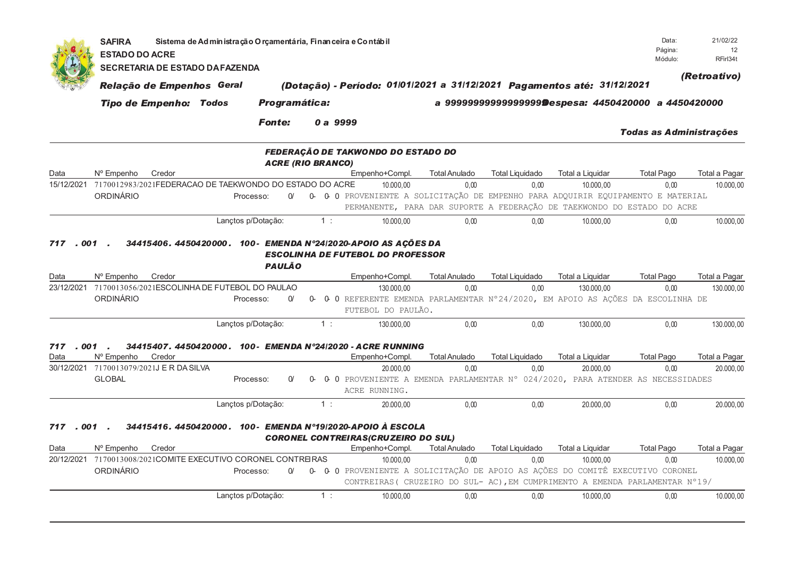|                    | <b>SAFIRA</b><br><b>ESTADO DO ACRE</b>   |                               | Sistema de Administração Orçamentária, Financeira e Contábil  |               |                          |    |                                                                                                                                                               |                              |                                |                                                       | Data:<br>Página:<br>Módulo: | 21/02/22<br>12<br>RFirl34t  |
|--------------------|------------------------------------------|-------------------------------|---------------------------------------------------------------|---------------|--------------------------|----|---------------------------------------------------------------------------------------------------------------------------------------------------------------|------------------------------|--------------------------------|-------------------------------------------------------|-----------------------------|-----------------------------|
|                    |                                          |                               | <b>SECRETARIA DE ESTADO DA FAZENDA</b>                        |               |                          |    |                                                                                                                                                               |                              |                                |                                                       |                             | (Retroativo)                |
|                    |                                          | Relação de Empenhos Geral     |                                                               |               |                          |    | (Dotação) - Período: 01/01/2021 a 31/12/2021 Pagamentos até: 31/12/2021                                                                                       |                              |                                |                                                       |                             |                             |
|                    |                                          | <b>Tipo de Empenho: Todos</b> |                                                               | Programática: |                          |    |                                                                                                                                                               |                              |                                | a 9999999999999999999Despesa: 4450420000 a 4450420000 |                             |                             |
|                    |                                          |                               |                                                               | <b>Fonte:</b> |                          |    | 0 a 9999                                                                                                                                                      |                              |                                |                                                       | Todas as Administrações     |                             |
|                    |                                          |                               |                                                               |               | <b>ACRE (RIO BRANCO)</b> |    | FEDERAÇÃO DE TAKWONDO DO ESTADO DO                                                                                                                            |                              |                                |                                                       |                             |                             |
| Data               | N° Empenho                               | Credor                        |                                                               |               |                          |    | Empenho+Compl.                                                                                                                                                | <b>Total Anulado</b>         | <b>Total Liquidado</b>         | Total a Liquidar                                      | <b>Total Pago</b>           | Total a Pagar               |
| 15/12/2021         |                                          |                               | 7170012983/2021FEDERACAO DE TAEKWONDO DO ESTADO DO ACRE       |               |                          |    | 10.000.00                                                                                                                                                     | 0.00                         | 0.00                           | 10.000.00                                             | 0.00                        | 10.000,00                   |
|                    | ORDINÁRIO                                |                               | Processo:                                                     | $\Omega$      |                          |    | 0- 0- 0 PROVENIENTE A SOLICITAÇÃO DE EMPENHO PARA ADQUIRIR EQUIPAMENTO E MATERIAL<br>PERMANENTE, PARA DAR SUPORTE A FEDERAÇÃO DE TAEKWONDO DO ESTADO DO ACRE  |                              |                                |                                                       |                             |                             |
|                    |                                          |                               | Lançtos p/Dotação:                                            |               |                          | 1: | 10.000,00                                                                                                                                                     | 0.00                         | 0.00                           | 10.000,00                                             | 0.00                        | 10.000,00                   |
| Data<br>23/12/2021 | N° Empenho<br>ORDINÁRIO                  | Credor                        | 7170013056/2021ESCOLINHA DE FUTEBOL DO PAULAO<br>Processo:    | $\Omega$      | 0                        |    | Empenho+Compl.<br>130.000,00<br>0 0 REFERENTE EMENDA PARLAMENTAR N°24/2020, EM APOIO AS AÇÕES DA ESCOLINHA DE<br>FUTEBOL DO PAULÃO.                           | <b>Total Anulado</b><br>0.00 | <b>Total Liquidado</b><br>0.00 | Total a Liquidar<br>130.000,00                        | <b>Total Pago</b><br>0.00   | Total a Pagar<br>130.000,00 |
| 717<br>. 001 .     |                                          |                               | Lançtos p/Dotação:                                            |               |                          | 1: | 130.000,00<br>34415407, 4450420000, 100- EMENDA N°24/2020 - ACRE RUNNING                                                                                      | 0.00                         | 0.00                           | 130.000.00                                            | 0.00                        | 130.000,00                  |
| Data               | N° Empenho                               | Credor                        |                                                               |               |                          |    | Empenho+Compl.                                                                                                                                                | <b>Total Anulado</b>         | <b>Total Liquidado</b>         | Total a Liquidar                                      | <b>Total Pago</b>           | Total a Pagar               |
|                    | 30/12/2021 7170013079/2021J E R DA SILVA |                               |                                                               |               |                          |    | 20.000,00                                                                                                                                                     | 0,00                         | 0,00                           | 20,000.00                                             | 0,00                        | 20.000,00                   |
|                    | <b>GLOBAL</b>                            |                               | Processo:                                                     | $\Omega$      | 0-                       |    | 0 0 PROVENIENTE A EMENDA PARLAMENTAR N° 024/2020, PARA ATENDER AS NECESSIDADES<br>ACRE RUNNING.                                                               |                              |                                |                                                       |                             |                             |
|                    |                                          |                               | Lançtos p/Dotação:                                            |               |                          | 1: | 20.000.00                                                                                                                                                     | 0.00                         | 0.00                           | 20.000.00                                             | 0.00                        | 20.000.00                   |
| 717.001.           |                                          |                               |                                                               |               |                          |    | 34415416. 4450420000. 100- EMENDA Nº19/2020-APOIO À ESCOLA<br><b>CORONEL CONTREIRAS (CRUZEIRO DO SUL)</b>                                                     |                              |                                |                                                       |                             |                             |
| Data               | N° Empenho                               | Credor                        |                                                               |               |                          |    | Empenho+Compl.                                                                                                                                                | <b>Total Anulado</b>         | <b>Total Liquidado</b>         | Total a Liquidar                                      | <b>Total Pago</b>           | Total a Pagar               |
|                    |                                          |                               | 20/12/2021 7170013008/2021COMITE EXECUTIVO CORONEL CONTREIRAS |               |                          |    | 10.000,00                                                                                                                                                     | 0.00                         | 0.00                           | 10.000.00                                             | 0,00                        | 10.000,00                   |
|                    | ORDINÁRIO                                |                               | Processo:                                                     | $\Omega$      |                          |    | 0- 0- 0 PROVENIENTE A SOLICITAÇÃO DE APOIO AS AÇÕES DO COMITÊ EXECUTIVO CORONEL<br>CONTREIRAS (CRUZEIRO DO SUL-AC), EM CUMPRIMENTO A EMENDA PARLAMENTAR Nº19/ |                              |                                |                                                       |                             |                             |
|                    |                                          |                               | Lançtos p/Dotação:                                            |               |                          | 1: | 10.000,00                                                                                                                                                     | 0.00                         | 0.00                           | 10.000.00                                             | 0.00                        | 10.000,00                   |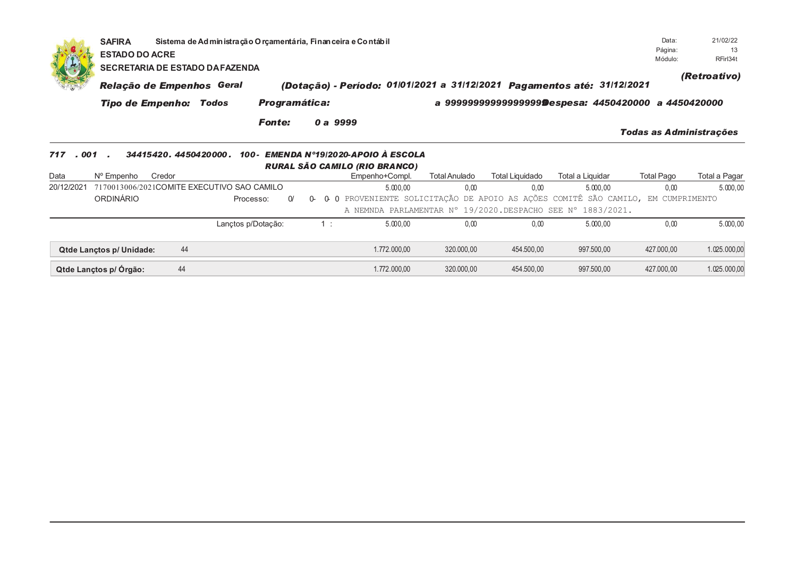|             | Sistema de Administração Orçamentária, Financeira e Contábil<br><b>SAFIRA</b><br>Página:<br><b>ESTADO DO ACRE</b><br>Módulo:<br><b>SECRETARIA DE ESTADO DA FAZENDA</b>                                                                                                                                                                                                                                                                                                                                                  |    |            |                       |    |                                                                                             |            |                         |            |                         |              |  |  |
|-------------|-------------------------------------------------------------------------------------------------------------------------------------------------------------------------------------------------------------------------------------------------------------------------------------------------------------------------------------------------------------------------------------------------------------------------------------------------------------------------------------------------------------------------|----|------------|-----------------------|----|---------------------------------------------------------------------------------------------|------------|-------------------------|------------|-------------------------|--------------|--|--|
|             |                                                                                                                                                                                                                                                                                                                                                                                                                                                                                                                         |    |            |                       |    |                                                                                             |            |                         |            |                         | (Retroativo) |  |  |
|             |                                                                                                                                                                                                                                                                                                                                                                                                                                                                                                                         |    |            |                       |    |                                                                                             | a          |                         |            |                         | a 4450420000 |  |  |
|             |                                                                                                                                                                                                                                                                                                                                                                                                                                                                                                                         |    |            | <b>Fonte:</b>         |    |                                                                                             |            |                         |            | Todas as Administrações |              |  |  |
| 717<br>Data | (Dotação) - Período: 01/01/2021 a 31/12/2021 Pagamentos até: 31/12/2021<br>Relação de Empenhos Geral<br><b>Programática:</b><br>999999999999999999@espesa: 4450420000<br><b>Tipo de Empenho: Todos</b><br>0 a 9999<br>EMENDA Nº19/2020-APOIO À ESCOLA<br>.001<br>34415420, 4450420000,<br>100-<br>RURAL SÃO CAMILO (RIO BRANCO)<br>N° Empenho<br>Credor<br>Empenho+Compl.<br>Total Liquidado<br>Total a Liquidar<br>Total Anulado<br>7170013006/2021COMITE EXECUTIVO SAO CAMILO<br>0.00<br>0.00<br>5.000,00<br>5.000,00 |    | Total Pago | Total a Pagar         |    |                                                                                             |            |                         |            |                         |              |  |  |
| 20/12/2021  |                                                                                                                                                                                                                                                                                                                                                                                                                                                                                                                         |    |            |                       |    |                                                                                             |            |                         |            | 0,00                    | 5.000,00     |  |  |
|             | <b>ORDINÁRIO</b>                                                                                                                                                                                                                                                                                                                                                                                                                                                                                                        |    |            | $\Omega$<br>Processo: | 0- | 0 O PROVENIENTE SOLICITAÇÃO DE APOIO AS AÇÕES COMITÊ SÃO CAMILO,<br>A NEMNDA PARLAMENTAR N° |            | 19/2020.DESPACHO SEE N° | 1883/2021. | EM CUMPRIMENTO          |              |  |  |
|             |                                                                                                                                                                                                                                                                                                                                                                                                                                                                                                                         |    |            | Lanctos p/Dotação:    | 1: | 5.000,00                                                                                    | 0.00       | 0,00                    | 5.000,00   | 0.00                    | 5.000,00     |  |  |
|             | Qtde Lanctos p/ Unidade:                                                                                                                                                                                                                                                                                                                                                                                                                                                                                                | 44 |            |                       |    | 1.772.000,00                                                                                | 320.000,00 | 454.500,00              | 997.500,00 | 427.000,00              | 1.025.000,00 |  |  |
|             | Qtde Lançtos p/ Órgão:                                                                                                                                                                                                                                                                                                                                                                                                                                                                                                  | 44 |            |                       |    | 1.772.000,00                                                                                | 320.000,00 | 454.500,00              | 997.500,00 | 427.000,00              | 1.025.000,00 |  |  |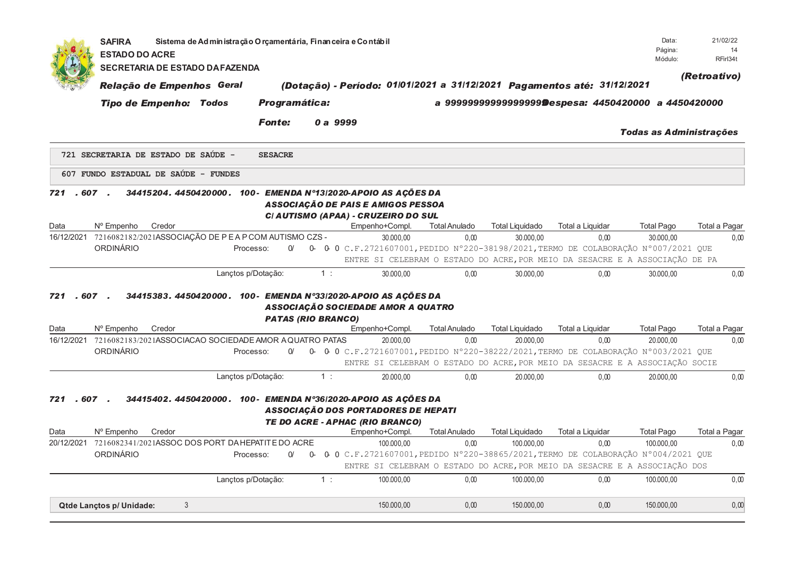|      | <b>SAFIRA</b><br><b>ESTADO DO ACRE</b> | Sistema de Administração Orçamentária, Financeira e Contábil                    |                           |       |                                                                                                  |                                                                              |                                                       |                          | Data:<br>Página:               | 21/02/22<br>14        |
|------|----------------------------------------|---------------------------------------------------------------------------------|---------------------------|-------|--------------------------------------------------------------------------------------------------|------------------------------------------------------------------------------|-------------------------------------------------------|--------------------------|--------------------------------|-----------------------|
|      | <b>SECRETARIA DE ESTADO DA FAZENDA</b> |                                                                                 |                           |       |                                                                                                  |                                                                              |                                                       |                          | Módulo:                        | RFirl34t              |
|      | Relação de Empenhos Geral              |                                                                                 |                           |       | (Dotação) - Período: 01/01/2021 a 31/12/2021 Pagamentos até: 31/12/2021                          |                                                                              |                                                       |                          |                                | (Retroativo)          |
|      | <b>Tipo de Empenho: Todos</b>          |                                                                                 | Programática:             |       |                                                                                                  |                                                                              | a 99999999999999999999espesa: 4450420000 a 4450420000 |                          |                                |                       |
|      |                                        | <b>Fonte:</b>                                                                   |                           |       | 0 a 9999                                                                                         |                                                                              |                                                       |                          | <b>Todas as Administrações</b> |                       |
|      | 721 SECRETARIA DE ESTADO DE SAÚDE -    | <b>SESACRE</b>                                                                  |                           |       |                                                                                                  |                                                                              |                                                       |                          |                                |                       |
|      | 607 FUNDO ESTADUAL DE SAÚDE - FUNDES   |                                                                                 |                           |       |                                                                                                  |                                                                              |                                                       |                          |                                |                       |
| 721  | .607.                                  | 34415204. 4450420000. 100- EMENDA Nº13/2020-APOIO AS ACÕES DA                   |                           |       | ASSOCIAÇÃO DE PAIS E AMIGOS PESSOA<br>CI AUTISMO (APAA) - CRUZEIRO DO SUL                        |                                                                              |                                                       |                          |                                |                       |
| Data | N° Empenho<br>Credor                   | 16/12/2021 7216082182/2021ASSOCIAÇÃO DE PEA PCOM AUTISMO CZS -                  |                           |       | Empenho+Compl.<br>30.000,00                                                                      | <b>Total Anulado</b><br>0,00                                                 | <b>Total Liquidado</b><br>30.000,00                   | Total a Liquidar<br>0,00 | <b>Total Pago</b><br>30.000,00 | Total a Pagar<br>0,00 |
|      | ORDINÁRIO                              | Processo:                                                                       | $\Omega$                  |       | 0- 0-0 C.F.2721607001, PEDIDO N°220-38198/2021, TERMO DE COLABORAÇÃO N°007/2021 QUE              |                                                                              |                                                       |                          |                                |                       |
|      |                                        |                                                                                 |                           |       |                                                                                                  | ENTRE SI CELEBRAM O ESTADO DO ACRE, POR MEIO DA SESACRE E A ASSOCIAÇÃO DE PA |                                                       |                          |                                |                       |
|      |                                        | Lançtos p/Dotação:                                                              |                           | 1:    | 30.000.00                                                                                        | 0.00                                                                         | 30,000.00                                             | 0.00                     | 30.000.00                      | 0.00                  |
| 721  | .607.                                  | 34415383. 4450420000. 100- EMENDA Nº33/2020-APOIO AS AÇÕES DA                   | <b>PATAS (RIO BRANCO)</b> |       | ASSOCIAÇÃO SOCIEDADE AMOR A QUATRO                                                               |                                                                              |                                                       |                          |                                |                       |
| Data | N° Empenho<br>Credor                   |                                                                                 |                           |       | Empenho+Compl.                                                                                   | <b>Total Anulado</b>                                                         | <b>Total Liquidado</b>                                | Total a Liquidar         | <b>Total Pago</b>              | Total a Pagar         |
|      | ORDINÁRIO                              | 16/12/2021 7216082183/2021ASSOCIACAO SOCIEDADE AMOR A QUATRO PATAS<br>Processo: | $\Omega$                  |       | 20.000,00<br>0- 0-0 C.F.2721607001, PEDIDO N°220-38222/2021, TERMO DE COLABORAÇÃO N°003/2021 QUE | 0.00                                                                         | 20.000,00                                             | 0.00                     | 20.000.00                      | 0,00                  |
|      |                                        |                                                                                 |                           |       |                                                                                                  | ENTRE SI CELEBRAM O ESTADO DO ACRE, POR MEIO DA SESACRE E A ASSOCIAÇÃO SOCIE |                                                       |                          |                                |                       |
|      |                                        |                                                                                 |                           | 1:    | 20.000.00                                                                                        | 0.00                                                                         | 20.000.00                                             | 0.00                     | 20.000.00                      | 0,00                  |
|      |                                        | Lançtos p/Dotação:                                                              |                           |       |                                                                                                  |                                                                              |                                                       |                          |                                |                       |
| 721  | $.607$ .                               | 34415402.4450420000.100-EMENDA N°36/2020-APOIO AS ACÕES DA                      |                           |       | ASSOCIAÇÃO DOS PORTADORES DE HEPATI<br>TE DO ACRE - APHAC (RIO BRANCO)                           |                                                                              |                                                       |                          |                                |                       |
| Data | N° Empenho<br>Credor                   |                                                                                 |                           |       | Empenho+Compl.                                                                                   | <b>Total Anulado</b>                                                         | Total Liquidado                                       | Total a Liquidar         | <b>Total Pago</b>              | Total a Pagar         |
|      |                                        | 20/12/2021 7216082341/2021ASSOC DOS PORT DAHEPATITE DO ACRE                     |                           |       | 100.000.00                                                                                       | 0.00                                                                         | 100.000.00                                            | 0.00                     | 100.000.00                     | 0.00                  |
|      | <b>ORDINÁRIO</b>                       | Processo:                                                                       | $\Omega$                  |       | 0- 0- 0 C.F.2721607001, PEDIDO N°220-38865/2021, TERMO DE COLABORAÇÃO N°004/2021 QUE             |                                                                              |                                                       |                          |                                |                       |
|      |                                        |                                                                                 |                           |       |                                                                                                  | ENTRE SI CELEBRAM O ESTADO DO ACRE, POR MEIO DA SESACRE E A ASSOCIAÇÃO DOS   |                                                       |                          |                                |                       |
|      |                                        | Lançtos p/Dotação:                                                              |                           | $1$ : | 100.000.00                                                                                       | 0.00                                                                         | 100.000.00                                            | 0.00                     | 100.000,00                     | 0,00                  |
|      | Qtde Lançtos p/ Unidade:               | 3                                                                               |                           |       | 150.000,00                                                                                       | 0,00                                                                         | 150.000,00                                            | 0,00                     | 150.000,00                     | 0,00                  |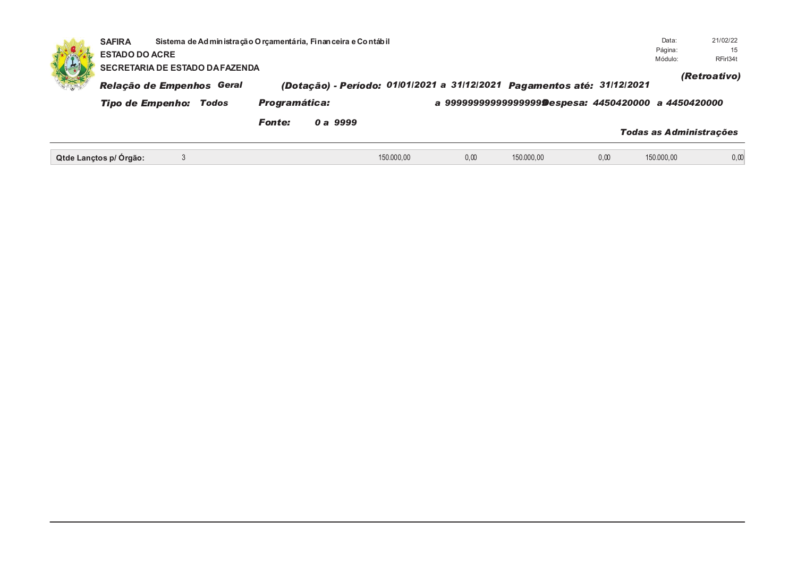|    | <b>SAFIRA</b><br><b>ESTADO DO ACRE</b>                                                                                                                                                                                                                |  |  |               | Sistema de Administração Orçamentária, Financeira e Contábil |            |      |            |      | Data:<br>Página:<br>Módulo:    | 21/02/22<br>15<br>RFirl34t |  |
|----|-------------------------------------------------------------------------------------------------------------------------------------------------------------------------------------------------------------------------------------------------------|--|--|---------------|--------------------------------------------------------------|------------|------|------------|------|--------------------------------|----------------------------|--|
| 地方 | SECRETARIA DE ESTADO DA FAZENDA<br>(Dotação) - Período: 01/01/2021 a 31/12/2021 Pagamentos até: 31/12/2021<br>Relação de Empenhos Geral<br><b>Programática:</b><br>a 9999999999999999999@espesa: 4450420000 a 4450420000<br>Tipo de Empenho:<br>Todos |  |  |               |                                                              |            |      |            |      |                                |                            |  |
|    |                                                                                                                                                                                                                                                       |  |  | <b>Fonte:</b> | 0 a 9999                                                     |            |      |            |      | <b>Todas as Administrações</b> |                            |  |
|    | Qtde Lanctos p/ Orgão:                                                                                                                                                                                                                                |  |  |               |                                                              | 150.000,00 | 0,00 | 150.000,00 | 0,00 | 150.000,00                     | 0,00                       |  |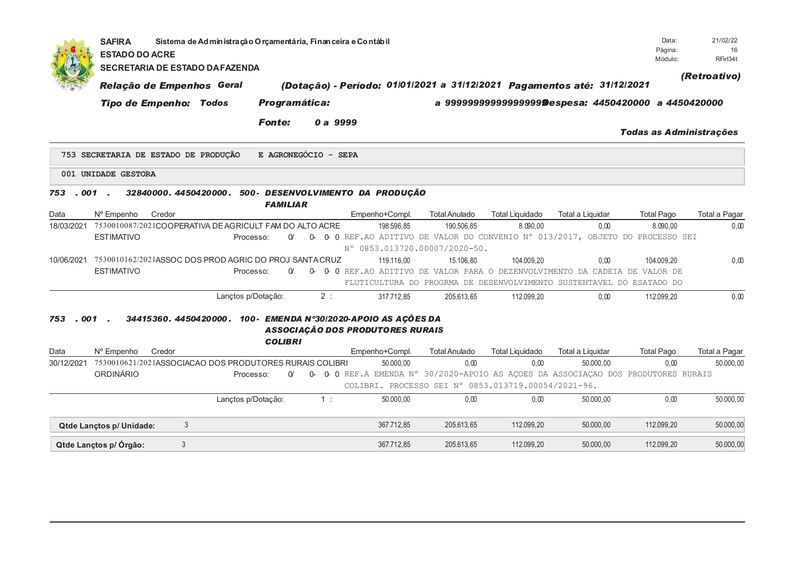|             | <b>SAFIRA</b><br><b>ESTADO DO ACRE</b> | Sistema de Administração O rçamentária, Finan ceira e Contábil<br>SECRETARIA DE ESTADO DA FAZENDA |                        |          |                                                                                                              |                      |                        |                                                       | Data:<br>Página:<br>Módulo:    | 21/02/22<br>16<br>RFirl34t |
|-------------|----------------------------------------|---------------------------------------------------------------------------------------------------|------------------------|----------|--------------------------------------------------------------------------------------------------------------|----------------------|------------------------|-------------------------------------------------------|--------------------------------|----------------------------|
|             |                                        | Relação de Empenhos Geral                                                                         |                        |          | (Dotação) - Período: 01/01/2021 a 31/12/2021 Pagamentos até: 31/12/2021                                      |                      |                        |                                                       |                                | (Retroativo)               |
|             | <b>Tipo de Empenho: Todos</b>          |                                                                                                   | <b>Programática:</b>   |          |                                                                                                              |                      |                        | a 9999999999999999999Despesa: 4450420000 a 4450420000 |                                |                            |
|             |                                        |                                                                                                   | <b>Fonte:</b>          | 0 a 9999 |                                                                                                              |                      |                        |                                                       | <b>Todas as Administrações</b> |                            |
|             |                                        | 753 SECRETARIA DE ESTADO DE PRODUÇÃO                                                              | E AGRONEGÓCIO - SEPA   |          |                                                                                                              |                      |                        |                                                       |                                |                            |
|             | 001 UNIDADE GESTORA                    |                                                                                                   |                        |          |                                                                                                              |                      |                        |                                                       |                                |                            |
| 753.001.    |                                        | 32840000.4450420000.500-DESENVOLVIMENTO DA PRODUÇÃO                                               | <b>FAMILIAR</b>        |          |                                                                                                              |                      |                        |                                                       |                                |                            |
| Data        | N° Empenho<br>Credor                   |                                                                                                   |                        |          | Empenho+Compl.                                                                                               | <b>Total Anulado</b> | <b>Total Liquidado</b> | Total a Liquidar                                      | <b>Total Pago</b>              | Total a Pagar              |
| 18/03/2021  |                                        | 7530010087/2021COOPERATIVA DE AGRICULT FAM DO ALTO ACRE                                           |                        |          | 198.596.85                                                                                                   | 190.506.85           | 8.090.00               | 0.00                                                  | 8.090.00                       | 0,00                       |
|             | <b>ESTIMATIVO</b>                      |                                                                                                   | Processo:<br>$\Omega'$ | 0-       | 0 0 REF.AO ADITIVO DE VALOR DO CONVENIO N° 013/2017, OBJETO DO PROCESSO SEI<br>N° 0853.013720.00007/2020-50. |                      |                        |                                                       |                                |                            |
| 10/06/2021  |                                        | 7530010162/2021ASSOC DOS PROD AGRIC DO PROJ SANTA CRUZ                                            |                        |          | 119.116.00                                                                                                   | 15.106.80            | 104.009.20             | 0.00                                                  | 104.009.20                     | 0,00                       |
|             | <b>ESTIMATIVO</b>                      |                                                                                                   | Processo:<br>$\Omega$  |          | 0- 0- 0 REF. AO ADITIVO DE VALOR PARA O DEZENVOLVIMENTO DA CADEIA DE VALOR DE                                |                      |                        |                                                       |                                |                            |
|             |                                        |                                                                                                   |                        |          | FLUTICULTURA DO PROGRMA DE DESENVOLVIMENTO SUSTENTAVEL DO ESATADO DO                                         |                      |                        |                                                       |                                |                            |
|             |                                        |                                                                                                   | Lançtos p/Dotação:     | 2:       | 317.712.85                                                                                                   | 205.613.65           | 112.099.20             | 0.00                                                  | 112.099.20                     | 0.00                       |
| 753<br>Data | . 001 .<br>Credor<br>N° Empenho        | 34415360. 4450420000. 100- EMENDA N°30/2020-APOIO AS AÇÕES DA                                     | <b>COLIBRI</b>         |          | <b>ASSOCIAÇÃO DOS PRODUTORES RURAIS</b><br>Empenho+Compl.                                                    | <b>Total Anulado</b> | <b>Total Liquidado</b> | Total a Liquidar                                      | <b>Total Pago</b>              | Total a Pagar              |
| 30/12/2021  |                                        | 7530010621/2021ASSOCIACAO DOS PRODUTORES RURAIS COLIBRI                                           |                        |          | 50.000,00                                                                                                    | 0.00                 | 0,00                   | 50.000,00                                             | 0,00                           | 50.000,00                  |
|             | <b>ORDINÁRIO</b>                       |                                                                                                   | $\alpha$<br>Processo:  |          | 0- 0-0 REF.A EMENDA N° 30/2020-APOIO AS AÇOES DA ASSOCIAÇAO DOS PRODUTORES RURAIS                            |                      |                        |                                                       |                                |                            |
|             |                                        |                                                                                                   |                        |          | COLIBRI. PROCESSO SEI Nº 0853.013719.00054/2021-96.                                                          |                      |                        |                                                       |                                |                            |
|             |                                        |                                                                                                   | Lançtos p/Dotação:     | $1$ :    | 50.000,00                                                                                                    | 0,00                 | 0,00                   | 50.000,00                                             | 0,00                           | 50.000,00                  |
|             | Qtde Lanctos p/ Unidade:               | 3                                                                                                 |                        |          | 367.712,85                                                                                                   | 205.613,65           | 112.099,20             | 50.000,00                                             | 112.099,20                     | 50.000,00                  |
|             | Qtde Lançtos p/ Órgão:                 | 3                                                                                                 |                        |          | 367.712,85                                                                                                   | 205.613.65           | 112.099,20             | 50.000,00                                             | 112.099,20                     | 50.000,00                  |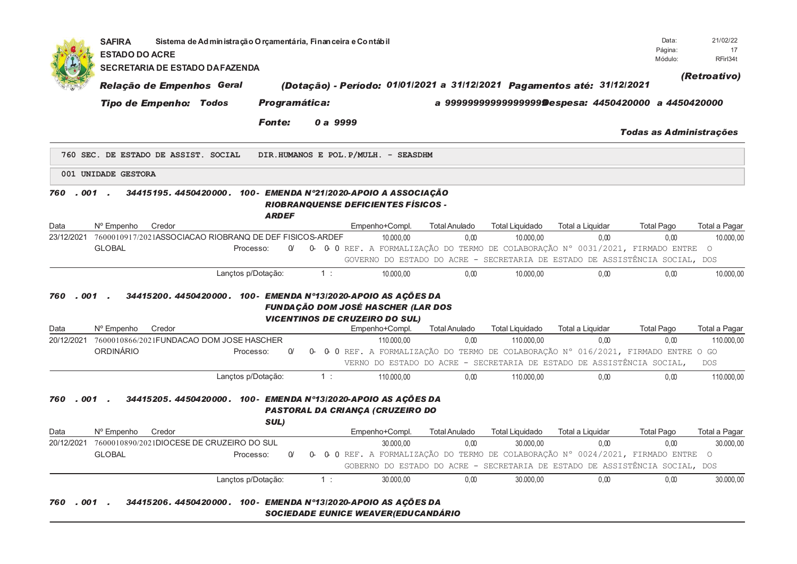|                         | <b>SAFIRA</b><br><b>ESTADO DO ACRE</b> | Sistema de Administração O rçamentária, Finan ceira e Contábil |               |           |          |                                                                                                      |                      |                        |                                                                                                                                                                  | Data:<br>Página:<br>Módulo:    | 21/02/22<br>17<br>RFirl34t |
|-------------------------|----------------------------------------|----------------------------------------------------------------|---------------|-----------|----------|------------------------------------------------------------------------------------------------------|----------------------|------------------------|------------------------------------------------------------------------------------------------------------------------------------------------------------------|--------------------------------|----------------------------|
|                         |                                        | <b>SECRETARIA DE ESTADO DA FAZENDA</b>                         |               |           |          |                                                                                                      |                      |                        |                                                                                                                                                                  |                                | (Retroativo)               |
|                         |                                        | Relação de Empenhos Geral                                      |               |           |          |                                                                                                      |                      |                        | (Dotação) - Período: 01/01/2021 a 31/12/2021 Pagamentos até: 31/12/2021                                                                                          |                                |                            |
|                         | <b>Tipo de Empenho: Todos</b>          |                                                                | Programática: |           |          |                                                                                                      |                      |                        | a 9999999999999999999@espesa: 4450420000 a 4450420000                                                                                                            |                                |                            |
|                         |                                        |                                                                | <b>Fonte:</b> |           | 0 a 9999 |                                                                                                      |                      |                        |                                                                                                                                                                  | <b>Todas as Administrações</b> |                            |
|                         |                                        | 760 SEC. DE ESTADO DE ASSIST. SOCIAL                           |               |           |          | DIR.HUMANOS E POL.P/MULH. - SEASDHM                                                                  |                      |                        |                                                                                                                                                                  |                                |                            |
|                         | 001 UNIDADE GESTORA                    |                                                                |               |           |          |                                                                                                      |                      |                        |                                                                                                                                                                  |                                |                            |
| $.001$ .<br>760         |                                        | 34415195. 4450420000. 100- EMENDA N°21/2020-APOIO A ASSOCIAÇÃO | <b>ARDEF</b>  |           |          | <b>RIOBRANQUENSE DEFICIENTES FÍSICOS -</b>                                                           |                      |                        |                                                                                                                                                                  |                                |                            |
| Data                    | N° Empenho<br>Credor                   |                                                                |               |           |          | Empenho+Compl.                                                                                       | <b>Total Anulado</b> | <b>Total Liquidado</b> | Total a Liquidar                                                                                                                                                 | <b>Total Pago</b>              | Total a Pagar              |
| 23/12/2021              |                                        | 7600010917/2021ASSOCIACAO RIOBRANQ DE DEF FISICOS-ARDEF        |               |           |          | 10.000.00                                                                                            | 0.00                 | 10.000.00              | 0.00<br>0- 0- 0 REF. A FORMALIZAÇÃO DO TERMO DE COLABORAÇÃO Nº 0031/2021, FIRMADO ENTRE                                                                          | 0.00                           | 10.000.00                  |
|                         | <b>GLOBAL</b>                          | Processo:                                                      | $\alpha$      |           |          |                                                                                                      |                      |                        | GOVERNO DO ESTADO DO ACRE - SECRETARIA DE ESTADO DE ASSISTÊNCIA SOCIAL, DOS                                                                                      |                                | $\circ$                    |
|                         |                                        | Lançtos p/Dotação:                                             |               |           | 1:       | 10.000,00                                                                                            | 0.00                 | 10.000.00              | 0.00                                                                                                                                                             | 0.00                           | 10.000,00                  |
| $.001$ .<br>760<br>Data | Credor<br>N° Empenho                   | 34415200. 4450420000. 100- EMENDA Nº13/2020-APOIO AS AÇÕES DA  |               |           |          | <b>FUNDAÇÃO DOM JOSÉ HASCHER (LAR DOS</b><br><b>VICENTINOS DE CRUZEIRO DO SUL)</b><br>Empenho+Compl. | <b>Total Anulado</b> | <b>Total Liquidado</b> | Total a Liquidar                                                                                                                                                 | <b>Total Pago</b>              | Total a Pagar              |
| 20/12/2021              |                                        | 7600010866/2021FUNDACAO DOM JOSE HASCHER                       |               |           |          | 110.000,00                                                                                           | 0.00                 | 110.000,00             | 0.00                                                                                                                                                             | 0.00                           | 110.000,00                 |
|                         | ORDINÁRIO                              | Processo:                                                      | $\Omega$      | <u>በ-</u> |          |                                                                                                      |                      |                        | 0 0 REF. A FORMALIZAÇÃO DO TERMO DE COLABORAÇÃO Nº 016/2021, FIRMADO ENTRE O GO                                                                                  |                                |                            |
|                         |                                        |                                                                |               |           |          |                                                                                                      |                      |                        | VERNO DO ESTADO DO ACRE - SECRETARIA DE ESTADO DE ASSISTÊNCIA SOCIAL,                                                                                            |                                | <b>DOS</b>                 |
|                         |                                        | Lançtos p/Dotação:                                             |               |           | 1:       | 110.000,00                                                                                           | 0.00                 | 110.000,00             | 0.00                                                                                                                                                             | 0.00                           | 110.000,00                 |
| . 001<br>760            |                                        | 34415205. 4450420000. 100- EMENDA Nº13/2020-APOIO AS AÇÕES DA  | SUL)          |           |          | PASTORAL DA CRIANÇA (CRUZEIRO DO                                                                     |                      |                        |                                                                                                                                                                  |                                |                            |
| Data                    | Credor<br>N° Empenho                   |                                                                |               |           |          | Empenho+Compl.                                                                                       | <b>Total Anulado</b> | <b>Total Liquidado</b> | Total a Liquidar                                                                                                                                                 | <b>Total Pago</b>              | Total a Pagar              |
| 20/12/2021              |                                        | 7600010890/2021DIOCESE DE CRUZEIRO DO SUL                      |               |           |          | 30.000,00                                                                                            | 0.00                 | 30.000,00              | 0.00                                                                                                                                                             | 0,00                           | 30.000,00                  |
|                         | <b>GLOBAL</b>                          | Processo:                                                      | $\alpha$      |           |          |                                                                                                      |                      |                        | 0- 0- 0 REF. A FORMALIZAÇÃO DO TERMO DE COLABORAÇÃO N° 0024/2021, FIRMADO ENTRE O<br>GOBERNO DO ESTADO DO ACRE - SECRETARIA DE ESTADO DE ASSISTÊNCIA SOCIAL, DOS |                                |                            |
|                         |                                        | Lançtos p/Dotação:                                             |               |           | 1:       | 30.000,00                                                                                            | 0.00                 | 30.000,00              | 0,00                                                                                                                                                             | 0,00                           | 30.000,00                  |
| . 001<br>760            |                                        | 34415206. 4450420000. 100- EMENDA N°13 2020-APOIO AS AÇÕES DA  |               |           |          | <b>SOCIEDADE EUNICE WEAVER(EDUCANDÁRIO</b>                                                           |                      |                        |                                                                                                                                                                  |                                |                            |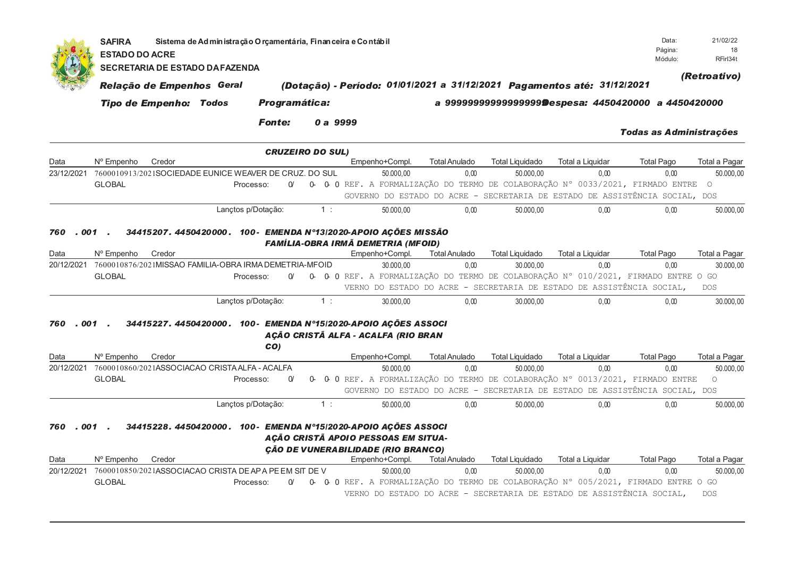|                    | <b>SAFIRA</b><br><b>ESTADO DO ACRE</b> | <b>SECRETARIA DE ESTADO DA FAZENDA</b>                  |                                 |                         |             | Sistema de Administração O rçamentária, Finan ceira e Contábil                                                                                                                                                                                                                                                         |                      |                        |                                                        | Data:<br>Página:<br>Módulo:    | 21/02/22<br>18<br>RFirl34t |
|--------------------|----------------------------------------|---------------------------------------------------------|---------------------------------|-------------------------|-------------|------------------------------------------------------------------------------------------------------------------------------------------------------------------------------------------------------------------------------------------------------------------------------------------------------------------------|----------------------|------------------------|--------------------------------------------------------|--------------------------------|----------------------------|
|                    |                                        | Relação de Empenhos Geral                               |                                 |                         |             | (Dotação) - Período: 01/01/2021 a 31/12/2021 Pagamentos até: 31/12/2021                                                                                                                                                                                                                                                |                      |                        |                                                        |                                | (Retroativo)               |
|                    |                                        | <b>Tipo de Empenho: Todos</b>                           |                                 | Programática:           |             |                                                                                                                                                                                                                                                                                                                        |                      |                        | a 9999999999999999999 Despesa: 4450420000 a 4450420000 |                                |                            |
|                    |                                        |                                                         |                                 |                         |             |                                                                                                                                                                                                                                                                                                                        |                      |                        |                                                        |                                |                            |
|                    |                                        |                                                         |                                 | <b>Fonte:</b>           |             | 0 a 9999                                                                                                                                                                                                                                                                                                               |                      |                        |                                                        | <b>Todas as Administrações</b> |                            |
|                    |                                        |                                                         |                                 | <b>CRUZEIRO DO SUL)</b> |             |                                                                                                                                                                                                                                                                                                                        |                      |                        |                                                        |                                |                            |
| Data               | Nº Empenho                             | Credor                                                  |                                 |                         |             | Empenho+Compl.                                                                                                                                                                                                                                                                                                         | <b>Total Anulado</b> | <b>Total Liquidado</b> | Total a Liquidar                                       | <b>Total Pago</b>              | Total a Pagar              |
| 23/12/2021         |                                        | 7600010913/2021SOCIEDADE EUNICE WEAVER DE CRUZ. DO SUL  |                                 |                         |             | 50.000,00                                                                                                                                                                                                                                                                                                              | 0,00                 | 50.000,00              | 0.00                                                   | 0,00                           | 50.000,00                  |
|                    | <b>GLOBAL</b>                          |                                                         | Processo:                       | $\Omega$                |             | 0- 0- 0 REF. A FORMALIZAÇÃO DO TERMO DE COLABORAÇÃO N° 0033/2021, FIRMADO ENTRE                                                                                                                                                                                                                                        |                      |                        |                                                        |                                | $\circ$                    |
|                    |                                        |                                                         |                                 |                         |             | GOVERNO DO ESTADO DO ACRE - SECRETARIA DE ESTADO DE ASSISTÊNCIA SOCIAL, DOS                                                                                                                                                                                                                                            |                      |                        |                                                        |                                |                            |
|                    |                                        |                                                         | Lançtos p/Dotação:              |                         | 1:          | 50.000.00                                                                                                                                                                                                                                                                                                              | 0.00                 | 50.000.00              | 0.00                                                   | 0.00                           | 50.000,00                  |
| .001<br>760        |                                        |                                                         |                                 |                         |             | 34415207. 4450420000. 100- EMENDA N°13/2020-APOIO AÇÕES MISSÃO<br><b>FAMÍLIA-OBRA IRMÃ DEMETRIA (MFOID)</b>                                                                                                                                                                                                            |                      |                        |                                                        |                                |                            |
| Data               | N° Empenho                             | Credor                                                  |                                 |                         |             | Empenho+Compl.                                                                                                                                                                                                                                                                                                         | <b>Total Anulado</b> | <b>Total Liquidado</b> | Total a Liquidar                                       | <b>Total Pago</b>              | Total a Pagar              |
| 20/12/2021         |                                        | 7600010876/2021MISSAO FAMILIA-OBRA IRMA DEMETRIA-MFOID  |                                 |                         |             | 30,000.00                                                                                                                                                                                                                                                                                                              | 0,00                 | 30.000,00              | 0.00                                                   | 0,00                           | 30.000,00                  |
|                    | <b>GLOBAL</b>                          |                                                         | Processo:                       | $\alpha$                |             | 0- 0- 0 REF. A FORMALIZAÇÃO DO TERMO DE COLABORAÇÃO Nº 010/2021, FIRMADO ENTRE O GO                                                                                                                                                                                                                                    |                      |                        |                                                        |                                |                            |
|                    |                                        |                                                         |                                 |                         |             | VERNO DO ESTADO DO ACRE - SECRETARIA DE ESTADO DE ASSISTÊNCIA SOCIAL,                                                                                                                                                                                                                                                  |                      |                        |                                                        |                                | <b>DOS</b>                 |
|                    |                                        |                                                         | Lançtos p/Dotação:              |                         | 1:          | 30.000.00                                                                                                                                                                                                                                                                                                              | 0.00                 | 30.000.00              | 0.00                                                   | 0.00                           | 30.000,00                  |
| 001<br>760<br>Data | Nº Empenho                             | Credor                                                  |                                 | CO)                     |             | 34415227.4450420000. 100- EMENDA Nº15/2020-APOIO AÇÕES ASSOCI<br>AÇÃO CRISTÃ ALFA - ACALFA (RIO BRAN<br>Empenho+Compl.                                                                                                                                                                                                 | <b>Total Anulado</b> | <b>Total Liquidado</b> | Total a Liquidar                                       | <b>Total Pago</b>              | Total a Pagar              |
| 20/12/2021         |                                        | 7600010860/2021ASSOCIACAO CRISTA ALFA - ACALFA          |                                 |                         |             | 50.000.00                                                                                                                                                                                                                                                                                                              | 0.00                 | 50.000.00              | 0.00                                                   | 0.00                           | 50.000.00                  |
|                    |                                        |                                                         |                                 |                         |             |                                                                                                                                                                                                                                                                                                                        |                      |                        |                                                        |                                | $\bigcirc$                 |
|                    |                                        |                                                         |                                 |                         |             |                                                                                                                                                                                                                                                                                                                        |                      |                        |                                                        |                                |                            |
|                    |                                        |                                                         |                                 |                         |             |                                                                                                                                                                                                                                                                                                                        |                      |                        |                                                        |                                |                            |
|                    |                                        |                                                         |                                 |                         |             |                                                                                                                                                                                                                                                                                                                        |                      |                        |                                                        |                                | 50.000,00                  |
| . 001<br>760       | <b>GLOBAL</b>                          |                                                         | Processo:<br>Lançtos p/Dotação: | $\alpha$                | 0-<br>$1$ : | 0 0 REF. A FORMALIZAÇÃO DO TERMO DE COLABORAÇÃO N° 0013/2021, FIRMADO ENTRE<br>GOVERNO DO ESTADO DO ACRE - SECRETARIA DE ESTADO DE ASSISTÊNCIA SOCIAL, DOS<br>50.000.00<br>34415228. 4450420000. 100- EMENDA Nº15/2020-APOIO AÇÕES ASSOCI<br>AÇÃO CRISTÃ APOIO PESSOAS EM SITUA-<br>ÇÃO DE VUNERABILIDADE (RIO BRANCO) | 0.00                 | 50.000.00              | 0.00                                                   | 0.00                           |                            |
| Data               | N° Empenho                             | Credor                                                  |                                 |                         |             | Empenho+Compl.                                                                                                                                                                                                                                                                                                         | <b>Total Anulado</b> | <b>Total Liquidado</b> | <b>Total a Liquidar</b>                                | <b>Total Pago</b>              | Total a Pagar              |
| 20/12/2021         |                                        | 7600010850/2021ASSOCIACAO CRISTA DE AP A PE EM SIT DE V |                                 |                         |             | 50,000.00                                                                                                                                                                                                                                                                                                              | 0.00                 | 50.000.00              | 0.00                                                   | 0.00                           | 50.000.00                  |
|                    | <b>GLOBAL</b>                          |                                                         | Processo:                       | $\alpha$                |             | 0- 0- 0 REF. A FORMALIZAÇÃO DO TERMO DE COLABORAÇÃO Nº 005/2021, FIRMADO ENTRE O GO                                                                                                                                                                                                                                    |                      |                        |                                                        |                                |                            |
|                    |                                        |                                                         |                                 |                         |             | VERNO DO ESTADO DO ACRE - SECRETARIA DE ESTADO DE ASSISTÊNCIA SOCIAL,                                                                                                                                                                                                                                                  |                      |                        |                                                        |                                | <b>DOS</b>                 |
|                    |                                        |                                                         |                                 |                         |             |                                                                                                                                                                                                                                                                                                                        |                      |                        |                                                        |                                |                            |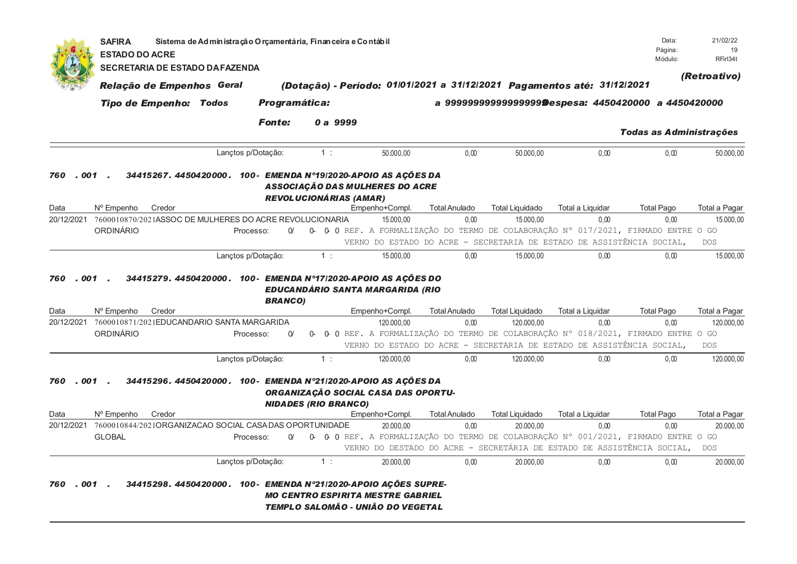|              | <b>SAFIRA</b><br><b>ESTADO DO ACRE</b> | Sistema de Administração Orçamentária, Financeira e Contábil   |                             |                                                                                     |                      |                        |                                                                        | Data:<br>Página:<br>Módulo:    | 21/02/22<br>19<br>RFirl34t |
|--------------|----------------------------------------|----------------------------------------------------------------|-----------------------------|-------------------------------------------------------------------------------------|----------------------|------------------------|------------------------------------------------------------------------|--------------------------------|----------------------------|
|              | <b>SECRETARIA DE ESTADO DA FAZENDA</b> |                                                                |                             |                                                                                     |                      |                        |                                                                        |                                |                            |
|              | Relação de Empenhos Geral              |                                                                |                             | (Dotação) - Período: 01/01/2021 a 31/12/2021 Pagamentos até: 31/12/2021             |                      |                        |                                                                        |                                | (Retroativo)               |
|              | <b>Tipo de Empenho: Todos</b>          |                                                                | <b>Programática:</b>        |                                                                                     |                      |                        | a 9999999999999999999 Despesa: 4450420000 a 4450420000                 |                                |                            |
|              |                                        |                                                                |                             |                                                                                     |                      |                        |                                                                        |                                |                            |
|              |                                        | <b>Fonte:</b>                                                  | 0 a 9999                    |                                                                                     |                      |                        |                                                                        | <b>Todas as Administrações</b> |                            |
|              |                                        | Lançtos p/Dotação:                                             | 1:                          | 50.000.00                                                                           | 0.00                 | 50.000.00              | 0,00                                                                   | 0.00                           | 50.000,00                  |
| 760<br>. 001 |                                        | 34415267. 4450420000. 100- EMENDA N°19/2020-APOIO AS ACÕES DA  |                             | ASSOCIAÇÃO DAS MULHERES DO ACRE<br><b>REVOLUCIONÁRIAS (AMAR)</b>                    |                      |                        |                                                                        |                                |                            |
| Data         | Credor<br>Nº Empenho                   |                                                                |                             | Empenho+Compl.                                                                      | <b>Total Anulado</b> | <b>Total Liquidado</b> | Total a Liquidar                                                       | <b>Total Pago</b>              | Total a Pagar              |
| 20/12/2021   |                                        | 7600010870/2021ASSOC DE MULHERES DO ACRE REVOLUCIONARIA        |                             | 15.000.00                                                                           | 0,00                 | 15.000,00              | 0,00                                                                   | 0,00                           | 15.000,00                  |
|              | ORDINÁRIO                              | Processo:<br>$\alpha$                                          |                             | 0- 0- 0 REF. A FORMALIZAÇÃO DO TERMO DE COLABORAÇÃO N° 017/2021, FIRMADO ENTRE O GO |                      |                        |                                                                        |                                |                            |
|              |                                        |                                                                |                             |                                                                                     |                      |                        | VERNO DO ESTADO DO ACRE - SECRETARIA DE ESTADO DE ASSISTÊNCIA SOCIAL,  |                                | <b>DOS</b>                 |
|              |                                        | Lançtos p/Dotação:                                             | 1:                          | 15.000,00                                                                           | 0,00                 | 15.000,00              | 0,00                                                                   | 0,00                           | 15.000,00                  |
| Data         | Nº Empenho<br>Credor                   | <b>BRANCO)</b>                                                 |                             | <b>EDUCANDÁRIO SANTA MARGARIDA (RIO</b><br>Empenho+Compl.                           | <b>Total Anulado</b> | <b>Total Liquidado</b> | Total a Liquidar                                                       | <b>Total Pago</b>              | Total a Pagar              |
| 20/12/2021   |                                        | 7600010871/2021EDUCANDARIO SANTA MARGARIDA                     |                             | 120,000.00                                                                          | 0.00                 | 120,000.00             | 0.00                                                                   | 0.00                           | 120.000,00                 |
|              | ORDINÁRIO                              | Processo:<br>$\Omega$                                          | 0-                          | 0 0 REF. A FORMALIZAÇÃO DO TERMO DE COLABORAÇÃO Nº 018/2021, FIRMADO ENTRE O GO     |                      |                        | VERNO DO ESTADO DO ACRE - SECRETARIA DE ESTADO DE ASSISTÊNCIA SOCIAL,  |                                | <b>DOS</b>                 |
|              |                                        | Lançtos p/Dotação:                                             | 1:                          | 120.000,00                                                                          | 0,00                 | 120.000,00             | 0,00                                                                   | 0,00                           | 120.000,00                 |
| 760<br>. 001 |                                        | 34415296. 4450420000. 100- EMENDA Nº21/2020-APOIO AS AÇÕES DA  | <b>NIDADES (RIO BRANCO)</b> | ORGANIZAÇÃO SOCIAL CASA DAS OPORTU-                                                 |                      |                        |                                                                        |                                |                            |
| Data         | Nº Empenho<br>Credor                   |                                                                |                             | Empenho+Compl.                                                                      | <b>Total Anulado</b> | <b>Total Liquidado</b> | Total a Liquidar                                                       | <b>Total Pago</b>              | Total a Pagar              |
| 20/12/2021   |                                        | 7600010844/2021ORGANIZACAO SOCIAL CASADAS OPORTUNIDADE         |                             | 20.000.00                                                                           | 0.00                 | 20.000.00              | 0.00                                                                   | 0.00                           | 20.000,00                  |
|              | <b>GLOBAL</b>                          | Processo:<br>V                                                 |                             | 0- 0- 0 REF. A FORMALIZAÇÃO DO TERMO DE COLABORAÇÃO N° 001/2021, FIRMADO ENTRE O GO |                      |                        |                                                                        |                                |                            |
|              |                                        |                                                                |                             |                                                                                     |                      |                        | VERNO DO DESTADO DO ACRE - SECRETÁRIA DE ESTADO DE ASSISTÊNCIA SOCIAL, |                                | <b>DOS</b>                 |
|              |                                        | Lançtos p/Dotação:                                             | 1:                          | 20.000,00                                                                           | 0.00                 | 20.000,00              | 0,00                                                                   | 0,00                           | 20.000,00                  |
| 001<br>760   |                                        | 34415298.4450420000. 100 - EMENDA N°21/2020-APOIO ACÕES SUPRE- |                             | <b>MO CENTRO ESPIRITA MESTRE GABRIEL</b><br>TEMPLO SALOMÃO - UNIÃO DO VEGETAL       |                      |                        |                                                                        |                                |                            |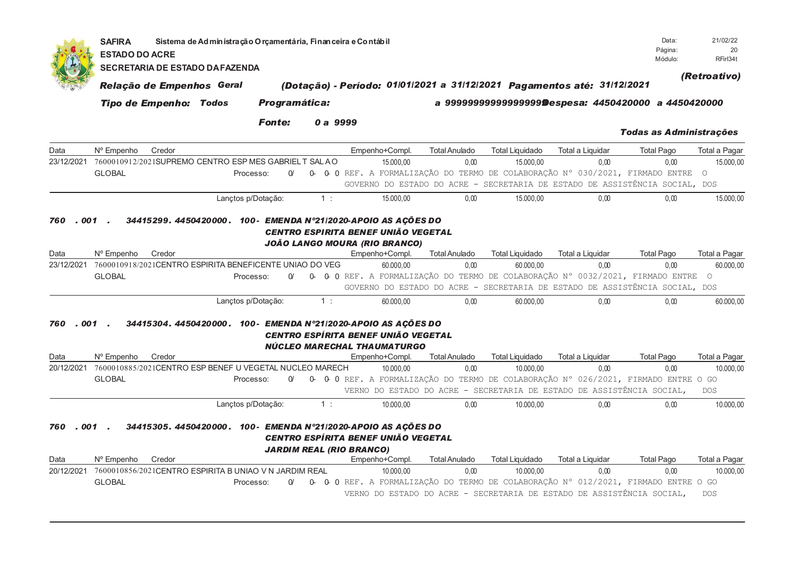|                                   | <b>SAFIRA</b><br><b>ESTADO DO ACRE</b> | Data:<br>Página:<br>Módulo:   | 21/02/22<br>20<br>RFirl34t                              |                       |          |                                                                                                                                                           |           |                              |                                     |                                                                         |                                                                                                                                                                                               |                            |
|-----------------------------------|----------------------------------------|-------------------------------|---------------------------------------------------------|-----------------------|----------|-----------------------------------------------------------------------------------------------------------------------------------------------------------|-----------|------------------------------|-------------------------------------|-------------------------------------------------------------------------|-----------------------------------------------------------------------------------------------------------------------------------------------------------------------------------------------|----------------------------|
|                                   |                                        |                               | <b>SECRETARIA DE ESTADO DA FAZENDA</b>                  |                       |          |                                                                                                                                                           |           |                              |                                     |                                                                         |                                                                                                                                                                                               |                            |
|                                   |                                        | Relação de Empenhos Geral     |                                                         |                       |          |                                                                                                                                                           |           |                              |                                     | (Dotação) - Período: 01/01/2021 a 31/12/2021 Pagamentos até: 31/12/2021 |                                                                                                                                                                                               | (Retroativo)               |
|                                   |                                        | <b>Tipo de Empenho: Todos</b> |                                                         | Programática:         |          |                                                                                                                                                           |           |                              |                                     |                                                                         | a 9999999999999999999Despesa: 4450420000 a 4450420000                                                                                                                                         |                            |
|                                   |                                        |                               |                                                         | <b>Fonte:</b>         | 0 a 9999 |                                                                                                                                                           |           |                              |                                     |                                                                         | <b>Todas as Administrações</b>                                                                                                                                                                |                            |
| Data                              | Nº Empenho                             | Credor                        |                                                         |                       |          | Empenho+Compl.                                                                                                                                            |           | <b>Total Anulado</b>         | <b>Total Liquidado</b>              | Total a Liquidar                                                        | <b>Total Pago</b>                                                                                                                                                                             | Total a Pagar              |
| 23/12/2021                        |                                        |                               | 7600010912/2021SUPREMO CENTRO ESP MES GABRIEL T SAL AO  |                       |          |                                                                                                                                                           | 15.000.00 | 0.00                         | 15.000.00                           | 0.00                                                                    | 0.00                                                                                                                                                                                          | 15.000,00                  |
|                                   | <b>GLOBAL</b>                          |                               |                                                         | $\alpha$<br>Processo: |          |                                                                                                                                                           |           |                              |                                     |                                                                         | 0- 0- 0 REF. A FORMALIZAÇÃO DO TERMO DE COLABORAÇÃO N° 030/2021, FIRMADO ENTRE O                                                                                                              |                            |
|                                   |                                        |                               |                                                         |                       |          |                                                                                                                                                           |           |                              |                                     |                                                                         | GOVERNO DO ESTADO DO ACRE - SECRETARIA DE ESTADO DE ASSISTÊNCIA SOCIAL, DOS                                                                                                                   |                            |
|                                   |                                        |                               | Lançtos p/Dotação:                                      |                       | 1:       |                                                                                                                                                           | 15.000,00 | 0.00                         | 15.000,00                           | 0,00                                                                    | 0.00                                                                                                                                                                                          | 15.000,00                  |
| Data<br>23/12/2021                | Nº Empenho<br><b>GLOBAL</b>            | Credor                        | 7600010918/2021CENTRO ESPIRITA BENEFICENTE UNIAO DO VEG | $\alpha$<br>Processo: |          | JOÃO LANGO MOURA (RIO BRANCO)<br>Empenho+Compl.                                                                                                           | 60.000,00 | <b>Total Anulado</b><br>0,00 | <b>Total Liquidado</b><br>60.000,00 | Total a Liquidar<br>0,00                                                | <b>Total Pago</b><br>0,00<br>0- 0- 0 REF. A FORMALIZAÇÃO DO TERMO DE COLABORAÇÃO N° 0032/2021, FIRMADO ENTRE O<br>GOVERNO DO ESTADO DO ACRE - SECRETARIA DE ESTADO DE ASSISTÊNCIA SOCIAL, DOS | Total a Pagar<br>60.000,00 |
|                                   |                                        |                               | Lançtos p/Dotação:                                      |                       | 1:       |                                                                                                                                                           | 60.000,00 | 0,00                         | 60.000,00                           | 0,00                                                                    | 0,00                                                                                                                                                                                          | 60.000,00                  |
| . 001<br>760<br>Data              | Nº Empenho                             | Credor                        |                                                         |                       |          | 34415304. 4450420000. 100- EMENDA N°21/2020-APOIO AS AÇÕES DO<br>CENTRO ESPÍRITA BENEF UNIÃO VEGETAL<br>NÚCLEO MARECHAL THAUMATURGO<br>Empenho+Compl.     |           | <b>Total Anulado</b>         | <b>Total Liquidado</b>              | Total a Liquidar                                                        | <b>Total Pago</b>                                                                                                                                                                             | Total a Pagar              |
| 20/12/2021                        |                                        |                               | 7600010885/2021CENTRO ESP BENEF U VEGETAL NUCLEO MARECH |                       |          |                                                                                                                                                           | 10.000,00 | 0,00                         | 10.000,00                           | 0,00                                                                    | 0,00                                                                                                                                                                                          | 10.000,00                  |
|                                   | <b>GLOBAL</b>                          |                               |                                                         | $\alpha$<br>Processo: |          |                                                                                                                                                           |           |                              |                                     |                                                                         | 0- 0- 0 REF. A FORMALIZAÇÃO DO TERMO DE COLABORAÇÃO Nº 026/2021, FIRMADO ENTRE O GO                                                                                                           |                            |
|                                   |                                        |                               |                                                         |                       |          |                                                                                                                                                           |           |                              |                                     | VERNO DO ESTADO DO ACRE - SECRETARIA DE ESTADO DE ASSISTÊNCIA SOCIAL,   |                                                                                                                                                                                               | <b>DOS</b>                 |
|                                   |                                        |                               | Lançtos p/Dotação:                                      |                       | 1:       |                                                                                                                                                           | 10.000,00 | 0.00                         | 10.000,00                           | 0.00                                                                    | 0.00                                                                                                                                                                                          | 10.000,00                  |
| .001<br>760<br>Data<br>20/12/2021 | Nº Empenho<br><b>GLOBAL</b>            | Credor                        | 7600010856/2021CENTRO ESPIRITA B UNIAO V N JARDIM REAL  | Processo:             |          | 34415305. 4450420000. 100- EMENDA Nº21/2020-APOIO AS AÇÕES DO<br>CENTRO ESPÍRITA BENEF UNIÃO VEGETAL<br><b>JARDIM REAL (RIO BRANCO)</b><br>Empenho+Compl. | 10.000,00 | <b>Total Anulado</b><br>0,00 | <b>Total Liquidado</b><br>10.000,00 | Total a Liquidar<br>0,00                                                | <b>Total Pago</b><br>0.00<br>0- 0- 0 REF. A FORMALIZAÇÃO DO TERMO DE COLABORAÇÃO N° 012/2021, FIRMADO ENTRE O GO                                                                              | Total a Pagar<br>10.000,00 |
|                                   |                                        |                               |                                                         |                       |          |                                                                                                                                                           |           |                              |                                     | VERNO DO ESTADO DO ACRE - SECRETARIA DE ESTADO DE ASSISTÊNCIA SOCIAL,   |                                                                                                                                                                                               | <b>DOS</b>                 |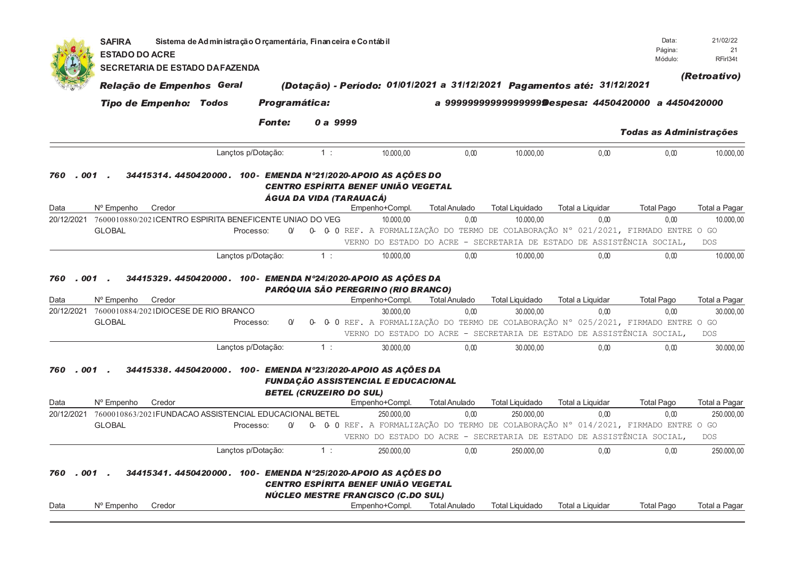|                    | <b>SAFIRA</b><br><b>ESTADO DO ACRE</b>                                        | Sistema de Administração Orçamentária, Financeira e Contábil |                      |                  |                                                                                                                                                                 |                                                                                                       |                                     |                          | Data:<br>Página:                                      | 21/02/22<br>21                           |
|--------------------|-------------------------------------------------------------------------------|--------------------------------------------------------------|----------------------|------------------|-----------------------------------------------------------------------------------------------------------------------------------------------------------------|-------------------------------------------------------------------------------------------------------|-------------------------------------|--------------------------|-------------------------------------------------------|------------------------------------------|
|                    | <b>SECRETARIA DE ESTADO DA FAZENDA</b>                                        |                                                              |                      |                  |                                                                                                                                                                 |                                                                                                       |                                     |                          | Módulo:                                               | RFirl34t                                 |
|                    | Relação de Empenhos Geral                                                     |                                                              |                      |                  | (Dotação) - Período: 01/01/2021 a 31/12/2021 Pagamentos até: 31/12/2021                                                                                         |                                                                                                       |                                     |                          |                                                       | (Retroativo)                             |
|                    | <b>Tipo de Empenho: Todos</b>                                                 |                                                              | <b>Programática:</b> |                  |                                                                                                                                                                 |                                                                                                       |                                     |                          | a 9999999999999999999Despesa: 4450420000 a 4450420000 |                                          |
|                    |                                                                               |                                                              |                      |                  |                                                                                                                                                                 |                                                                                                       |                                     |                          |                                                       |                                          |
|                    |                                                                               |                                                              | <b>Fonte:</b>        | 0 a 9999         |                                                                                                                                                                 |                                                                                                       |                                     |                          | <b>Todas as Administrações</b>                        |                                          |
|                    |                                                                               | Lançtos p/Dotação:                                           |                      | 1:               | 10.000,00                                                                                                                                                       | 0.00                                                                                                  | 10.000,00                           | 0,00                     | 0,00                                                  | 10.000,00                                |
| . 001<br>760       |                                                                               |                                                              |                      |                  | 34415314. 4450420000. 100- EMENDA Nº21/2020-APOIO AS AÇÕES DO<br>CENTRO ESPÍRITA BENEF UNIÃO VEGETAL<br>ÁGUA DA VIDA (TARAUACÁ)                                 |                                                                                                       |                                     |                          |                                                       |                                          |
| Data               | Nº Empenho<br>Credor                                                          |                                                              |                      |                  | Empenho+Compl.                                                                                                                                                  | <b>Total Anulado</b>                                                                                  | <b>Total Liquidado</b>              | Total a Liquidar         | <b>Total Pago</b>                                     | Total a Pagar                            |
| 20/12/2021         | 7600010880/2021CENTRO ESPIRITA BENEFICENTE UNIAO DO VEG                       |                                                              |                      |                  | 10.000,00                                                                                                                                                       | 0,00                                                                                                  | 10.000,00                           | 0,00                     | 0,00                                                  | 10.000,00                                |
|                    | <b>GLOBAL</b>                                                                 | Processo:                                                    | $\alpha$             |                  | 0- 0- 0 REF. A FORMALIZAÇÃO DO TERMO DE COLABORAÇÃO N° 021/2021, FIRMADO ENTRE O GO                                                                             | VERNO DO ESTADO DO ACRE - SECRETARIA DE ESTADO DE ASSISTÊNCIA SOCIAL,                                 |                                     |                          |                                                       | <b>DOS</b>                               |
|                    |                                                                               | Lançtos p/Dotação:                                           |                      | $\overline{1}$ : | 10.000,00                                                                                                                                                       | 0,00                                                                                                  | 10.000,00                           | 0,00                     | 0,00                                                  | 10.000,00                                |
| Data<br>20/12/2021 | N° Empenho<br>Credor<br>7600010884/2021DIOCESE DE RIO BRANCO<br><b>GLOBAL</b> | Processo:                                                    | $\alpha$             | 0-               | PARÓQUIA SÃO PEREGRINO (RIO BRANCO)<br>Empenho+Compl.<br>30.000,00<br>0 0 REF. A FORMALIZAÇÃO DO TERMO DE COLABORAÇÃO Nº 025/2021, FIRMADO ENTRE O GO           | <b>Total Anulado</b><br>0,00<br>VERNO DO ESTADO DO ACRE - SECRETARIA DE ESTADO DE ASSISTÊNCIA SOCIAL, | <b>Total Liquidado</b><br>30.000,00 | Total a Liquidar<br>0,00 | <b>Total Pago</b><br>0,00                             | Total a Pagar<br>30.000,00<br><b>DOS</b> |
|                    |                                                                               | Lançtos p/Dotação:                                           |                      | $1$ :            | 30.000,00                                                                                                                                                       | 0,00                                                                                                  | 30.000,00                           | 0,00                     | 0,00                                                  | 30.000,00                                |
| 760<br>Data        | 001<br>Nº Empenho<br>Credor                                                   |                                                              |                      |                  | 34415338. 4450420000. 100- EMENDA Nº23/2020-APOIO AS AÇÕES DA<br><b>FUNDAÇÃO ASSISTENCIAL E EDUCACIONAL</b><br><b>BETEL (CRUZEIRO DO SUL)</b><br>Empenho+Compl. | <b>Total Anulado</b>                                                                                  | <b>Total Liquidado</b>              | Total a Liquidar         | <b>Total Pago</b>                                     | Total a Pagar                            |
| 20/12/2021         | 7600010863/2021FUNDACAO ASSISTENCIAL EDUCACIONAL BETEL<br><b>GLOBAL</b>       | Processo:                                                    | $\alpha$             |                  | 250.000,00<br>0- 0- 0 REF. A FORMALIZAÇÃO DO TERMO DE COLABORAÇÃO Nº 014/2021, FIRMADO ENTRE O GO                                                               | 0,00                                                                                                  | 250,000.00                          | 0.00                     | 0.00                                                  | 250.000,00                               |
|                    |                                                                               |                                                              |                      |                  |                                                                                                                                                                 | VERNO DO ESTADO DO ACRE - SECRETARIA DE ESTADO DE ASSISTÊNCIA SOCIAL,                                 |                                     |                          |                                                       | <b>DOS</b>                               |
| . 001<br>760       |                                                                               | Lançtos p/Dotação:                                           |                      | 1:               | 250.000,00<br>34415341. 4450420000. 100- EMENDA N°25/2020-APOIO AS AÇÕES DO                                                                                     | 0,00                                                                                                  | 250.000,00                          | 0,00                     | 0,00                                                  | 250.000,00                               |
|                    |                                                                               |                                                              |                      |                  | CENTRO ESPÍRITA BENEF UNIÃO VEGETAL                                                                                                                             |                                                                                                       |                                     |                          |                                                       |                                          |
| Data               | N° Empenho<br>Credor                                                          |                                                              |                      |                  | NÚCLEO MESTRE FRANCISCO (C.DO SUL)<br>Empenho+Compl.                                                                                                            | <b>Total Anulado</b>                                                                                  | <b>Total Liquidado</b>              | Total a Liquidar         | <b>Total Pago</b>                                     | Total a Pagar                            |
|                    |                                                                               |                                                              |                      |                  |                                                                                                                                                                 |                                                                                                       |                                     |                          |                                                       |                                          |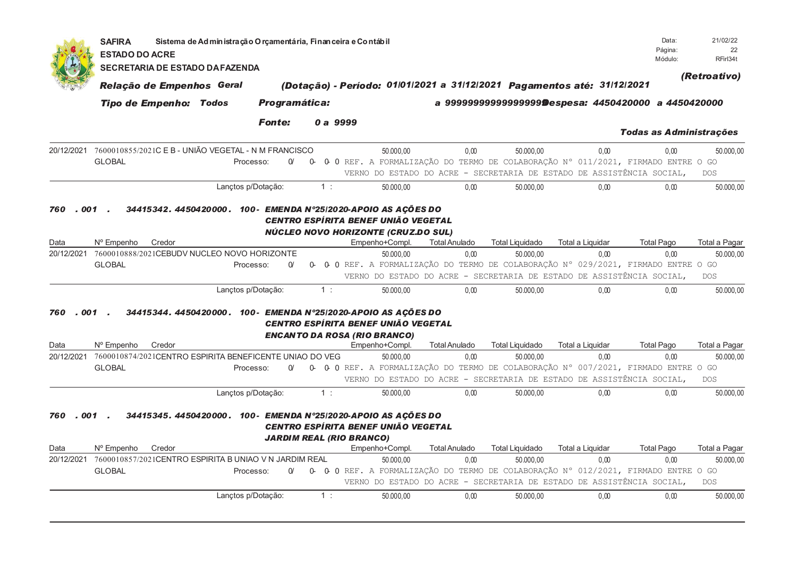|                                  | <b>SAFIRA</b><br><b>ESTADO DO ACRE</b><br><b>SECRETARIA DE ESTADO DA FAZENDA</b> | Data:<br>Página:<br>Módulo:   | 21/02/22<br>22<br>RFirl34t                              |                       |       |          |                                                                                                                                                                               |                              |                                                                                                                                                                           |                          |                                |                            |
|----------------------------------|----------------------------------------------------------------------------------|-------------------------------|---------------------------------------------------------|-----------------------|-------|----------|-------------------------------------------------------------------------------------------------------------------------------------------------------------------------------|------------------------------|---------------------------------------------------------------------------------------------------------------------------------------------------------------------------|--------------------------|--------------------------------|----------------------------|
|                                  |                                                                                  | Relação de Empenhos Geral     |                                                         |                       |       |          |                                                                                                                                                                               |                              | (Dotação) - Período: 01/01/2021 a 31/12/2021 Pagamentos até: 31/12/2021                                                                                                   |                          |                                | (Retroativo)               |
|                                  |                                                                                  | <b>Tipo de Empenho: Todos</b> |                                                         | Programática:         |       |          |                                                                                                                                                                               |                              | a 9999999999999999999Despesa: 4450420000 a 4450420000                                                                                                                     |                          |                                |                            |
|                                  |                                                                                  |                               |                                                         | <b>Fonte:</b>         |       | 0 a 9999 |                                                                                                                                                                               |                              |                                                                                                                                                                           |                          |                                |                            |
|                                  |                                                                                  |                               |                                                         |                       |       |          |                                                                                                                                                                               |                              |                                                                                                                                                                           |                          | <b>Todas as Administrações</b> |                            |
| 20/12/2021                       | <b>GLOBAL</b>                                                                    |                               | 7600010855/2021C E B - UNIÃO VEGETAL - N M FRANCISCO    | $\alpha$<br>Processo: | $O -$ |          | 50.000,00                                                                                                                                                                     | 0,00                         | 50.000.00<br>0 0 REF. A FORMALIZAÇÃO DO TERMO DE COLABORAÇÃO Nº 011/2021, FIRMADO ENTRE O GO<br>VERNO DO ESTADO DO ACRE - SECRETARIA DE ESTADO DE ASSISTÊNCIA SOCIAL,     | 0.00                     | 0,00                           | 50.000,00<br><b>DOS</b>    |
|                                  |                                                                                  |                               |                                                         | Lançtos p/Dotação:    |       | 1:       | 50.000,00                                                                                                                                                                     | 0.00                         | 50.000.00                                                                                                                                                                 | 0.00                     | 0.00                           | 50.000,00                  |
| Data<br>20/12/2021               | Nº Empenho<br><b>GLOBAL</b>                                                      | Credor                        | 7600010888/2021CEBUDV NUCLEO NOVO HORIZONTE             | $\alpha$<br>Processo: | 0-    |          | CENTRO ESPÍRITA BENEF UNIÃO VEGETAL<br>NÚCLEO NOVO HORIZONTE (CRUZ.DO SUL)<br>Empenho+Compl.<br>50.000.00                                                                     | <b>Total Anulado</b><br>0.00 | <b>Total Liquidado</b><br>50.000.00<br>0 0 REF. A FORMALIZAÇÃO DO TERMO DE COLABORAÇÃO Nº 029/2021, FIRMADO ENTRE O GO                                                    | Total a Liquidar<br>0.00 | <b>Total Pago</b><br>0.00      | Total a Pagar<br>50.000,00 |
|                                  |                                                                                  |                               |                                                         |                       |       |          |                                                                                                                                                                               |                              | VERNO DO ESTADO DO ACRE - SECRETARIA DE ESTADO DE ASSISTÊNCIA SOCIAL,                                                                                                     |                          |                                | <b>DOS</b>                 |
|                                  |                                                                                  |                               |                                                         | Lançtos p/Dotação:    |       | 1:       | 50.000,00                                                                                                                                                                     | 0.00                         | 50.000,00                                                                                                                                                                 | 0.00                     | 0,00                           | 50.000,00                  |
| 001<br>760                       |                                                                                  |                               |                                                         |                       |       |          | 34415344. 4450420000. 100- EMENDA N°25/2020-APOIO AS AÇÕES DO<br><b>CENTRO ESPÍRITA BENEF UNIÃO VEGETAL</b>                                                                   |                              |                                                                                                                                                                           |                          |                                |                            |
| Data                             | N° Empenho                                                                       | Credor                        |                                                         |                       |       |          | <b>ENCANTO DA ROSA (RIO BRANCO)</b><br>Empenho+Compl.                                                                                                                         | <b>Total Anulado</b>         | <b>Total Liquidado</b>                                                                                                                                                    | Total a Liquidar         | <b>Total Pago</b>              | Total a Pagar              |
| 20/12/2021                       | <b>GLOBAL</b>                                                                    |                               | 7600010874/2021CENTRO ESPIRITA BENEFICENTE UNIAO DO VEG | $\alpha$<br>Processo: |       |          | 50.000,00                                                                                                                                                                     | 0,00                         | 50.000,00<br>0- 0- 0 REF. A FORMALIZAÇÃO DO TERMO DE COLABORAÇÃO N° 007/2021, FIRMADO ENTRE O GO<br>VERNO DO ESTADO DO ACRE - SECRETARIA DE ESTADO DE ASSISTÊNCIA SOCIAL. | 0,00                     | 0.00                           | 50.000,00<br><b>DOS</b>    |
|                                  |                                                                                  |                               |                                                         | Lançtos p/Dotação:    |       | 1:       | 50.000,00                                                                                                                                                                     | 0.00                         | 50.000,00                                                                                                                                                                 | 0.00                     | 0.00                           | 50.000,00                  |
| 001<br>760<br>Data<br>20/12/2021 | Nº Empenho<br><b>GLOBAL</b>                                                      | Credor                        | 7600010857/2021CENTRO ESPIRITA B UNIAO V N JARDIM REAL  | $\alpha$<br>Processo: |       |          | 34415345. 4450420000. 100- EMENDA N°25/2020-APOIO AS AÇÕES DO<br><b>CENTRO ESPÍRITA BENEF UNIÃO VEGETAL</b><br><b>JARDIM REAL (RIO BRANCO)</b><br>Empenho+Compl.<br>50.000,00 | <b>Total Anulado</b><br>0.00 | <b>Total Liquidado</b><br>50.000.00<br>0- 0- 0 REF. A FORMALIZAÇÃO DO TERMO DE COLABORAÇÃO Nº 012/2021, FIRMADO ENTRE O GO                                                | Total a Liquidar<br>0.00 | <b>Total Pago</b><br>0.00      | Total a Pagar<br>50.000,00 |
|                                  |                                                                                  |                               |                                                         |                       |       |          |                                                                                                                                                                               |                              | VERNO DO ESTADO DO ACRE - SECRETARIA DE ESTADO DE ASSISTÊNCIA SOCIAL,                                                                                                     |                          |                                | DOS                        |
|                                  |                                                                                  |                               |                                                         | Lançtos p/Dotação:    |       | 1:       | 50.000,00                                                                                                                                                                     | 0,00                         | 50.000,00                                                                                                                                                                 | 0,00                     | 0,00                           | 50.000,00                  |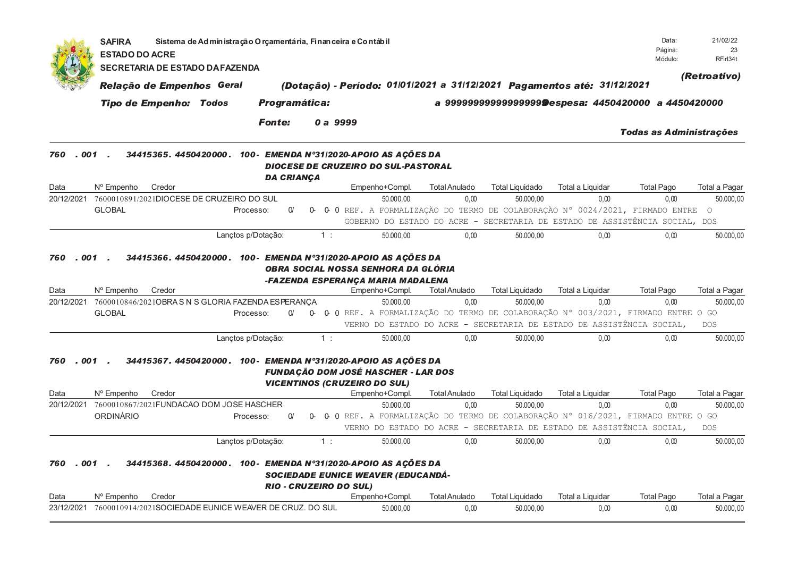|            | <b>SAFIRA</b><br><b>ESTADO DO ACRE</b>                                                                | Sistema de Administração O rçamentária, Finan ceira e Contábil |                      |          |                                                                                                                                                                 |                              |                                     |                                                                             | Data:<br>Página:               | 21/02/22<br>23             |
|------------|-------------------------------------------------------------------------------------------------------|----------------------------------------------------------------|----------------------|----------|-----------------------------------------------------------------------------------------------------------------------------------------------------------------|------------------------------|-------------------------------------|-----------------------------------------------------------------------------|--------------------------------|----------------------------|
|            | <b>SECRETARIA DE ESTADO DA FAZENDA</b>                                                                |                                                                |                      |          |                                                                                                                                                                 |                              |                                     |                                                                             | Módulo:                        | RFirl34t                   |
|            | Relação de Empenhos Geral                                                                             |                                                                |                      |          | (Dotação) - Período: 01/01/2021 a 31/12/2021 Pagamentos até: 31/12/2021                                                                                         |                              |                                     |                                                                             |                                | (Retroativo)               |
|            | <b>Tipo de Empenho: Todos</b>                                                                         |                                                                | <b>Programática:</b> |          |                                                                                                                                                                 |                              |                                     | a 9999999999999999999@espesa: 4450420000 a 4450420000                       |                                |                            |
|            |                                                                                                       |                                                                |                      |          |                                                                                                                                                                 |                              |                                     |                                                                             |                                |                            |
|            |                                                                                                       |                                                                | <b>Fonte:</b>        |          | 0 a 9999                                                                                                                                                        |                              |                                     |                                                                             | <b>Todas as Administrações</b> |                            |
| 760        | $.001$ .                                                                                              |                                                                | <b>DA CRIANÇA</b>    |          | 34415365. 4450420000. 100- EMENDA Nº31/2020-APOIO AS AÇÕES DA<br><b>DIOCESE DE CRUZEIRO DO SUL-PASTORAL</b>                                                     |                              |                                     |                                                                             |                                |                            |
| Data       | N° Empenho<br>Credor                                                                                  |                                                                |                      |          | Empenho+Compl.                                                                                                                                                  | <b>Total Anulado</b>         | <b>Total Liquidado</b>              | Total a Liquidar                                                            | <b>Total Pago</b>              | Total a Pagar              |
| 20/12/2021 | 7600010891/2021DIOCESE DE CRUZEIRO DO SUL                                                             |                                                                |                      |          | 50.000,00                                                                                                                                                       | 0,00                         | 50.000,00                           | 0,00                                                                        | 0,00                           | 50.000,00                  |
|            | <b>GLOBAL</b>                                                                                         | Processo:                                                      | $\alpha$             | <b>0</b> | 0 0 REF. A FORMALIZAÇÃO DO TERMO DE COLABORAÇÃO N° 0024/2021, FIRMADO ENTRE                                                                                     |                              |                                     | GOBERNO DO ESTADO DO ACRE - SECRETARIA DE ESTADO DE ASSISTÊNCIA SOCIAL, DOS |                                | $\circ$                    |
|            |                                                                                                       | Lançtos p/Dotação:                                             |                      | 1:       | 50.000,00                                                                                                                                                       | 0.00                         | 50.000,00                           | 0.00                                                                        | 0.00                           | 50.000,00                  |
| Data       | N° Empenho<br>Credor<br>20/12/2021 7600010846/2021OBRAS N S GLORIA FAZENDA ESPERANCA<br><b>GLOBAL</b> | Processo:                                                      | $\alpha$             | 0-       | -FAZENDA ESPERANÇA MARIA MADALENA<br>Empenho+Compl.<br>50.000.00<br>0 0 REF. A FORMALIZAÇÃO DO TERMO DE COLABORAÇÃO N° 003/2021, FIRMADO ENTRE O GO             | <b>Total Anulado</b><br>0.00 | <b>Total Liquidado</b><br>50.000.00 | <b>Total a Liquidar</b><br>0.00                                             | <b>Total Pago</b><br>0.00      | Total a Pagar<br>50.000.00 |
|            |                                                                                                       |                                                                |                      |          |                                                                                                                                                                 |                              |                                     | VERNO DO ESTADO DO ACRE - SECRETARIA DE ESTADO DE ASSISTÊNCIA SOCIAL,       |                                | <b>DOS</b>                 |
| 760        | .001.                                                                                                 | Lançtos p/Dotação:                                             |                      | 1:       | 50.000.00<br>34415367. 4450420000. 100- EMENDA Nº31/2020-APOIO AS AÇÕES DA<br><b>FUNDAÇÃO DOM JOSÉ HASCHER - LAR DOS</b><br><b>VICENTINOS (CRUZEIRO DO SUL)</b> | 0.00                         | 50.000.00                           | 0.00                                                                        | 0.00                           | 50.000,00                  |
| Data       | N° Empenho<br>Credor                                                                                  |                                                                |                      |          | Empenho+Compl.                                                                                                                                                  | <b>Total Anulado</b>         | <b>Total Liquidado</b>              | Total a Liquidar                                                            | <b>Total Pago</b>              | Total a Pagar              |
|            | 20/12/2021 7600010867/2021FUNDACAO DOM JOSE HASCHER                                                   |                                                                |                      |          | 50.000.00                                                                                                                                                       | 0,00                         | 50.000.00                           | 0.00                                                                        | 0,00                           | 50.000,00                  |
|            | ORDINÁRIO                                                                                             | Processo:                                                      | $\Omega$             | 0-       | 0 0 REF. A FORMALIZAÇÃO DO TERMO DE COLABORAÇÃO N° 016/2021, FIRMADO ENTRE O GO                                                                                 |                              |                                     |                                                                             |                                |                            |
|            |                                                                                                       |                                                                |                      |          |                                                                                                                                                                 |                              |                                     | VERNO DO ESTADO DO ACRE - SECRETARIA DE ESTADO DE ASSISTÊNCIA SOCIAL,       |                                | <b>DOS</b>                 |
| 001<br>760 |                                                                                                       | Lançtos p/Dotação:                                             |                      | 1:       | 50.000.00<br>34415368.4450420000.100-EMENDA N°31/2020-APOIO AS AÇÕES DA<br><b>SOCIEDADE EUNICE WEAVER (EDUCANDÁ-</b><br>RIO - CRUZEIRO DO SUL)                  | 0.00                         | 50.000,00                           | 0.00                                                                        | 0.00                           | 50.000,00                  |
| Data       | N° Empenho<br>Credor                                                                                  |                                                                |                      |          | Empenho+Compl.                                                                                                                                                  | <b>Total Anulado</b>         | <b>Total Liquidado</b>              | Total a Liquidar                                                            | <b>Total Pago</b>              | Total a Pagar              |
| 23/12/2021 | 7600010914/2021SOCIEDADE EUNICE WEAVER DE CRUZ. DO SUL                                                |                                                                |                      |          | 50.000,00                                                                                                                                                       | 0.00                         | 50.000,00                           | 0,00                                                                        | 0,00                           | 50.000,00                  |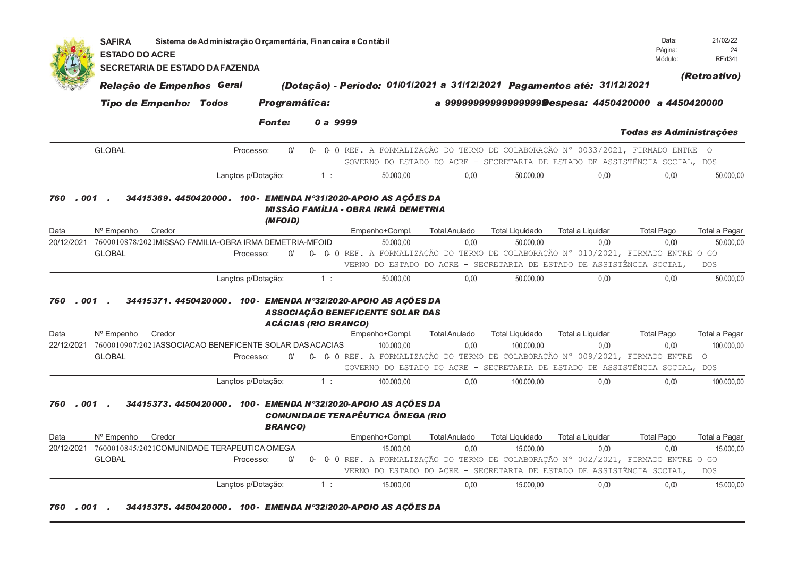| 001<br>760           | <b>SECRETARIA DE ESTADO DA FAZENDA</b><br>Relação de Empenhos Geral<br><b>Tipo de Empenho: Todos</b><br><b>GLOBAL</b><br>34415369. 4450420000. 100- EMENDA Nº31/2020-APOIO AS AÇÕES DA | Processo:<br>Lanctos p/Dotacão:<br>MISSÃO FAMÍLIA - OBRA IRMÃ DEMETRIA<br>(MFOID) | Programática:<br><b>Fonte:</b><br>$\alpha$ | 1: | 0 a 9999 |                                                                         |                              |                                     | (Dotação) - Período: 01/01/2021 a 31/12/2021 Pagamentos até: 31/12/2021                           | a 9999999999999999999Despesa: 4450420000 a 4450420000<br><b>Todas as Administrações</b><br>0- 0- 0 REF. A FORMALIZAÇÃO DO TERMO DE COLABORAÇÃO N° 0033/2021, FIRMADO ENTRE O | (Retroativo)                             |
|----------------------|----------------------------------------------------------------------------------------------------------------------------------------------------------------------------------------|-----------------------------------------------------------------------------------|--------------------------------------------|----|----------|-------------------------------------------------------------------------|------------------------------|-------------------------------------|---------------------------------------------------------------------------------------------------|------------------------------------------------------------------------------------------------------------------------------------------------------------------------------|------------------------------------------|
|                      |                                                                                                                                                                                        |                                                                                   |                                            |    |          |                                                                         |                              |                                     |                                                                                                   |                                                                                                                                                                              |                                          |
|                      |                                                                                                                                                                                        |                                                                                   |                                            |    |          |                                                                         |                              |                                     |                                                                                                   |                                                                                                                                                                              |                                          |
|                      |                                                                                                                                                                                        |                                                                                   |                                            |    |          |                                                                         |                              |                                     |                                                                                                   |                                                                                                                                                                              |                                          |
|                      |                                                                                                                                                                                        |                                                                                   |                                            |    |          |                                                                         |                              |                                     |                                                                                                   |                                                                                                                                                                              |                                          |
|                      |                                                                                                                                                                                        |                                                                                   |                                            |    |          |                                                                         |                              |                                     |                                                                                                   | GOVERNO DO ESTADO DO ACRE - SECRETARIA DE ESTADO DE ASSISTÊNCIA SOCIAL, DOS                                                                                                  |                                          |
|                      |                                                                                                                                                                                        |                                                                                   |                                            |    |          | 50.000,00                                                               | 0.00                         | 50.000,00                           | 0.00                                                                                              | 0.00                                                                                                                                                                         | 50.000,00                                |
| Data<br>20/12/2021   | N° Empenho<br>Credor<br>7600010878/2021MISSAO FAMILIA-OBRA IRMA DEMETRIA-MFOID<br><b>GLOBAL</b>                                                                                        | Processo:                                                                         | O/                                         |    |          | Empenho+Compl.<br>50.000.00                                             | <b>Total Anulado</b><br>0.00 | <b>Total Liquidado</b><br>50.000,00 | Total a Liquidar<br>0,00<br>VERNO DO ESTADO DO ACRE - SECRETARIA DE ESTADO DE ASSISTÊNCIA SOCIAL, | <b>Total Pago</b><br>0,00<br>0- 0- 0 REF. A FORMALIZAÇÃO DO TERMO DE COLABORAÇÃO N° 010/2021, FIRMADO ENTRE O GO                                                             | Total a Pagar<br>50.000,00<br><b>DOS</b> |
|                      |                                                                                                                                                                                        |                                                                                   |                                            |    |          |                                                                         |                              |                                     |                                                                                                   |                                                                                                                                                                              |                                          |
|                      |                                                                                                                                                                                        |                                                                                   |                                            |    |          |                                                                         |                              |                                     |                                                                                                   |                                                                                                                                                                              |                                          |
|                      |                                                                                                                                                                                        | Lançtos p/Dotação:                                                                |                                            | 1: |          | 50.000.00                                                               | 0.00                         | 50.000.00                           | 0,00                                                                                              | 0.00                                                                                                                                                                         | 50.000,00                                |
| . 001.<br>760        | 34415371. 4450420000. 100- EMENDA N°32/2020-APOIO AS AÇÕES DA                                                                                                                          |                                                                                   | <b>ACÁCIAS (RIO BRANCO)</b>                |    |          | <b>ASSOCIAÇÃO BENEFICENTE SOLAR DAS</b>                                 |                              |                                     |                                                                                                   |                                                                                                                                                                              |                                          |
| Data                 | N° Empenho<br>Credor                                                                                                                                                                   |                                                                                   |                                            |    |          | Empenho+Compl.                                                          | <b>Total Anulado</b>         | <b>Total Liquidado</b>              | Total a Liquidar                                                                                  | <b>Total Pago</b>                                                                                                                                                            | Total a Pagar                            |
| 22/12/2021           | 7600010907/2021ASSOCIACAO BENEFICENTE SOLAR DAS ACACIAS                                                                                                                                |                                                                                   |                                            |    |          | 100.000.00                                                              | 0.00                         | 100.000.00                          | 0.00                                                                                              | 0.00                                                                                                                                                                         | 100.000,00                               |
|                      | GLOBAL                                                                                                                                                                                 | Processo:                                                                         | $\alpha$                                   |    |          |                                                                         |                              |                                     |                                                                                                   | 0- 0- 0 REF. A FORMALIZAÇÃO DO TERMO DE COLABORAÇÃO N° 009/2021, FIRMADO ENTRE O<br>GOVERNO DO ESTADO DO ACRE - SECRETARIA DE ESTADO DE ASSISTÊNCIA SOCIAL, DOS              |                                          |
|                      |                                                                                                                                                                                        | Lançtos p/Dotação:                                                                |                                            | 1: |          | 100.000,00                                                              | 0,00                         | 100.000,00                          | 0,00                                                                                              | 0,00                                                                                                                                                                         | 100.000,00                               |
| . 001<br>760<br>Data | 34415373.4450420000. 100- EMENDA N°32/2020-APOIO AS AÇÕES DA<br>Nº Empenho<br>Credor<br>20/12/2021 7600010845/2021COMUNIDADE TERAPEUTICA OMEGA<br><b>GLOBAL</b>                        | Processo:                                                                         | <b>BRANCO)</b><br>$\alpha$                 | O- |          | <b>COMUNIDADE TERAPËUTICA ÖMEGA (RIO</b><br>Empenho+Compl.<br>15.000.00 | <b>Total Anulado</b><br>0,00 | <b>Total Liquidado</b><br>15.000,00 | Total a Liquidar<br>0.00                                                                          | <b>Total Pago</b><br>0,00<br>0 0 REF. A FORMALIZAÇÃO DO TERMO DE COLABORAÇÃO Nº 002/2021, FIRMADO ENTRE O GO                                                                 | Total a Pagar<br>15.000,00               |
|                      |                                                                                                                                                                                        |                                                                                   |                                            |    |          |                                                                         |                              |                                     | VERNO DO ESTADO DO ACRE - SECRETARIA DE ESTADO DE ASSISTÊNCIA SOCIAL,                             |                                                                                                                                                                              | <b>DOS</b>                               |
|                      |                                                                                                                                                                                        | Lançtos p/Dotação:                                                                |                                            | 1: |          | 15.000,00                                                               | 0.00                         | 15.000,00                           | 0,00                                                                                              | 0,00                                                                                                                                                                         | 15.000,00                                |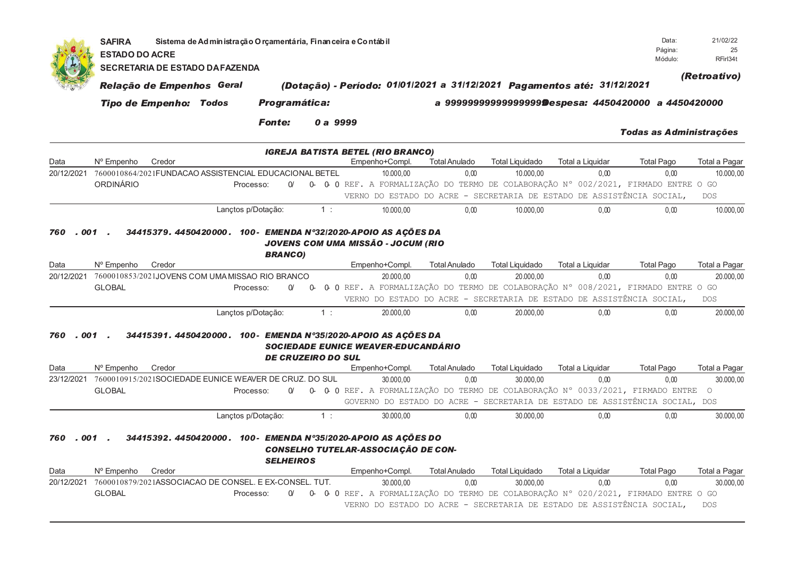|              | <b>SAFIRA</b><br>Sistema de Administração Orçamentária, Financeira e Contábil<br><b>ESTADO DO ACRE</b><br><b>SECRETARIA DE ESTADO DA FAZENDA</b> |                                                                         |                    |                           |          |                                                                                                                   |                      |                        |                                                                             |                                |               |  |  |
|--------------|--------------------------------------------------------------------------------------------------------------------------------------------------|-------------------------------------------------------------------------|--------------------|---------------------------|----------|-------------------------------------------------------------------------------------------------------------------|----------------------|------------------------|-----------------------------------------------------------------------------|--------------------------------|---------------|--|--|
|              | Relação de Empenhos Geral                                                                                                                        | (Dotação) - Período: 01/01/2021 a 31/12/2021 Pagamentos até: 31/12/2021 | (Retroativo)       |                           |          |                                                                                                                   |                      |                        |                                                                             |                                |               |  |  |
|              |                                                                                                                                                  | <b>Tipo de Empenho: Todos</b>                                           |                    | Programática:             |          |                                                                                                                   |                      |                        | a 9999999999999999999Despesa: 4450420000 a 4450420000                       |                                |               |  |  |
|              |                                                                                                                                                  |                                                                         |                    | <b>Fonte:</b>             | 0 a 9999 |                                                                                                                   |                      |                        |                                                                             | <b>Todas as Administrações</b> |               |  |  |
| Data         | Nº Empenho                                                                                                                                       | Credor                                                                  |                    |                           |          | <b>IGREJA BATISTA BETEL (RIO BRANCO)</b><br>Empenho+Compl.                                                        | <b>Total Anulado</b> | <b>Total Liquidado</b> | <b>Total a Liquidar</b>                                                     | <b>Total Pago</b>              | Total a Pagar |  |  |
| 20/12/2021   |                                                                                                                                                  | 7600010864/2021FUNDACAO ASSISTENCIAL EDUCACIONAL BETEL                  |                    |                           |          | 10.000,00                                                                                                         | 0,00                 | 10.000,00              | 0.00                                                                        | 0,00                           | 10.000,00     |  |  |
|              | ORDINÁRIO                                                                                                                                        |                                                                         | Processo:          | $\alpha$                  |          | 0- 0- 0 REF. A FORMALIZAÇÃO DO TERMO DE COLABORAÇÃO N° 002/2021, FIRMADO ENTRE O GO                               |                      |                        |                                                                             |                                |               |  |  |
|              |                                                                                                                                                  |                                                                         |                    |                           |          |                                                                                                                   |                      |                        | VERNO DO ESTADO DO ACRE - SECRETARIA DE ESTADO DE ASSISTÊNCIA SOCIAL,       |                                | <b>DOS</b>    |  |  |
|              |                                                                                                                                                  |                                                                         | Lançtos p/Dotação: |                           | 1:       | 10.000.00                                                                                                         | 0.00                 | 10.000.00              | 0.00                                                                        | 0.00                           | 10.000,00     |  |  |
| 001<br>760   |                                                                                                                                                  |                                                                         |                    | <b>BRANCO)</b>            |          | 34415379. 4450420000. 100- EMENDA N°32/2020-APOIO AS AÇÕES DA<br>JOVENS COM UMA MISSÃO - JOCUM (RIO               |                      |                        |                                                                             |                                |               |  |  |
| Data         | Nº Empenho                                                                                                                                       | Credor                                                                  |                    |                           |          | Empenho+Compl.                                                                                                    | <b>Total Anulado</b> | <b>Total Liquidado</b> | Total a Liquidar                                                            | <b>Total Pago</b>              | Total a Pagar |  |  |
| 20/12/2021   |                                                                                                                                                  | 7600010853/2021JOVENS COM UMA MISSAO RIO BRANCO                         | Processo:          | $\alpha$                  | 0-       | 20.000.00                                                                                                         | 0.00                 | 20.000.00              | 0.00                                                                        | 0.00                           | 20.000,00     |  |  |
|              | <b>GLOBAL</b>                                                                                                                                    |                                                                         |                    |                           |          | 0 0 REF. A FORMALIZAÇÃO DO TERMO DE COLABORAÇÃO Nº 008/2021, FIRMADO ENTRE O GO                                   |                      |                        | VERNO DO ESTADO DO ACRE - SECRETARIA DE ESTADO DE ASSISTÊNCIA SOCIAL,       |                                | <b>DOS</b>    |  |  |
|              |                                                                                                                                                  |                                                                         | Lançtos p/Dotação: |                           | 1:       | 20.000,00                                                                                                         | 0.00                 | 20.000,00              | 0.00                                                                        | 0.00                           | 20.000,00     |  |  |
| . 001<br>760 |                                                                                                                                                  |                                                                         |                    | <b>DE CRUZEIRO DO SUL</b> |          | 34415391. 4450420000. 100- EMENDA Nº35/2020-APOIO AS AÇÕES DA<br><b>SOCIEDADE EUNICE WEAVER-EDUCANDÁRIO</b>       |                      |                        |                                                                             |                                |               |  |  |
| Data         | Nº Empenho                                                                                                                                       | Credor                                                                  |                    |                           |          | Empenho+Compl.                                                                                                    | <b>Total Anulado</b> | <b>Total Liquidado</b> | Total a Liquidar                                                            | <b>Total Pago</b>              | Total a Pagar |  |  |
| 23/12/2021   |                                                                                                                                                  | 7600010915/2021SOCIEDADE EUNICE WEAVER DE CRUZ. DO SUL                  |                    |                           |          | 30.000.00                                                                                                         | 0.00                 | 30.000.00              | 0.00                                                                        | 0.00                           | 30.000,00     |  |  |
|              | <b>GLOBAL</b>                                                                                                                                    |                                                                         | Processo:          | $\alpha$                  |          | 0- 0- 0 REF. A FORMALIZAÇÃO DO TERMO DE COLABORAÇÃO N° 0033/2021, FIRMADO ENTRE O                                 |                      |                        |                                                                             |                                |               |  |  |
|              |                                                                                                                                                  |                                                                         |                    |                           |          |                                                                                                                   |                      |                        | GOVERNO DO ESTADO DO ACRE - SECRETARIA DE ESTADO DE ASSISTÊNCIA SOCIAL, DOS |                                |               |  |  |
| 001<br>760   |                                                                                                                                                  |                                                                         | Lançtos p/Dotação: | <b>SELHEIROS</b>          | 1:       | 30.000,00<br>34415392. 4450420000. 100- EMENDA Nº35/2020-APOIO AS AÇÕES DO<br>CONSELHO TUTELAR-ASSOCIAÇÃO DE CON- | 0.00                 | 30.000,00              | 0.00                                                                        | 0,00                           | 30.000,00     |  |  |
| Data         | N° Empenho                                                                                                                                       | Credor                                                                  |                    |                           |          | Empenho+Compl.                                                                                                    | <b>Total Anulado</b> | <b>Total Liquidado</b> | Total a Liquidar                                                            | <b>Total Pago</b>              | Total a Pagar |  |  |
| 20/12/2021   |                                                                                                                                                  | 7600010879/2021ASSOCIACAO DE CONSEL. E EX-CONSEL. TUT.                  |                    |                           |          | 30.000,00                                                                                                         | 0.00                 | 30.000,00              | 0.00                                                                        | 0,00                           | 30.000,00     |  |  |
|              | <b>GLOBAL</b>                                                                                                                                    |                                                                         | Processo:          | $\Omega'$                 | 0-       | 0 O REF. A FORMALIZAÇÃO DO TERMO DE COLABORAÇÃO Nº 020/2021, FIRMADO ENTRE O GO                                   |                      |                        | VERNO DO ESTADO DO ACRE - SECRETARIA DE ESTADO DE ASSISTÊNCIA SOCIAL.       |                                | <b>DOS</b>    |  |  |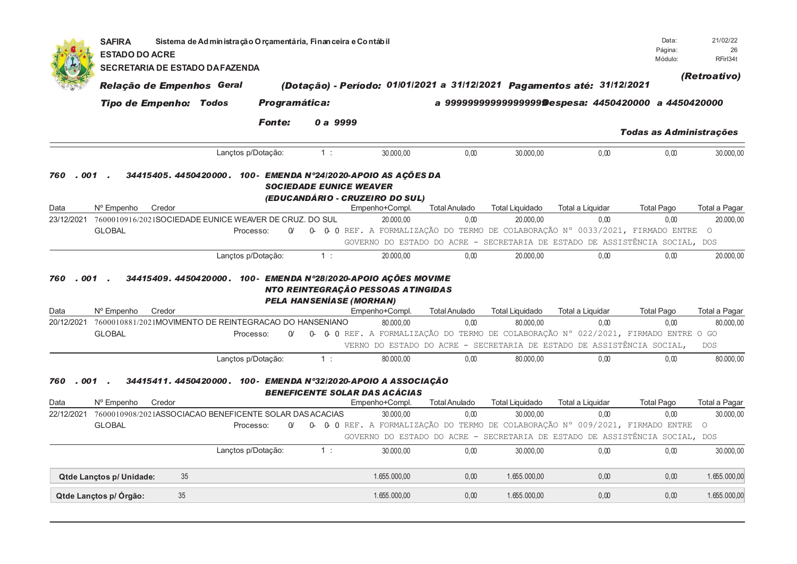|                    | <b>SAFIRA</b><br><b>ESTADO DO ACRE</b>                                |                                        | Sistema de Administração Orçamentária, Financeira e Contábil   |                                 |          |                                                      |                              |                                     |                                                                                                                                                              | Data:<br>Página:<br>Módulo: | 21/02/22<br>26<br>RFirl34t |
|--------------------|-----------------------------------------------------------------------|----------------------------------------|----------------------------------------------------------------|---------------------------------|----------|------------------------------------------------------|------------------------------|-------------------------------------|--------------------------------------------------------------------------------------------------------------------------------------------------------------|-----------------------------|----------------------------|
|                    |                                                                       | <b>SECRETARIA DE ESTADO DA FAZENDA</b> |                                                                |                                 |          |                                                      |                              |                                     |                                                                                                                                                              |                             | (Retroativo)               |
|                    | Relação de Empenhos Geral                                             |                                        |                                                                |                                 |          |                                                      |                              |                                     | (Dotação) - Período: 01/01/2021 a 31/12/2021 Pagamentos até: 31/12/2021                                                                                      |                             |                            |
|                    | <b>Tipo de Empenho: Todos</b>                                         |                                        |                                                                | <b>Programática:</b>            |          |                                                      |                              |                                     | a 9999999999999999999 Despesa: 4450420000 a 4450420000                                                                                                       |                             |                            |
|                    |                                                                       |                                        | <b>Fonte:</b>                                                  |                                 | 0 a 9999 |                                                      |                              |                                     |                                                                                                                                                              | Todas as Administrações     |                            |
|                    |                                                                       |                                        | Lançtos p/Dotação:                                             | 1:                              |          | 30.000,00                                            | 0.00                         | 30.000.00                           | 0,00                                                                                                                                                         | 0.00                        | 30.000,00                  |
| 760<br>. 001       |                                                                       |                                        | 34415405.4450420000. 100- EMENDA N°24/2020-APOIO AS AÇÕES DA   | <b>SOCIEDADE EUNICE WEAVER</b>  |          | (EDUCANDÁRIO - CRUZEIRO DO SUL)                      |                              |                                     |                                                                                                                                                              |                             |                            |
| Data               | Nº Empenho                                                            | Credor                                 |                                                                |                                 |          | Empenho+Compl.                                       | <b>Total Anulado</b>         | <b>Total Liquidado</b>              | Total a Liquidar                                                                                                                                             | <b>Total Pago</b>           | Total a Pagar              |
| 23/12/2021         | 7600010916/2021SOCIEDADE EUNICE WEAVER DE CRUZ. DO SUL                |                                        |                                                                |                                 |          | 20.000,00                                            | 0,00                         | 20.000,00                           | 0,00                                                                                                                                                         | 0,00                        | 20.000,00                  |
|                    | <b>GLOBAL</b>                                                         |                                        | Processo:                                                      | O/                              |          |                                                      |                              |                                     | 0- 0- 0 REF. A FORMALIZAÇÃO DO TERMO DE COLABORAÇÃO N° 0033/2021, FIRMADO ENTRE                                                                              |                             | $\circ$                    |
|                    |                                                                       |                                        |                                                                |                                 |          |                                                      |                              |                                     | GOVERNO DO ESTADO DO ACRE - SECRETARIA DE ESTADO DE ASSISTÊNCIA SOCIAL, DOS                                                                                  |                             |                            |
|                    |                                                                       |                                        | Lançtos p/Dotação:                                             | 1:                              |          | 20.000,00                                            | 0,00                         | 20.000,00                           | 0,00                                                                                                                                                         | 0,00                        | 20.000,00                  |
| Data               | N° Empenho                                                            | Credor                                 |                                                                | <b>PELA HANSENÍASE (MORHAN)</b> |          | NTO REINTEGRAÇÃO PESSOAS ATINGIDAS<br>Empenho+Compl. | <b>Total Anulado</b>         | <b>Total Liquidado</b>              | Total a Liquidar                                                                                                                                             | <b>Total Pago</b>           | Total a Pagar              |
| 20/12/2021         | 7600010881/2021MOVIMENTO DE REINTEGRACAO DO HANSENIANO                |                                        |                                                                |                                 |          | 80.000.00                                            | 0.00                         | 80.000.00                           | 0.00                                                                                                                                                         | 0.00                        | 80.000,00                  |
|                    | <b>GLOBAL</b>                                                         |                                        | Processo:                                                      | $\alpha$                        |          |                                                      |                              |                                     | 0- 0- 0 REF. A FORMALIZAÇÃO DO TERMO DE COLABORAÇÃO N° 022/2021, FIRMADO ENTRE O GO<br>VERNO DO ESTADO DO ACRE - SECRETARIA DE ESTADO DE ASSISTÊNCIA SOCIAL, |                             | <b>DOS</b>                 |
|                    |                                                                       |                                        | Lançtos p/Dotação:                                             | 1:                              |          | 80.000,00                                            | 0,00                         | 80.000,00                           | 0,00                                                                                                                                                         | 0,00                        | 80.000,00                  |
| . 001<br>760       |                                                                       |                                        | 34415411. 4450420000. 100- EMENDA N°32/2020-APOIO A ASSOCIAÇÃO |                                 |          | <b>BENEFICENTE SOLAR DAS ACÁCIAS</b>                 |                              |                                     |                                                                                                                                                              |                             |                            |
| Data<br>22/12/2021 | N° Empenho<br>7600010908/2021ASSOCIACAO BENEFICENTE SOLAR DAS ACACIAS | Credor                                 |                                                                |                                 |          | Empenho+Compl.<br>30.000.00                          | <b>Total Anulado</b><br>0.00 | <b>Total Liquidado</b><br>30.000.00 | Total a Liquidar<br>0.00                                                                                                                                     | <b>Total Pago</b><br>0.00   | Total a Pagar<br>30.000.00 |
|                    | <b>GLOBAL</b>                                                         |                                        | Processo:                                                      | $\alpha$                        |          |                                                      |                              |                                     | 0- 0- 0 REF. A FORMALIZAÇÃO DO TERMO DE COLABORAÇÃO Nº 009/2021, FIRMADO ENTRE                                                                               |                             | $\circ$                    |
|                    |                                                                       |                                        |                                                                |                                 |          |                                                      |                              |                                     | GOVERNO DO ESTADO DO ACRE - SECRETARIA DE ESTADO DE ASSISTÊNCIA SOCIAL, DOS                                                                                  |                             |                            |
|                    |                                                                       |                                        | Lanctos p/Dotação:                                             | 1:                              |          | 30.000.00                                            | 0.00                         | 30.000.00                           | 0,00                                                                                                                                                         | 0,00                        | 30.000,00                  |
|                    | Qtde Lançtos p/ Unidade:                                              | 35                                     |                                                                |                                 |          | 1.655.000.00                                         | 0.00                         | 1.655.000.00                        | 0.00                                                                                                                                                         | 0.00                        | 1.655.000,00               |
|                    |                                                                       |                                        |                                                                |                                 |          |                                                      |                              |                                     |                                                                                                                                                              |                             |                            |
|                    | Qtde Lançtos p/ Órgão:                                                | 35                                     |                                                                |                                 |          | 1.655.000,00                                         | 0,00                         | 1.655.000,00                        | 0,00                                                                                                                                                         | 0,00                        | 1.655.000,00               |
|                    |                                                                       |                                        |                                                                |                                 |          |                                                      |                              |                                     |                                                                                                                                                              |                             |                            |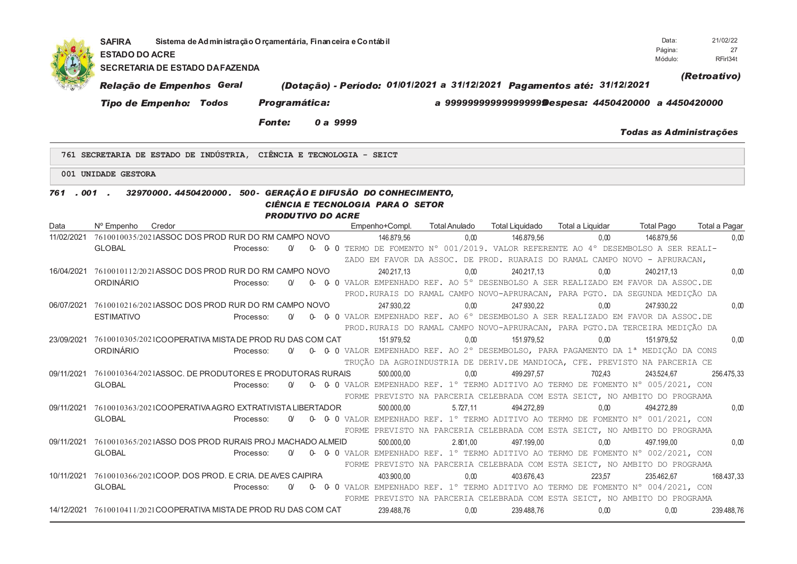|            | Sistema de Administração O rçamentária, Finan ceira e Contábil<br><b>SAFIRA</b><br><b>ESTADO DO ACRE</b><br><b>SECRETARIA DE ESTADO DA FAZENDA</b><br>Relação de Empenhos Geral |                        |                          | (Dotação) - Período: 01/01/2021 a 31/12/2021 Pagamentos até: 31/12/2021                                                                                                        |                      |                        |                                                       | Data:<br>Página:<br>Módulo:    | 21/02/22<br>27<br>RFirl34t<br>(Retroativo) |
|------------|---------------------------------------------------------------------------------------------------------------------------------------------------------------------------------|------------------------|--------------------------|--------------------------------------------------------------------------------------------------------------------------------------------------------------------------------|----------------------|------------------------|-------------------------------------------------------|--------------------------------|--------------------------------------------|
|            | <b>Tipo de Empenho: Todos</b>                                                                                                                                                   |                        | Programática:            |                                                                                                                                                                                |                      |                        | a 9999999999999999999@espesa: 4450420000 a 4450420000 |                                |                                            |
|            |                                                                                                                                                                                 | <b>Fonte:</b>          | 0 a 9999                 |                                                                                                                                                                                |                      |                        |                                                       | <b>Todas as Administrações</b> |                                            |
|            | 761 SECRETARIA DE ESTADO DE INDÚSTRIA, CIÊNCIA E TECNOLOGIA - SEICT                                                                                                             |                        |                          |                                                                                                                                                                                |                      |                        |                                                       |                                |                                            |
|            | 001 UNIDADE GESTORA                                                                                                                                                             |                        |                          |                                                                                                                                                                                |                      |                        |                                                       |                                |                                            |
| 761.001.   | 32970000. 4450420000. 500 - GERAÇÃO E DIFUSÃO DO CONHECIMENTO,                                                                                                                  |                        | <b>PRODUTIVO DO ACRE</b> | CIÊNCIA E TECNOLOGIA PARA O SETOR                                                                                                                                              |                      |                        |                                                       |                                |                                            |
| Data       | N° Empenho<br>Credor                                                                                                                                                            |                        |                          | Empenho+Compl.                                                                                                                                                                 | <b>Total Anulado</b> | <b>Total Liquidado</b> | Total a Liquidar                                      | <b>Total Pago</b>              | Total a Pagar                              |
| 11/02/2021 | 7610010035/2021ASSOC DOS PROD RUR DO RM CAMPO NOVO<br><b>GLOBAL</b>                                                                                                             | $\alpha$<br>Processo:  |                          | 146.879.56<br>0- 0-0 TERMO DE FOMENTO N° 001/2019. VALOR REFERENTE AO 4° DESEMBOLSO A SER REALI-<br>ZADO EM FAVOR DA ASSOC. DE PROD. RUARAIS DO RAMAL CAMPO NOVO - APRURACAN,  | 0.00                 | 146.879.56             | 0.00                                                  | 146.879.56                     | 0.00                                       |
|            | 16/04/2021 7610010112/2021 ASSOC DOS PROD RUR DO RM CAMPO NOVO<br>ORDINÁRIO                                                                                                     | Processo:<br>$\Omega$  |                          | 240.217.13<br>0- 0-0 VALOR EMPENHADO REF. AO 5° DESENBOLSO A SER REALIZADO EM FAVOR DA ASSOC.DE<br>PROD.RURAIS DO RAMAL CAMPO NOVO-APRURACAN, PARA PGTO. DA SEGUNDA MEDIÇÃO DA | 0.00                 | 240.217.13             | 0.00                                                  | 240.217.13                     | 0.00                                       |
| 06/07/2021 | 7610010216/2021ASSOC DOS PROD RUR DO RM CAMPO NOVO<br><b>ESTIMATIVO</b>                                                                                                         | $\Omega'$<br>Processo: |                          | 247.930,22<br>0- 0-0 VALOR EMPENHADO REF. AO 6° DESEMBOLSO A SER REALIZADO EM FAVOR DA ASSOC.DE<br>PROD.RURAIS DO RAMAL CAMPO NOVO-APRURACAN, PARA PGTO.DA TERCEIRA MEDIÇÃO DA | 0,00                 | 247.930,22             | 0,00                                                  | 247.930.22                     | 0,00                                       |
|            | 23/09/2021 7610010305/2021COOPERATIVA MISTADE PROD RU DAS COM CAT<br>ORDINÁRIO                                                                                                  | Processo:<br>$\Omega$  |                          | 151.979,52<br>0- 0-0 VALOR EMPENHADO REF. AO 2° DESEMBOLSO, PARA PAGAMENTO DA 1ª MEDIÇÃO DA CONS<br>TRUÇÃO DA AGROINDUSTRIA DE DERIV.DE MANDIOCA, CFE. PREVISTO NA PARCERIA CE | 0,00                 | 151.979,52             | 0,00                                                  | 151.979.52                     | 0.00                                       |
| 09/11/2021 | 7610010364/2021ASSOC, DE PRODUTORES E PRODUTORAS RURAIS<br><b>GLOBAL</b>                                                                                                        | $\Omega$<br>Processo:  |                          | 500.000,00<br>0- 0-0 VALOR EMPENHADO REF. 1º TERMO ADITIVO AO TERMO DE FOMENTO Nº 005/2021, CON<br>FORME PREVISTO NA PARCERIA CELEBRADA COM ESTA SEICT, NO AMBITO DO PROGRAMA  | 0,00                 | 499.297.57             | 702.43                                                | 243.524.67                     | 256.475,33                                 |
| 09/11/2021 | 7610010363/2021COOPERATIVA AGRO EXTRATIVISTA LIBERTADOR<br><b>GLOBAL</b>                                                                                                        | $\alpha$<br>Processo:  |                          | 500.000,00<br>0- 0-0 VALOR EMPENHADO REF. 1° TERMO ADITIVO AO TERMO DE FOMENTO N° 001/2021, CON<br>FORME PREVISTO NA PARCERIA CELEBRADA COM ESTA SEICT, NO AMBITO DO PROGRAMA  | 5.727.11             | 494.272.89             | 0.00                                                  | 494.272.89                     | 0,00                                       |
| 09/11/2021 | 7610010365/2021ASSO DOS PROD RURAIS PROJ MACHADO ALMEID<br><b>GLOBAL</b>                                                                                                        | $\alpha$<br>Processo:  |                          | 500.000.00<br>0- 0-0 VALOR EMPENHADO REF. 1° TERMO ADITIVO AO TERMO DE FOMENTO N° 002/2021, CON<br>FORME PREVISTO NA PARCERIA CELEBRADA COM ESTA SEICT, NO AMBITO DO PROGRAMA  | 2.801.00             | 497.199.00             | 0.00                                                  | 497.199.00                     | 0.00                                       |
| 10/11/2021 | 7610010366/2021COOP, DOS PROD, E CRIA, DEAVES CAIPIRA<br><b>GLOBAL</b>                                                                                                          | $\alpha$<br>Processo:  | 0-                       | 403.900.00<br>0 0 VALOR EMPENHADO REF. 1° TERMO ADITIVO AO TERMO DE FOMENTO N° 004/2021, CON                                                                                   | 0.00                 | 403.676.43             | 223.57                                                | 235.462.67                     | 168.437.33                                 |
|            | 14/12/2021 7610010411/2021 COOPERATIVA MISTA DE PROD RU DAS COM CAT                                                                                                             |                        |                          | FORME PREVISTO NA PARCERIA CELEBRADA COM ESTA SEICT, NO AMBITO DO PROGRAMA<br>239.488,76                                                                                       | 0,00                 | 239.488,76             | 0,00                                                  | 0,00                           | 239.488,76                                 |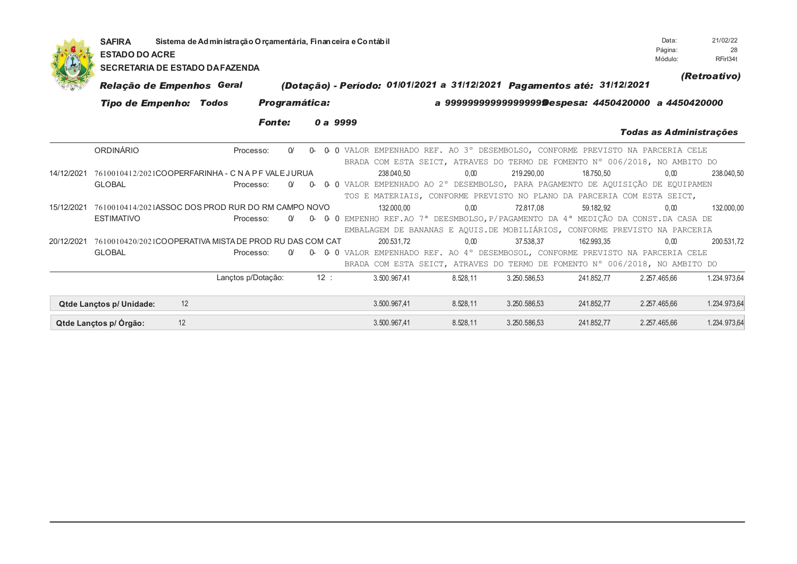|            | Sistema de Administração O roamentária, Financeira e Contábil<br><b>SAFIRA</b><br><b>ESTADO DO ACRE</b><br><b>SECRETARIA DE ESTADO DA FAZENDA</b> |                                                                         |                      |                 |                |          |              |          |              |              |                                                                                                                                                                          |              |
|------------|---------------------------------------------------------------------------------------------------------------------------------------------------|-------------------------------------------------------------------------|----------------------|-----------------|----------------|----------|--------------|----------|--------------|--------------|--------------------------------------------------------------------------------------------------------------------------------------------------------------------------|--------------|
|            | Relação de Empenhos Geral                                                                                                                         | (Dotação) - Período: 01/01/2021 a 31/12/2021 Pagamentos até: 31/12/2021 |                      |                 |                |          |              |          |              | (Retroativo) |                                                                                                                                                                          |              |
|            |                                                                                                                                                   | <b>Tipo de Empenho: Todos</b>                                           | <b>Programática:</b> |                 |                |          |              |          |              |              | a 9999999999999999999Despesa: 4450420000 a 4450420000                                                                                                                    |              |
|            |                                                                                                                                                   |                                                                         | <b>Fonte:</b>        |                 | 0 a 9999       |          |              |          |              |              | Todas as Administrações                                                                                                                                                  |              |
|            | ORDINÁRIO                                                                                                                                         |                                                                         | Processo:            | $\Omega$        | 0-             |          |              |          |              |              | 0 0 VALOR EMPENHADO REF. AO 3° DESEMBOLSO, CONFORME PREVISTO NA PARCERIA CELE<br>BRADA COM ESTA SEICT, ATRAVES DO TERMO DE FOMENTO N° 006/2018, NO AMBITO DO             |              |
| 14/12/2021 | 7610010412/2021COOPERFARINHA - C N A P F VALE JURUA<br><b>GLOBAL</b>                                                                              |                                                                         | Processo:            | $\Omega'$<br>0- | 0 <sup>0</sup> |          | 238.040.50   | 0.00     | 219,290.00   | 18.750.50    | 0.00<br>VALOR EMPENHADO AO 2º DESEMBOLSO, PARA PAGAMENTO DE AQUISIÇÃO DE EQUIPAMEN<br>TOS E MATERIAIS, CONFORME PREVISTO NO PLANO DA PARCERIA COM ESTA SEICT,            | 238.040,50   |
| 15/12/2021 | 7610010414/2021ASSOC DOS PROD RUR DO RM CAMPO NOVO<br><b>ESTIMATIVO</b>                                                                           |                                                                         | Processo:            | 0-              | $\Omega$       | $\Omega$ | 132.000,00   | 0,00     | 72.817.08    | 59.182.92    | 0.00<br>EMPENHO REF.AO 7ª DEESMBOLSO, P/PAGAMENTO DA 4ª MEDIÇÃO DA CONST.DA CASA DE<br>EMBALAGEM DE BANANAS E AQUIS.DE MOBILIÁRIOS, CONFORME PREVISTO NA PARCERIA        | 132.000,00   |
| 20/12/2021 | 7610010420/2021COOPERATIVA MISTADE PROD RU DAS COM CAT<br><b>GLOBAL</b>                                                                           |                                                                         | Processo:            | $\Omega$        |                |          | 200.531.72   | 0.00     | 37.538.37    | 162.993.35   | 0.00<br>0- 0- 0 VALOR EMPENHADO REF. AO 4° DESEMBOSOL, CONFORME PREVISTO NA PARCERIA CELE<br>BRADA COM ESTA SEICT, ATRAVES DO TERMO DE FOMENTO Nº 006/2018, NO AMBITO DO | 200.531.72   |
|            |                                                                                                                                                   |                                                                         | Lançtos p/Dotação:   |                 | 12:            |          | 3.500.967.41 | 8.528.11 | 3.250.586.53 | 241.852.77   | 2.257.465.66                                                                                                                                                             | 1.234.973,64 |
|            | <b>Qtde Lanctos p/ Unidade:</b>                                                                                                                   | 12                                                                      |                      |                 |                |          | 3.500.967,41 | 8.528,11 | 3.250.586,53 | 241.852,77   | 2.257.465,66                                                                                                                                                             | 1.234.973,64 |
|            | Qtde Lançtos p/ Órgão:                                                                                                                            | 12                                                                      |                      |                 |                |          | 3.500.967.41 | 8.528,11 | 3.250.586,53 | 241.852,77   | 2.257.465.66                                                                                                                                                             | 1.234.973,64 |